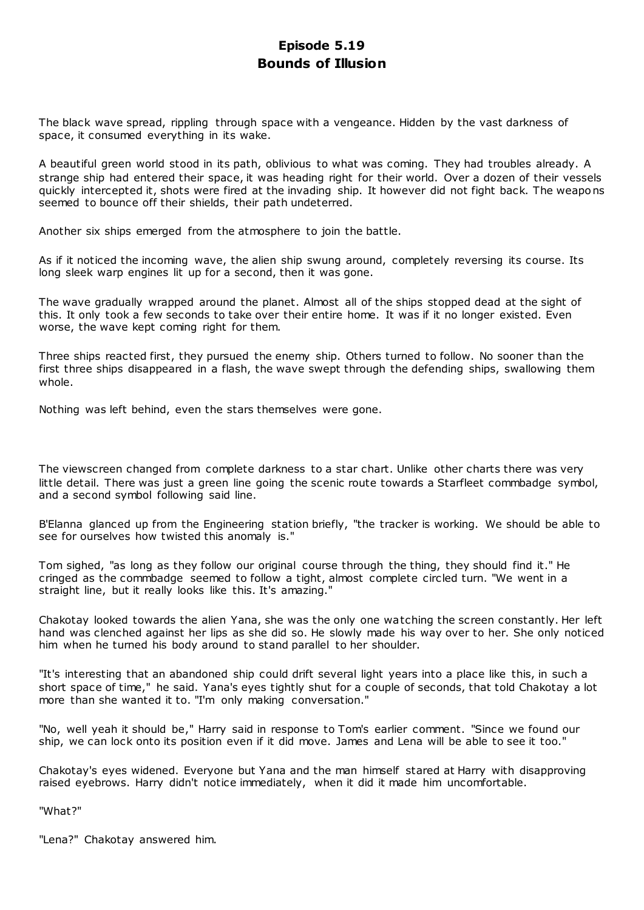# **Episode 5.19 Bounds of Illusion**

The black wave spread, rippling through space with a vengeance. Hidden by the vast darkness of space, it consumed everything in its wake.

A beautiful green world stood in its path, oblivious to what was coming. They had troubles already. A strange ship had entered their space, it was heading right for their world. Over a dozen of their vessels quickly intercepted it, shots were fired at the invading ship. It however did not fight back. The weapons seemed to bounce off their shields, their path undeterred.

Another six ships emerged from the atmosphere to join the battle.

As if it noticed the incoming wave, the alien ship swung around, completely reversing its course. Its long sleek warp engines lit up for a second, then it was gone.

The wave gradually wrapped around the planet. Almost all of the ships stopped dead at the sight of this. It only took a few seconds to take over their entire home. It was if it no longer existed. Even worse, the wave kept coming right for them.

Three ships reacted first, they pursued the enemy ship. Others turned to follow. No sooner than the first three ships disappeared in a flash, the wave swept through the defending ships, swallowing them whole.

Nothing was left behind, even the stars themselves were gone.

The viewscreen changed from complete darkness to a star chart. Unlike other charts there was very little detail. There was just a green line going the scenic route towards a Starfleet commbadge symbol, and a second symbol following said line.

B'Elanna glanced up from the Engineering station briefly, "the tracker is working. We should be able to see for ourselves how twisted this anomaly is."

Tom sighed, "as long as they follow our original course through the thing, they should find it." He cringed as the commbadge seemed to follow a tight, almost complete circled turn. "We went in a straight line, but it really looks like this. It's amazing."

Chakotay looked towards the alien Yana, she was the only one watching the screen constantly. Her left hand was clenched against her lips as she did so. He slowly made his way over to her. She only noticed him when he turned his body around to stand parallel to her shoulder.

"It's interesting that an abandoned ship could drift several light years into a place like this, in such a short space of time," he said. Yana's eyes tightly shut for a couple of seconds, that told Chakotay a lot more than she wanted it to. "I'm only making conversation."

"No, well yeah it should be," Harry said in response to Tom's earlier comment. "Since we found our ship, we can lock onto its position even if it did move. James and Lena will be able to see it too."

Chakotay's eyes widened. Everyone but Yana and the man himself stared at Harry with disapproving raised eyebrows. Harry didn't notice immediately, when it did it made him uncomfortable.

"What?"

"Lena?" Chakotay answered him.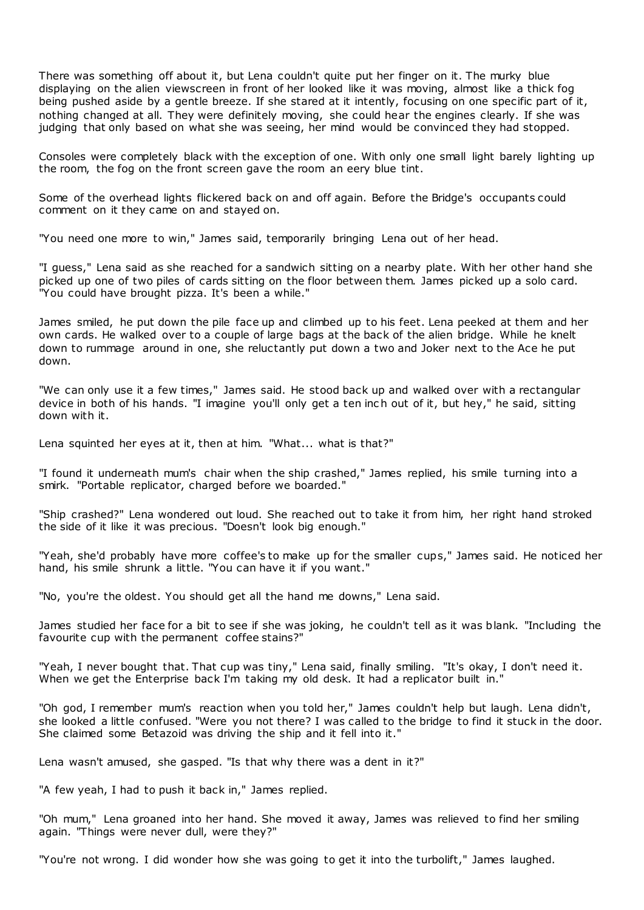There was something off about it, but Lena couldn't quite put her finger on it. The murky blue displaying on the alien viewscreen in front of her looked like it was moving, almost like a thick fog being pushed aside by a gentle breeze. If she stared at it intently, focusing on one specific part of it, nothing changed at all. They were definitely moving, she could hear the engines clearly. If she was judging that only based on what she was seeing, her mind would be convinced they had stopped.

Consoles were completely black with the exception of one. With only one small light barely lighting up the room, the fog on the front screen gave the room an eery blue tint.

Some of the overhead lights flickered back on and off again. Before the Bridge's occupants could comment on it they came on and stayed on.

"You need one more to win," James said, temporarily bringing Lena out of her head.

"I guess," Lena said as she reached for a sandwich sitting on a nearby plate. With her other hand she picked up one of two piles of cards sitting on the floor between them. James picked up a solo card. "You could have brought pizza. It's been a while."

James smiled, he put down the pile face up and climbed up to his feet. Lena peeked at them and her own cards. He walked over to a couple of large bags at the back of the alien bridge. While he knelt down to rummage around in one, she reluctantly put down a two and Joker next to the Ace he put down.

"We can only use it a few times," James said. He stood back up and walked over with a rectangular device in both of his hands. "I imagine you'll only get a ten inc h out of it, but hey," he said, sitting down with it.

Lena squinted her eyes at it, then at him. "What... what is that?"

"I found it underneath mum's chair when the ship crashed," James replied, his smile turning into a smirk. "Portable replicator, charged before we boarded."

"Ship crashed?" Lena wondered out loud. She reached out to take it from him, her right hand stroked the side of it like it was precious. "Doesn't look big enough."

"Yeah, she'd probably have more coffee's to make up for the smaller cups," James said. He noticed her hand, his smile shrunk a little. "You can have it if you want."

"No, you're the oldest. You should get all the hand me downs," Lena said.

James studied her face for a bit to see if she was joking, he couldn't tell as it was blank. "Including the favourite cup with the permanent coffee stains?"

"Yeah, I never bought that. That cup was tiny," Lena said, finally smiling. "It's okay, I don't need it. When we get the Enterprise back I'm taking my old desk. It had a replicator built in."

"Oh god, I remember mum's reaction when you told her," James couldn't help but laugh. Lena didn't, she looked a little confused. "Were you not there? I was called to the bridge to find it stuck in the door. She claimed some Betazoid was driving the ship and it fell into it."

Lena wasn't amused, she gasped. "Is that why there was a dent in it?"

"A few yeah, I had to push it back in," James replied.

"Oh mum," Lena groaned into her hand. She moved it away, James was relieved to find her smiling again. "Things were never dull, were they?"

"You're not wrong. I did wonder how she was going to get it into the turbolift," James laughed.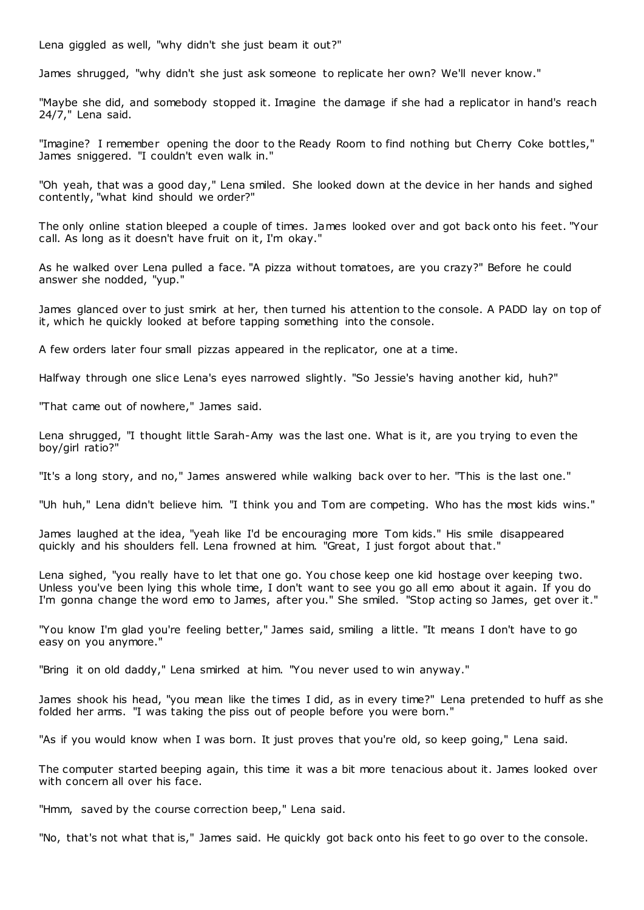Lena giggled as well, "why didn't she just beam it out?"

James shrugged, "why didn't she just ask someone to replicate her own? We'll never know."

"Maybe she did, and somebody stopped it. Imagine the damage if she had a replicator in hand's reach  $24/7$ ," Lena said.

"Imagine? I remember opening the door to the Ready Room to find nothing but Cherry Coke bottles," James sniggered. "I couldn't even walk in."

"Oh yeah, that was a good day," Lena smiled. She looked down at the device in her hands and sighed contently, "what kind should we order?"

The only online station bleeped a couple of times. James looked over and got back onto his feet. "Your call. As long as it doesn't have fruit on it, I'm okay."

As he walked over Lena pulled a face. "A pizza without tomatoes, are you crazy?" Before he could answer she nodded, "yup."

James glanced over to just smirk at her, then turned his attention to the console. A PADD lay on top of it, which he quickly looked at before tapping something into the console.

A few orders later four small pizzas appeared in the replicator, one at a time.

Halfway through one slice Lena's eyes narrowed slightly. "So Jessie's having another kid, huh?"

"That came out of nowhere," James said.

Lena shrugged, "I thought little Sarah-Amy was the last one. What is it, are you trying to even the boy/girl ratio?"

"It's a long story, and no," James answered while walking back over to her. "This is the last one."

"Uh huh," Lena didn't believe him. "I think you and Tom are competing. Who has the most kids wins."

James laughed at the idea, "yeah like I'd be encouraging more Tom kids." His smile disappeared quickly and his shoulders fell. Lena frowned at him. "Great, I just forgot about that."

Lena sighed, "you really have to let that one go. You chose keep one kid hostage over keeping two. Unless you've been lying this whole time, I don't want to see you go all emo about it again. If you do I'm gonna change the word emo to James, after you." She smiled. "Stop acting so James, get over it."

"You know I'm glad you're feeling better," James said, smiling a little. "It means I don't have to go easy on you anymore."

"Bring it on old daddy," Lena smirked at him. "You never used to win anyway."

James shook his head, "you mean like the times I did, as in every time?" Lena pretended to huff as she folded her arms. "I was taking the piss out of people before you were born."

"As if you would know when I was born. It just proves that you're old, so keep going," Lena said.

The computer started beeping again, this time it was a bit more tenacious about it. James looked over with concern all over his face.

"Hmm, saved by the course correction beep," Lena said.

"No, that's not what that is," James said. He quickly got back onto his feet to go over to the console.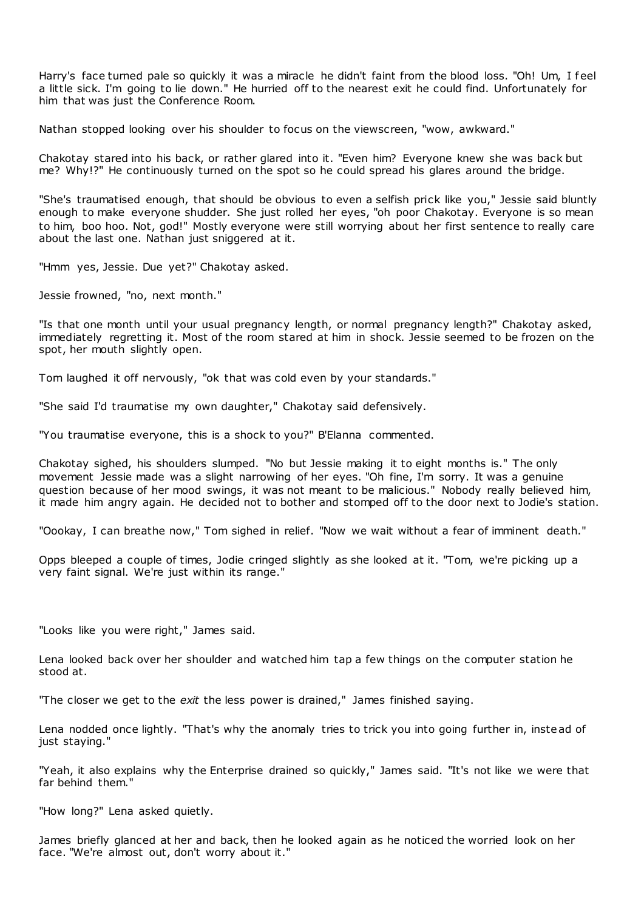Harry's face turned pale so quickly it was a miracle he didn't faint from the blood loss. "Oh! Um, I feel a little sick. I'm going to lie down." He hurried off to the nearest exit he could find. Unfortunately for him that was just the Conference Room.

Nathan stopped looking over his shoulder to focus on the viewscreen, "wow, awkward."

Chakotay stared into his back, or rather glared into it. "Even him? Everyone knew she was back but me? Why!?" He continuously turned on the spot so he could spread his glares around the bridge.

"She's traumatised enough, that should be obvious to even a selfish prick like you," Jessie said bluntly enough to make everyone shudder. She just rolled her eyes, "oh poor Chakotay. Everyone is so mean to him, boo hoo. Not, god!" Mostly everyone were still worrying about her first sentence to really care about the last one. Nathan just sniggered at it.

"Hmm yes, Jessie. Due yet?" Chakotay asked.

Jessie frowned, "no, next month."

"Is that one month until your usual pregnancy length, or normal pregnancy length?" Chakotay asked, immediately regretting it. Most of the room stared at him in shock. Jessie seemed to be frozen on the spot, her mouth slightly open.

Tom laughed it off nervously, "ok that was cold even by your standards."

"She said I'd traumatise my own daughter," Chakotay said defensively.

"You traumatise everyone, this is a shock to you?" B'Elanna commented.

Chakotay sighed, his shoulders slumped. "No but Jessie making it to eight months is." The only movement Jessie made was a slight narrowing of her eyes. "Oh fine, I'm sorry. It was a genuine question because of her mood swings, it was not meant to be malicious." Nobody really believed him, it made him angry again. He decided not to bother and stomped off to the door next to Jodie's station.

"Oookay, I can breathe now," Tom sighed in relief. "Now we wait without a fear of imminent death."

Opps bleeped a couple of times, Jodie cringed slightly as she looked at it. "Tom, we're picking up a very faint signal. We're just within its range."

"Looks like you were right," James said.

Lena looked back over her shoulder and watched him tap a few things on the computer station he stood at.

"The closer we get to the *exit* the less power is drained," James finished saying.

Lena nodded once lightly. "That's why the anomaly tries to trick you into going further in, instead of just staying."

"Yeah, it also explains why the Enterprise drained so quickly," James said. "It's not like we were that far behind them."

"How long?" Lena asked quietly.

James briefly glanced at her and back, then he looked again as he noticed the worried look on her face. "We're almost out, don't worry about it."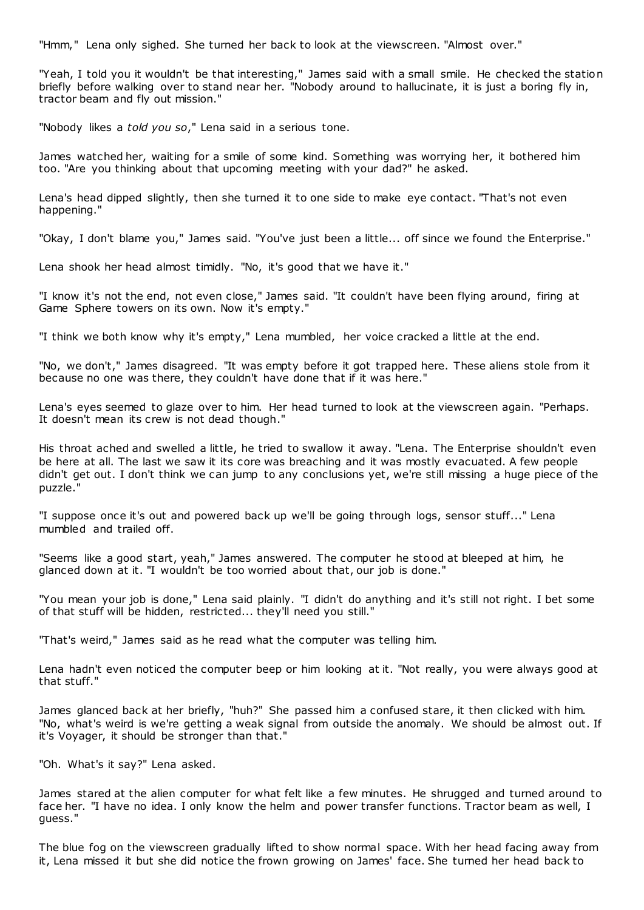"Hmm," Lena only sighed. She turned her back to look at the viewscreen. "Almost over."

"Yeah, I told you it wouldn't be that interesting," James said with a small smile. He checked the station briefly before walking over to stand near her. "Nobody around to hallucinate, it is just a boring fly in, tractor beam and fly out mission."

"Nobody likes a *told you so*," Lena said in a serious tone.

James watched her, waiting for a smile of some kind. Something was worrying her, it bothered him too. "Are you thinking about that upcoming meeting with your dad?" he asked.

Lena's head dipped slightly, then she turned it to one side to make eye contact. "That's not even happening."

"Okay, I don't blame you," James said. "You've just been a little... off since we found the Enterprise."

Lena shook her head almost timidly. "No, it's good that we have it."

"I know it's not the end, not even close," James said. "It couldn't have been flying around, firing at Game Sphere towers on its own. Now it's empty."

"I think we both know why it's empty," Lena mumbled, her voice cracked a little at the end.

"No, we don't," James disagreed. "It was empty before it got trapped here. These aliens stole from it because no one was there, they couldn't have done that if it was here."

Lena's eyes seemed to glaze over to him. Her head turned to look at the viewscreen again. "Perhaps. It doesn't mean its crew is not dead though."

His throat ached and swelled a little, he tried to swallow it away. "Lena. The Enterprise shouldn't even be here at all. The last we saw it its core was breaching and it was mostly evacuated. A few people didn't get out. I don't think we can jump to any conclusions yet, we're still missing a huge piece of the puzzle."

"I suppose once it's out and powered back up we'll be going through logs, sensor stuff..." Lena mumbled and trailed off.

"Seems like a good start, yeah," James answered. The computer he stood at bleeped at him, he glanced down at it. "I wouldn't be too worried about that, our job is done."

"You mean your job is done," Lena said plainly. "I didn't do anything and it's still not right. I bet some of that stuff will be hidden, restricted... they'll need you still."

"That's weird," James said as he read what the computer was telling him.

Lena hadn't even noticed the computer beep or him looking at it. "Not really, you were always good at that stuff."

James glanced back at her briefly, "huh?" She passed him a confused stare, it then clicked with him. "No, what's weird is we're getting a weak signal from outside the anomaly. We should be almost out. If it's Voyager, it should be stronger than that."

"Oh. What's it say?" Lena asked.

James stared at the alien computer for what felt like a few minutes. He shrugged and turned around to face her. "I have no idea. I only know the helm and power transfer functions. Tractor beam as well, I guess."

The blue fog on the viewscreen gradually lifted to show normal space. With her head facing away from it, Lena missed it but she did notice the frown growing on James' face. She turned her head back to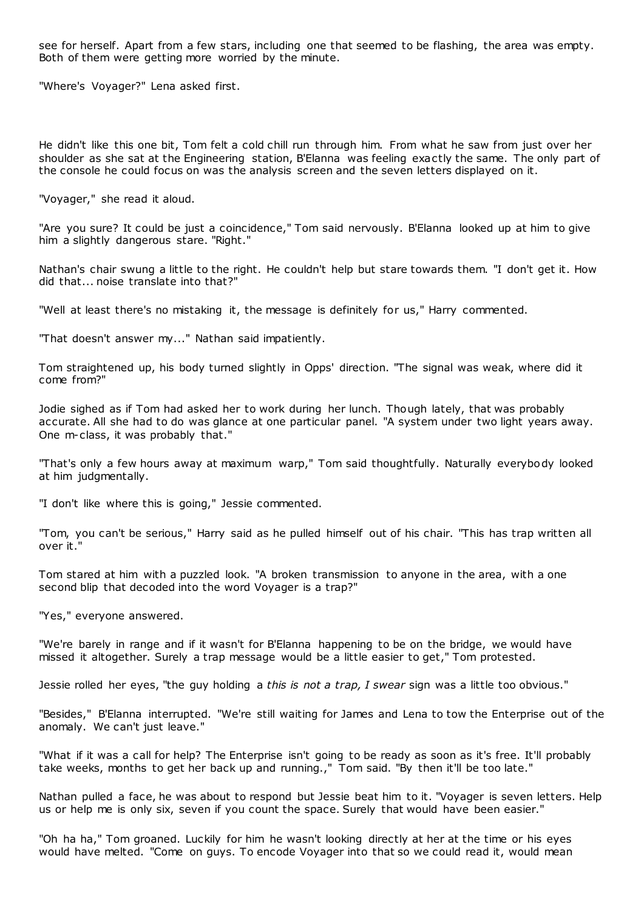see for herself. Apart from a few stars, including one that seemed to be flashing, the area was empty. Both of them were getting more worried by the minute.

"Where's Voyager?" Lena asked first.

He didn't like this one bit, Tom felt a cold chill run through him. From what he saw from just over her shoulder as she sat at the Engineering station, B'Elanna was feeling exactly the same. The only part of the console he could focus on was the analysis screen and the seven letters displayed on it.

"Voyager," she read it aloud.

"Are you sure? It could be just a coincidence," Tom said nervously. B'Elanna looked up at him to give him a slightly dangerous stare. "Right."

Nathan's chair swung a little to the right. He couldn't help but stare towards them. "I don't get it. How did that... noise translate into that?"

"Well at least there's no mistaking it, the message is definitely for us," Harry commented.

"That doesn't answer my..." Nathan said impatiently.

Tom straightened up, his body turned slightly in Opps' direction. "The signal was weak, where did it come from?"

Jodie sighed as if Tom had asked her to work during her lunch. Though lately, that was probably accurate. All she had to do was glance at one particular panel. "A system under two light years away. One m-class, it was probably that."

"That's only a few hours away at maximum warp," Tom said thoughtfully. Naturally everybody looked at him judgmentally.

"I don't like where this is going," Jessie commented.

"Tom, you can't be serious," Harry said as he pulled himself out of his chair. "This has trap written all over it."

Tom stared at him with a puzzled look. "A broken transmission to anyone in the area, with a one second blip that decoded into the word Voyager is a trap?"

"Yes," everyone answered.

"We're barely in range and if it wasn't for B'Elanna happening to be on the bridge, we would have missed it altogether. Surely a trap message would be a little easier to get," Tom protested.

Jessie rolled her eyes, "the guy holding a *this is not a trap, I swear* sign was a little too obvious."

"Besides," B'Elanna interrupted. "We're still waiting for James and Lena to tow the Enterprise out of the anomaly. We can't just leave."

"What if it was a call for help? The Enterprise isn't going to be ready as soon as it's free. It'll probably take weeks, months to get her back up and running.," Tom said. "By then it'll be too late."

Nathan pulled a face, he was about to respond but Jessie beat him to it. "Voyager is seven letters. Help us or help me is only six, seven if you count the space. Surely that would have been easier."

"Oh ha ha," Tom groaned. Luckily for him he wasn't looking directly at her at the time or his eyes would have melted. "Come on guys. To encode Voyager into that so we could read it, would mean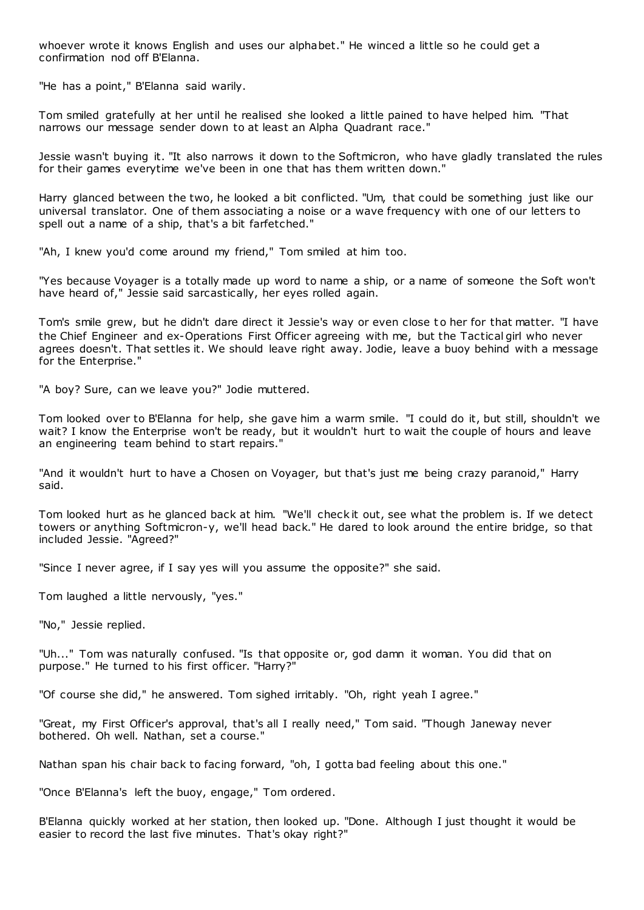whoever wrote it knows English and uses our alphabet." He winced a little so he could get a confirmation nod off B'Elanna.

"He has a point," B'Elanna said warily.

Tom smiled gratefully at her until he realised she looked a little pained to have helped him. "That narrows our message sender down to at least an Alpha Quadrant race."

Jessie wasn't buying it. "It also narrows it down to the Softmicron, who have gladly translated the rules for their games everytime we've been in one that has them written down."

Harry glanced between the two, he looked a bit conflicted. "Um, that could be something just like our universal translator. One of them associating a noise or a wave frequency with one of our letters to spell out a name of a ship, that's a bit farfetched."

"Ah, I knew you'd come around my friend," Tom smiled at him too.

"Yes because Voyager is a totally made up word to name a ship, or a name of someone the Soft won't have heard of," Jessie said sarcastically, her eyes rolled again.

Tom's smile grew, but he didn't dare direct it Jessie's way or even close t o her for that matter. "I have the Chief Engineer and ex-Operations First Officer agreeing with me, but the Tactical girl who never agrees doesn't. That settles it. We should leave right away. Jodie, leave a buoy behind with a message for the Enterprise."

"A boy? Sure, can we leave you?" Jodie muttered.

Tom looked over to B'Elanna for help, she gave him a warm smile. "I could do it, but still, shouldn't we wait? I know the Enterprise won't be ready, but it wouldn't hurt to wait the couple of hours and leave an engineering team behind to start repairs."

"And it wouldn't hurt to have a Chosen on Voyager, but that's just me being crazy paranoid," Harry said.

Tom looked hurt as he glanced back at him. "We'll check it out, see what the problem is. If we detect towers or anything Softmicron-y, we'll head back." He dared to look around the entire bridge, so that included Jessie. "Agreed?"

"Since I never agree, if I say yes will you assume the opposite?" she said.

Tom laughed a little nervously, "yes."

"No," Jessie replied.

"Uh..." Tom was naturally confused. "Is that opposite or, god damn it woman. You did that on purpose." He turned to his first officer. "Harry?"

"Of course she did," he answered. Tom sighed irritably. "Oh, right yeah I agree."

"Great, my First Officer's approval, that's all I really need," Tom said. "Though Janeway never bothered. Oh well. Nathan, set a course."

Nathan span his chair back to facing forward, "oh, I gotta bad feeling about this one."

"Once B'Elanna's left the buoy, engage," Tom ordered.

B'Elanna quickly worked at her station, then looked up. "Done. Although I just thought it would be easier to record the last five minutes. That's okay right?"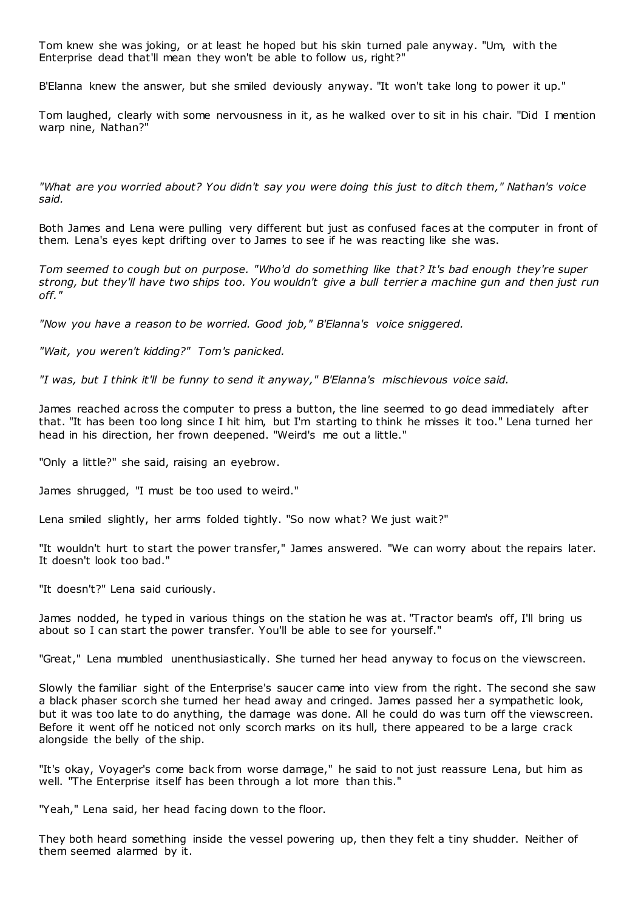Tom knew she was joking, or at least he hoped but his skin turned pale anyway. "Um, with the Enterprise dead that'll mean they won't be able to follow us, right?"

B'Elanna knew the answer, but she smiled deviously anyway. "It won't take long to power it up."

Tom laughed, clearly with some nervousness in it, as he walked over to sit in his chair. "Did I mention warp nine, Nathan?"

*"What are you worried about? You didn't say you were doing this just to ditch them," Nathan's voice said.*

Both James and Lena were pulling very different but just as confused faces at the computer in front of them. Lena's eyes kept drifting over to James to see if he was reacting like she was.

*Tom seemed to cough but on purpose. "Who'd do something like that? It's bad enough they're super strong, but they'll have two ships too. You wouldn't give a bull terrier a machine gun and then just run off."*

*"Now you have a reason to be worried. Good job," B'Elanna's voice sniggered.*

*"Wait, you weren't kidding?" Tom's panicked.*

*"I was, but I think it'll be funny to send it anyway," B'Elanna's mischievous voice said.*

James reached across the computer to press a button, the line seemed to go dead immediately after that. "It has been too long since I hit him, but I'm starting to think he misses it too." Lena turned her head in his direction, her frown deepened. "Weird's me out a little."

"Only a little?" she said, raising an eyebrow.

James shrugged, "I must be too used to weird."

Lena smiled slightly, her arms folded tightly. "So now what? We just wait?"

"It wouldn't hurt to start the power transfer," James answered. "We can worry about the repairs later. It doesn't look too bad."

"It doesn't?" Lena said curiously.

James nodded, he typed in various things on the station he was at. "Tractor beam's off, I'll bring us about so I can start the power transfer. You'll be able to see for yourself."

"Great," Lena mumbled unenthusiastically. She turned her head anyway to focus on the viewscreen.

Slowly the familiar sight of the Enterprise's saucer came into view from the right. The second she saw a black phaser scorch she turned her head away and cringed. James passed her a sympathetic look, but it was too late to do anything, the damage was done. All he could do was turn off the viewscreen. Before it went off he noticed not only scorch marks on its hull, there appeared to be a large crack alongside the belly of the ship.

"It's okay, Voyager's come back from worse damage," he said to not just reassure Lena, but him as well. "The Enterprise itself has been through a lot more than this."

"Yeah," Lena said, her head facing down to the floor.

They both heard something inside the vessel powering up, then they felt a tiny shudder. Neither of them seemed alarmed by it.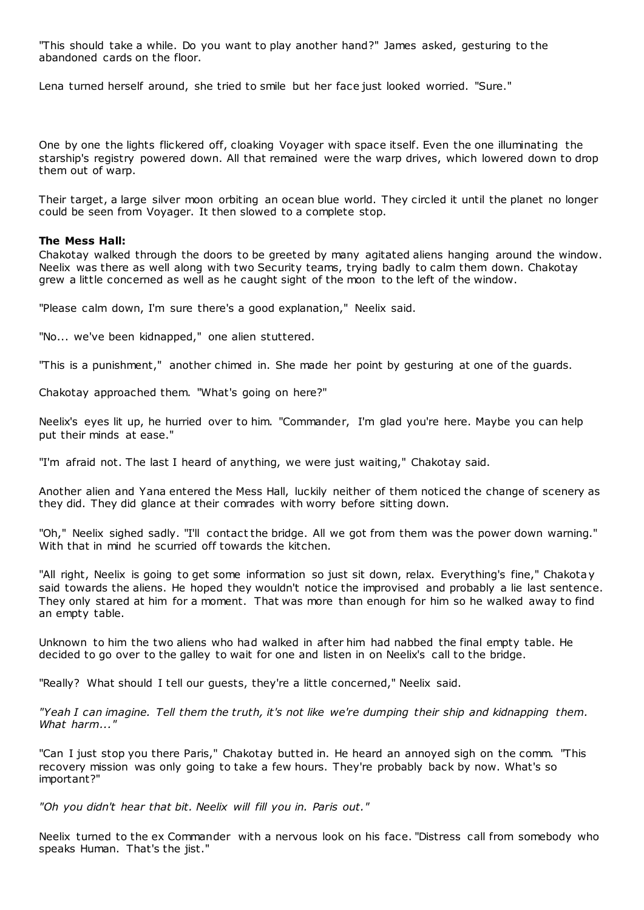"This should take a while. Do you want to play another hand?" James asked, gesturing to the abandoned cards on the floor.

Lena turned herself around, she tried to smile but her face just looked worried. "Sure."

One by one the lights flickered off, cloaking Voyager with space itself. Even the one illuminating the starship's registry powered down. All that remained were the warp drives, which lowered down to drop them out of warp.

Their target, a large silver moon orbiting an ocean blue world. They circled it until the planet no longer could be seen from Voyager. It then slowed to a complete stop.

## **The Mess Hall:**

Chakotay walked through the doors to be greeted by many agitated aliens hanging around the window. Neelix was there as well along with two Security teams, trying badly to calm them down. Chakotay grew a little concerned as well as he caught sight of the moon to the left of the window.

"Please calm down, I'm sure there's a good explanation," Neelix said.

"No... we've been kidnapped," one alien stuttered.

"This is a punishment," another chimed in. She made her point by gesturing at one of the guards.

Chakotay approached them. "What's going on here?"

Neelix's eyes lit up, he hurried over to him. "Commander, I'm glad you're here. Maybe you can help put their minds at ease."

"I'm afraid not. The last I heard of anything, we were just waiting," Chakotay said.

Another alien and Yana entered the Mess Hall, luckily neither of them noticed the change of scenery as they did. They did glance at their comrades with worry before sitting down.

"Oh," Neelix sighed sadly. "I'll contact the bridge. All we got from them was the power down warning." With that in mind he scurried off towards the kitchen.

"All right, Neelix is going to get some information so just sit down, relax. Everything's fine," Chakotay said towards the aliens. He hoped they wouldn't notice the improvised and probably a lie last sentence. They only stared at him for a moment. That was more than enough for him so he walked away to find an empty table.

Unknown to him the two aliens who had walked in after him had nabbed the final empty table. He decided to go over to the galley to wait for one and listen in on Neelix's call to the bridge.

"Really? What should I tell our guests, they're a little concerned," Neelix said.

*"Yeah I can imagine. Tell them the truth, it's not like we're dumping their ship and kidnapping them. What harm..."*

"Can I just stop you there Paris," Chakotay butted in. He heard an annoyed sigh on the comm. "This recovery mission was only going to take a few hours. They're probably back by now. What's so important?"

*"Oh you didn't hear that bit. Neelix will fill you in. Paris out."*

Neelix turned to the ex Commander with a nervous look on his face. "Distress call from somebody who speaks Human. That's the jist."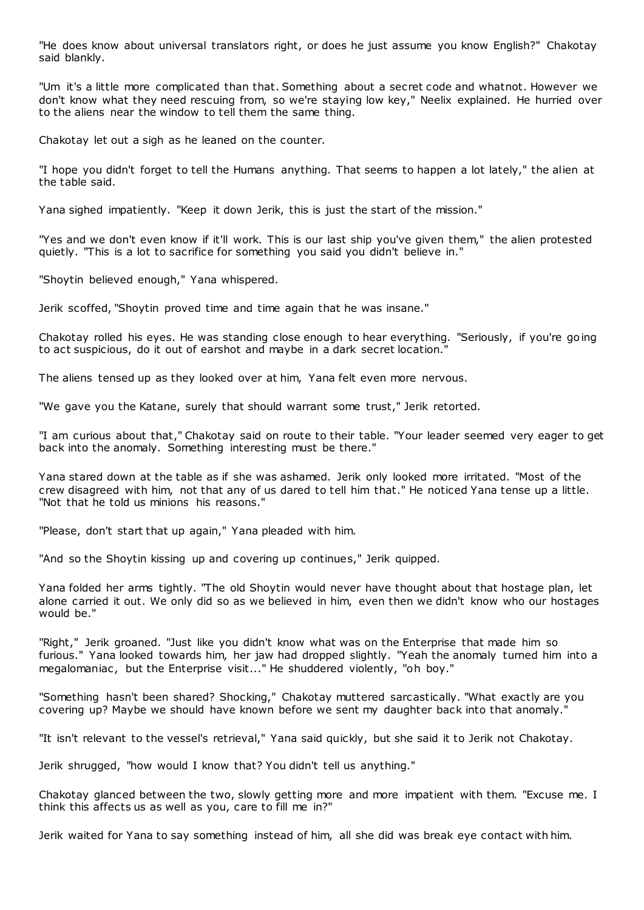"He does know about universal translators right, or does he just assume you know English?" Chakotay said blankly.

"Um it's a little more complicated than that. Something about a secret code and whatnot. However we don't know what they need rescuing from, so we're staying low key," Neelix explained. He hurried over to the aliens near the window to tell them the same thing.

Chakotay let out a sigh as he leaned on the counter.

"I hope you didn't forget to tell the Humans anything. That seems to happen a lot lately," the alien at the table said.

Yana sighed impatiently. "Keep it down Jerik, this is just the start of the mission."

"Yes and we don't even know if it'll work. This is our last ship you've given them," the alien protested quietly. "This is a lot to sacrifice for something you said you didn't believe in."

"Shoytin believed enough," Yana whispered.

Jerik scoffed, "Shoytin proved time and time again that he was insane."

Chakotay rolled his eyes. He was standing close enough to hear everything. "Seriously, if you're going to act suspicious, do it out of earshot and maybe in a dark secret location."

The aliens tensed up as they looked over at him, Yana felt even more nervous.

"We gave you the Katane, surely that should warrant some trust," Jerik retorted.

"I am curious about that," Chakotay said on route to their table. "Your leader seemed very eager to get back into the anomaly. Something interesting must be there."

Yana stared down at the table as if she was ashamed. Jerik only looked more irritated. "Most of the crew disagreed with him, not that any of us dared to tell him that." He noticed Yana tense up a little. "Not that he told us minions his reasons."

"Please, don't start that up again," Yana pleaded with him.

"And so the Shoytin kissing up and covering up continues," Jerik quipped.

Yana folded her arms tightly. "The old Shoytin would never have thought about that hostage plan, let alone carried it out. We only did so as we believed in him, even then we didn't know who our hostages would be."

"Right," Jerik groaned. "Just like you didn't know what was on the Enterprise that made him so furious." Yana looked towards him, her jaw had dropped slightly. "Yeah the anomaly turned him into a megalomaniac , but the Enterprise visit..." He shuddered violently, "oh boy."

"Something hasn't been shared? Shocking," Chakotay muttered sarcastically. "What exactly are you covering up? Maybe we should have known before we sent my daughter back into that anomaly."

"It isn't relevant to the vessel's retrieval," Yana said quickly, but she said it to Jerik not Chakotay.

Jerik shrugged, "how would I know that? You didn't tell us anything."

Chakotay glanced between the two, slowly getting more and more impatient with them. "Excuse me. I think this affects us as well as you, care to fill me in?"

Jerik waited for Yana to say something instead of him, all she did was break eye contact with him.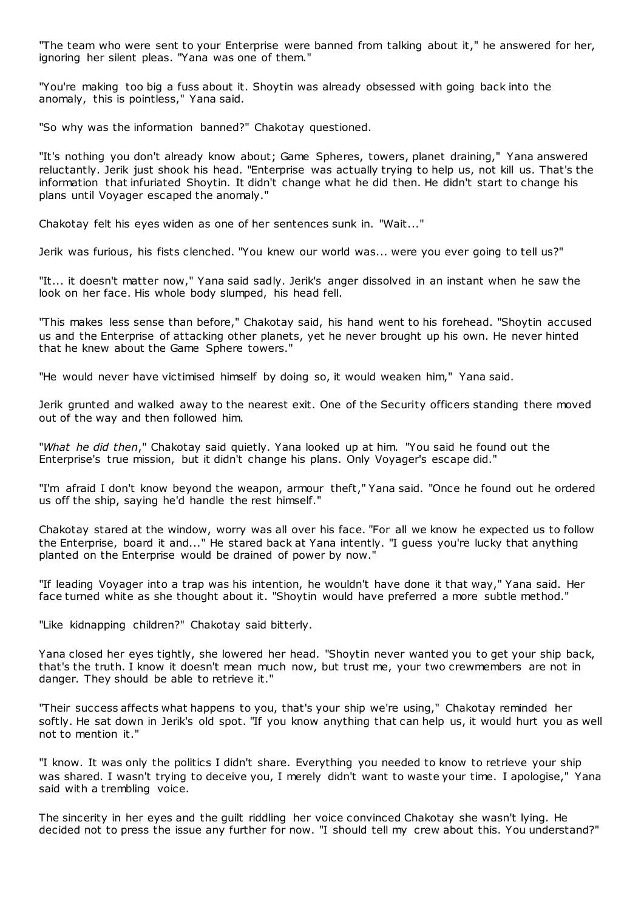"The team who were sent to your Enterprise were banned from talking about it," he answered for her, ignoring her silent pleas. "Yana was one of them."

"You're making too big a fuss about it. Shoytin was already obsessed with going back into the anomaly, this is pointless," Yana said.

"So why was the information banned?" Chakotay questioned.

"It's nothing you don't already know about; Game Spheres, towers, planet draining," Yana answered reluctantly. Jerik just shook his head. "Enterprise was actually trying to help us, not kill us. That's the information that infuriated Shoytin. It didn't change what he did then. He didn't start to change his plans until Voyager escaped the anomaly."

Chakotay felt his eyes widen as one of her sentences sunk in. "Wait..."

Jerik was furious, his fists clenched. "You knew our world was... were you ever going to tell us?"

"It... it doesn't matter now," Yana said sadly. Jerik's anger dissolved in an instant when he saw the look on her face. His whole body slumped, his head fell.

"This makes less sense than before," Chakotay said, his hand went to his forehead. "Shoytin accused us and the Enterprise of attacking other planets, yet he never brought up his own. He never hinted that he knew about the Game Sphere towers."

"He would never have victimised himself by doing so, it would weaken him," Yana said.

Jerik grunted and walked away to the nearest exit. One of the Security officers standing there moved out of the way and then followed him.

"*What he did then*," Chakotay said quietly. Yana looked up at him. "You said he found out the Enterprise's true mission, but it didn't change his plans. Only Voyager's escape did."

"I'm afraid I don't know beyond the weapon, armour theft," Yana said. "Once he found out he ordered us off the ship, saying he'd handle the rest himself."

Chakotay stared at the window, worry was all over his face. "For all we know he expected us to follow the Enterprise, board it and..." He stared back at Yana intently. "I guess you're lucky that anything planted on the Enterprise would be drained of power by now."

"If leading Voyager into a trap was his intention, he wouldn't have done it that way," Yana said. Her face turned white as she thought about it. "Shoytin would have preferred a more subtle method."

"Like kidnapping children?" Chakotay said bitterly.

Yana closed her eyes tightly, she lowered her head. "Shoytin never wanted you to get your ship back, that's the truth. I know it doesn't mean much now, but trust me, your two crewmembers are not in danger. They should be able to retrieve it."

"Their success affects what happens to you, that's your ship we're using," Chakotay reminded her softly. He sat down in Jerik's old spot. "If you know anything that can help us, it would hurt you as well not to mention it."

"I know. It was only the politics I didn't share. Everything you needed to know to retrieve your ship was shared. I wasn't trying to deceive you, I merely didn't want to waste your time. I apologise," Yana said with a trembling voice.

The sincerity in her eyes and the guilt riddling her voice convinced Chakotay she wasn't lying. He decided not to press the issue any further for now. "I should tell my crew about this. You understand?"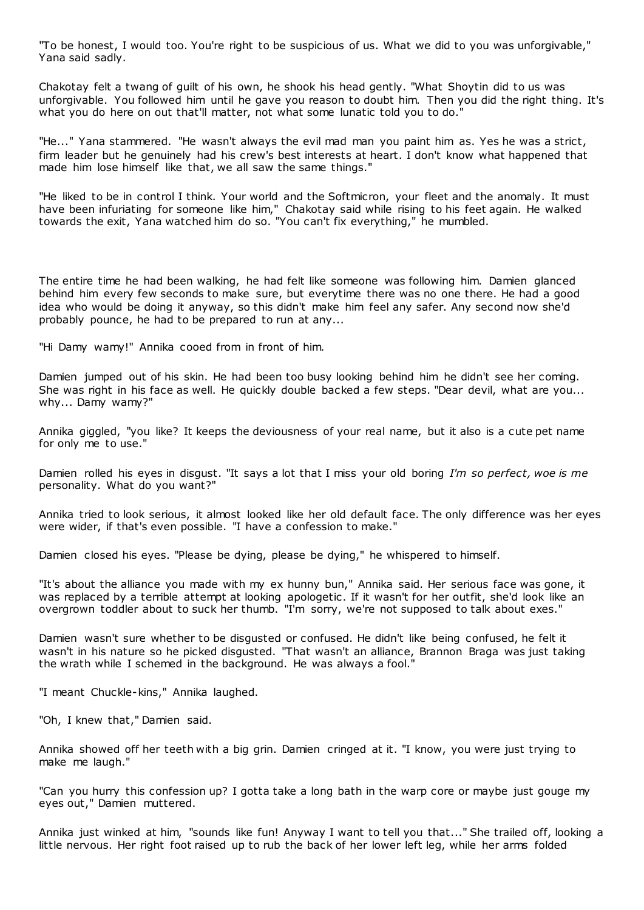"To be honest, I would too. You're right to be suspicious of us. What we did to you was unforgivable," Yana said sadly.

Chakotay felt a twang of guilt of his own, he shook his head gently. "What Shoytin did to us was unforgivable. You followed him until he gave you reason to doubt him. Then you did the right thing. It's what you do here on out that'll matter, not what some lunatic told you to do."

"He..." Yana stammered. "He wasn't always the evil mad man you paint him as. Yes he was a strict, firm leader but he genuinely had his crew's best interests at heart. I don't know what happened that made him lose himself like that, we all saw the same things."

"He liked to be in control I think. Your world and the Softmicron, your fleet and the anomaly. It must have been infuriating for someone like him," Chakotay said while rising to his feet again. He walked towards the exit, Yana watched him do so. "You can't fix everything," he mumbled.

The entire time he had been walking, he had felt like someone was following him. Damien glanced behind him every few seconds to make sure, but everytime there was no one there. He had a good idea who would be doing it anyway, so this didn't make him feel any safer. Any second now she'd probably pounce, he had to be prepared to run at any...

"Hi Damy wamy!" Annika cooed from in front of him.

Damien jumped out of his skin. He had been too busy looking behind him he didn't see her coming. She was right in his face as well. He quickly double backed a few steps. "Dear devil, what are you... why... Damy wamy?"

Annika giggled, "you like? It keeps the deviousness of your real name, but it also is a cute pet name for only me to use."

Damien rolled his eyes in disgust. "It says a lot that I miss your old boring *I'm so perfect, woe is me* personality. What do you want?"

Annika tried to look serious, it almost looked like her old default face. The only difference was her eyes were wider, if that's even possible. "I have a confession to make."

Damien closed his eyes. "Please be dying, please be dying," he whispered to himself.

"It's about the alliance you made with my ex hunny bun," Annika said. Her serious face was gone, it was replaced by a terrible attempt at looking apologetic . If it wasn't for her outfit, she'd look like an overgrown toddler about to suck her thumb. "I'm sorry, we're not supposed to talk about exes."

Damien wasn't sure whether to be disgusted or confused. He didn't like being confused, he felt it wasn't in his nature so he picked disgusted. "That wasn't an alliance, Brannon Braga was just taking the wrath while I schemed in the background. He was always a fool."

"I meant Chuckle-kins," Annika laughed.

"Oh, I knew that," Damien said.

Annika showed off her teeth with a big grin. Damien cringed at it. "I know, you were just trying to make me laugh."

"Can you hurry this confession up? I gotta take a long bath in the warp core or maybe just gouge my eyes out," Damien muttered.

Annika just winked at him, "sounds like fun! Anyway I want to tell you that..." She trailed off, looking a little nervous. Her right foot raised up to rub the back of her lower left leg, while her arms folded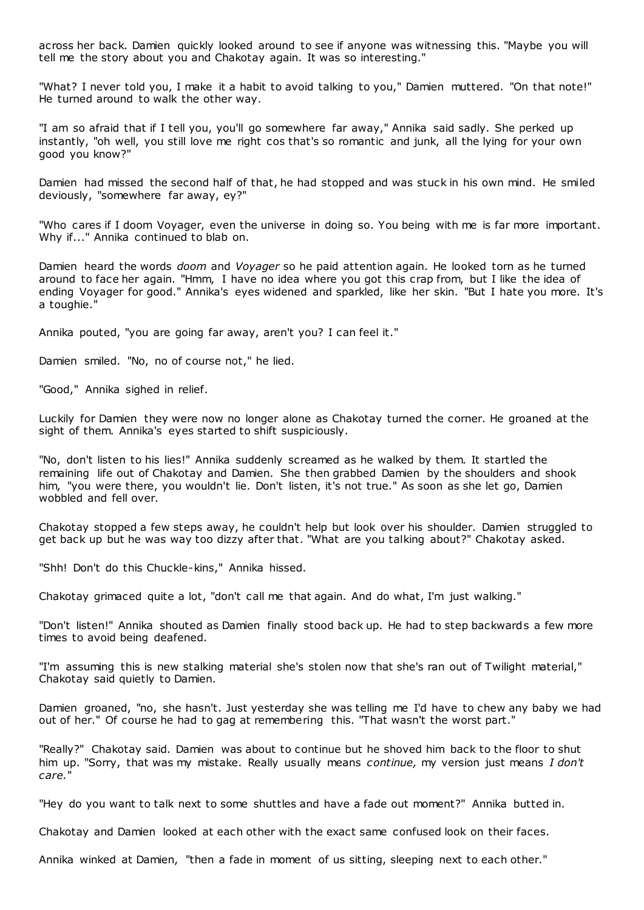across her back. Damien quickly looked around to see if anyone was witnessing this. "Maybe you will tell me the story about you and Chakotay again. It was so interesting."

"What? I never told you, I make it a habit to avoid talking to you," Damien muttered. "On that note!" He turned around to walk the other way.

"I am so afraid that if I tell you, you'll go somewhere far away," Annika said sadly. She perked up instantly, "oh well, you still love me right cos that's so romantic and junk, all the lying for your own good you know?"

Damien had missed the second half of that, he had stopped and was stuck in his own mind. He smiled deviously, "somewhere far away, ey?"

"Who cares if I doom Voyager, even the universe in doing so. You being with me is far more important. Why if..." Annika continued to blab on.

Damien heard the words *doom* and *Voyager* so he paid attention again. He looked torn as he turned around to face her again. "Hmm, I have no idea where you got this crap from, but I like the idea of ending Voyager for good." Annika's eyes widened and sparkled, like her skin. "But I hate you more. It's a toughie."

Annika pouted, "you are going far away, aren't you? I can feel it."

Damien smiled. "No, no of course not," he lied.

"Good," Annika sighed in relief.

Luckily for Damien they were now no longer alone as Chakotay turned the corner. He groaned at the sight of them. Annika's eyes started to shift suspiciously.

"No, don't listen to his lies!" Annika suddenly screamed as he walked by them. It startled the remaining life out of Chakotay and Damien. She then grabbed Damien by the shoulders and shook him, "you were there, you wouldn't lie. Don't listen, it's not true." As soon as she let go, Damien wobbled and fell over.

Chakotay stopped a few steps away, he couldn't help but look over his shoulder. Damien struggled to get back up but he was way too dizzy after that. "What are you talking about?" Chakotay asked.

"Shh! Don't do this Chuckle-kins," Annika hissed.

Chakotay grimaced quite a lot, "don't call me that again. And do what, I'm just walking."

"Don't listen!" Annika shouted as Damien finally stood back up. He had to step backwards a few more times to avoid being deafened.

"I'm assuming this is new stalking material she's stolen now that she's ran out of Twilight material," Chakotay said quietly to Damien.

Damien groaned, "no, she hasn't. Just yesterday she was telling me I'd have to chew any baby we had out of her." Of course he had to gag at remembering this. "That wasn't the worst part."

"Really?" Chakotay said. Damien was about to continue but he shoved him back to the floor to shut him up. "Sorry, that was my mistake. Really usually means *continue,* my version just means *I don't care.*"

"Hey do you want to talk next to some shuttles and have a fade out moment?" Annika butted in.

Chakotay and Damien looked at each other with the exact same confused look on their faces.

Annika winked at Damien, "then a fade in moment of us sitting, sleeping next to each other."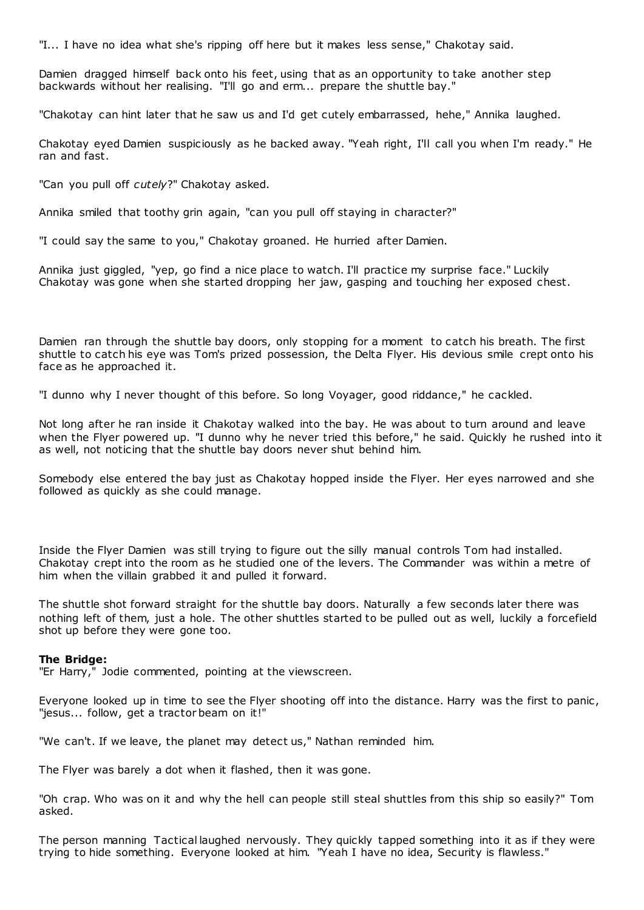"I... I have no idea what she's ripping off here but it makes less sense," Chakotay said.

Damien dragged himself back onto his feet, using that as an opportunity to take another step backwards without her realising. "I'll go and erm... prepare the shuttle bay."

"Chakotay can hint later that he saw us and I'd get cutely embarrassed, hehe," Annika laughed.

Chakotay eyed Damien suspiciously as he backed away. "Yeah right, I'll call you when I'm ready." He ran and fast.

"Can you pull off *cutely*?" Chakotay asked.

Annika smiled that toothy grin again, "can you pull off staying in character?"

"I could say the same to you," Chakotay groaned. He hurried after Damien.

Annika just giggled, "yep, go find a nice place to watch. I'll practice my surprise face." Luckily Chakotay was gone when she started dropping her jaw, gasping and touching her exposed chest.

Damien ran through the shuttle bay doors, only stopping for a moment to catch his breath. The first shuttle to catch his eye was Tom's prized possession, the Delta Flyer. His devious smile crept onto his face as he approached it.

"I dunno why I never thought of this before. So long Voyager, good riddance," he cackled.

Not long after he ran inside it Chakotay walked into the bay. He was about to turn around and leave when the Flyer powered up. "I dunno why he never tried this before," he said. Quickly he rushed into it as well, not noticing that the shuttle bay doors never shut behind him.

Somebody else entered the bay just as Chakotay hopped inside the Flyer. Her eyes narrowed and she followed as quickly as she could manage.

Inside the Flyer Damien was still trying to figure out the silly manual controls Tom had installed. Chakotay crept into the room as he studied one of the levers. The Commander was within a metre of him when the villain grabbed it and pulled it forward.

The shuttle shot forward straight for the shuttle bay doors. Naturally a few seconds later there was nothing left of them, just a hole. The other shuttles started to be pulled out as well, luckily a forcefield shot up before they were gone too.

# **The Bridge:**

"Er Harry," Jodie commented, pointing at the viewscreen.

Everyone looked up in time to see the Flyer shooting off into the distance. Harry was the first to panic, "jesus... follow, get a tractor beam on it!"

"We can't. If we leave, the planet may detect us," Nathan reminded him.

The Flyer was barely a dot when it flashed, then it was gone.

"Oh crap. Who was on it and why the hell can people still steal shuttles from this ship so easily?" Tom asked.

The person manning Tactical laughed nervously. They quickly tapped something into it as if they were trying to hide something. Everyone looked at him. "Yeah I have no idea, Security is flawless."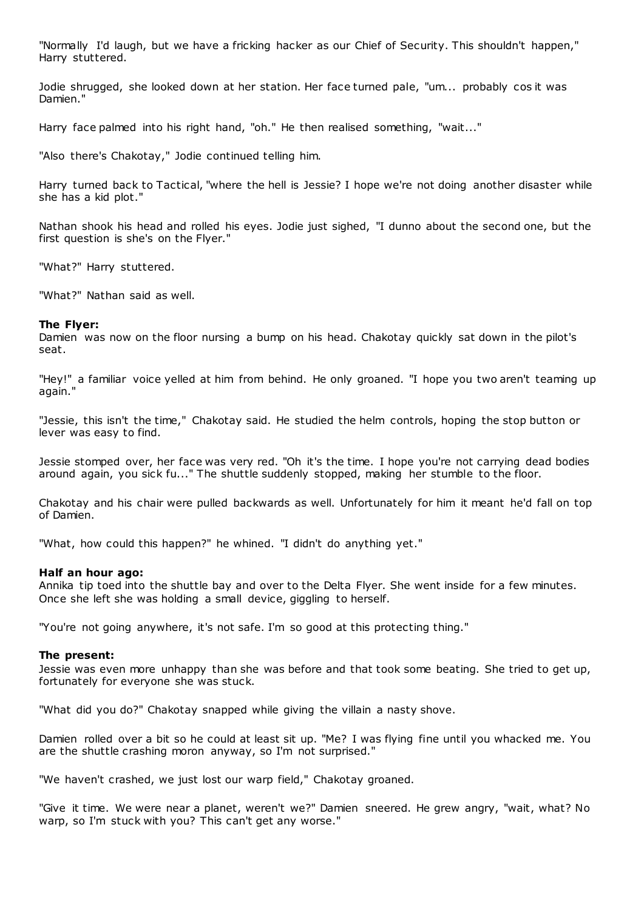"Normally I'd laugh, but we have a fricking hacker as our Chief of Security. This shouldn't happen," Harry stuttered.

Jodie shrugged, she looked down at her station. Her face turned pale, "um... probably cos it was Damien."

Harry face palmed into his right hand, "oh." He then realised something, "wait..."

"Also there's Chakotay," Jodie continued telling him.

Harry turned back to Tactical, "where the hell is Jessie? I hope we're not doing another disaster while she has a kid plot."

Nathan shook his head and rolled his eyes. Jodie just sighed, "I dunno about the second one, but the first question is she's on the Flyer."

"What?" Harry stuttered.

"What?" Nathan said as well.

## **The Flyer:**

Damien was now on the floor nursing a bump on his head. Chakotay quickly sat down in the pilot's seat.

"Hey!" a familiar voice yelled at him from behind. He only groaned. "I hope you two aren't teaming up again."

"Jessie, this isn't the time," Chakotay said. He studied the helm controls, hoping the stop button or lever was easy to find.

Jessie stomped over, her face was very red. "Oh it's the time. I hope you're not carrying dead bodies around again, you sick fu..." The shuttle suddenly stopped, making her stumble to the floor.

Chakotay and his chair were pulled backwards as well. Unfortunately for him it meant he'd fall on top of Damien.

"What, how could this happen?" he whined. "I didn't do anything yet."

## **Half an hour ago:**

Annika tip toed into the shuttle bay and over to the Delta Flyer. She went inside for a few minutes. Once she left she was holding a small device, giggling to herself.

"You're not going anywhere, it's not safe. I'm so good at this protecting thing."

### **The present:**

Jessie was even more unhappy than she was before and that took some beating. She tried to get up, fortunately for everyone she was stuck.

"What did you do?" Chakotay snapped while giving the villain a nasty shove.

Damien rolled over a bit so he could at least sit up. "Me? I was flying fine until you whacked me. You are the shuttle crashing moron anyway, so I'm not surprised."

"We haven't crashed, we just lost our warp field," Chakotay groaned.

"Give it time. We were near a planet, weren't we?" Damien sneered. He grew angry, "wait, what? No warp, so I'm stuck with you? This can't get any worse."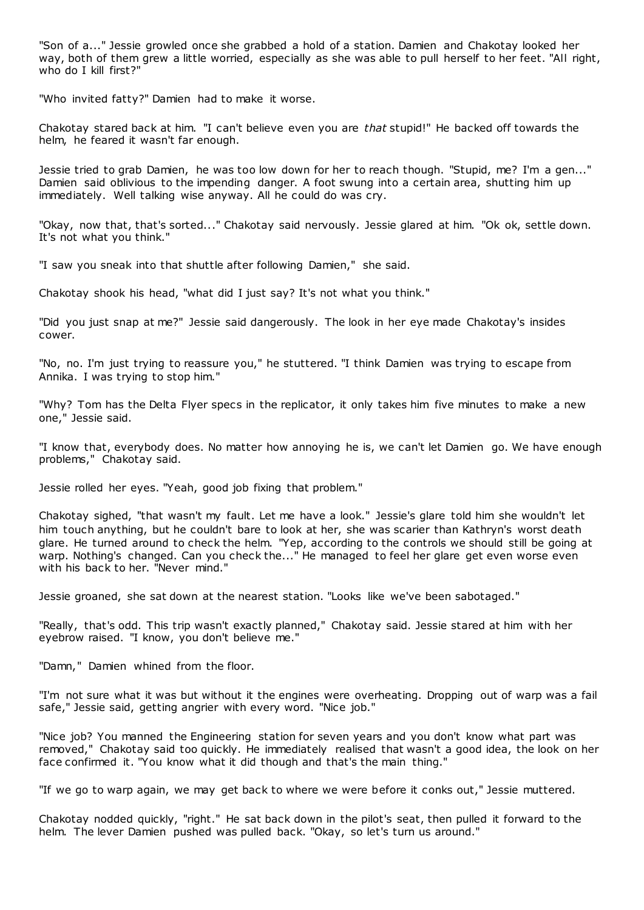"Son of a..." Jessie growled once she grabbed a hold of a station. Damien and Chakotay looked her way, both of them grew a little worried, especially as she was able to pull herself to her feet. "All right, who do I kill first?"

"Who invited fatty?" Damien had to make it worse.

Chakotay stared back at him. "I can't believe even you are *that* stupid!" He backed off towards the helm, he feared it wasn't far enough.

Jessie tried to grab Damien, he was too low down for her to reach though. "Stupid, me? I'm a gen..." Damien said oblivious to the impending danger. A foot swung into a certain area, shutting him up immediately. Well talking wise anyway. All he could do was cry.

"Okay, now that, that's sorted..." Chakotay said nervously. Jessie glared at him. "Ok ok, settle down. It's not what you think."

"I saw you sneak into that shuttle after following Damien," she said.

Chakotay shook his head, "what did I just say? It's not what you think."

"Did you just snap at me?" Jessie said dangerously. The look in her eye made Chakotay's insides cower.

"No, no. I'm just trying to reassure you," he stuttered. "I think Damien was trying to escape from Annika. I was trying to stop him."

"Why? Tom has the Delta Flyer specs in the replicator, it only takes him five minutes to make a new one," Jessie said.

"I know that, everybody does. No matter how annoying he is, we can't let Damien go. We have enough problems," Chakotay said.

Jessie rolled her eyes. "Yeah, good job fixing that problem."

Chakotay sighed, "that wasn't my fault. Let me have a look." Jessie's glare told him she wouldn't let him touch anything, but he couldn't bare to look at her, she was scarier than Kathryn's worst death glare. He turned around to check the helm. "Yep, according to the controls we should still be going at warp. Nothing's changed. Can you check the..." He managed to feel her glare get even worse even with his back to her. "Never mind."

Jessie groaned, she sat down at the nearest station. "Looks like we've been sabotaged."

"Really, that's odd. This trip wasn't exactly planned," Chakotay said. Jessie stared at him with her eyebrow raised. "I know, you don't believe me."

"Damn," Damien whined from the floor.

"I'm not sure what it was but without it the engines were overheating. Dropping out of warp was a fail safe," Jessie said, getting angrier with every word. "Nice job."

"Nice job? You manned the Engineering station for seven years and you don't know what part was removed," Chakotay said too quickly. He immediately realised that wasn't a good idea, the look on her face confirmed it. "You know what it did though and that's the main thing."

"If we go to warp again, we may get back to where we were before it conks out," Jessie muttered.

Chakotay nodded quickly, "right." He sat back down in the pilot's seat, then pulled it forward to the helm. The lever Damien pushed was pulled back. "Okay, so let's turn us around."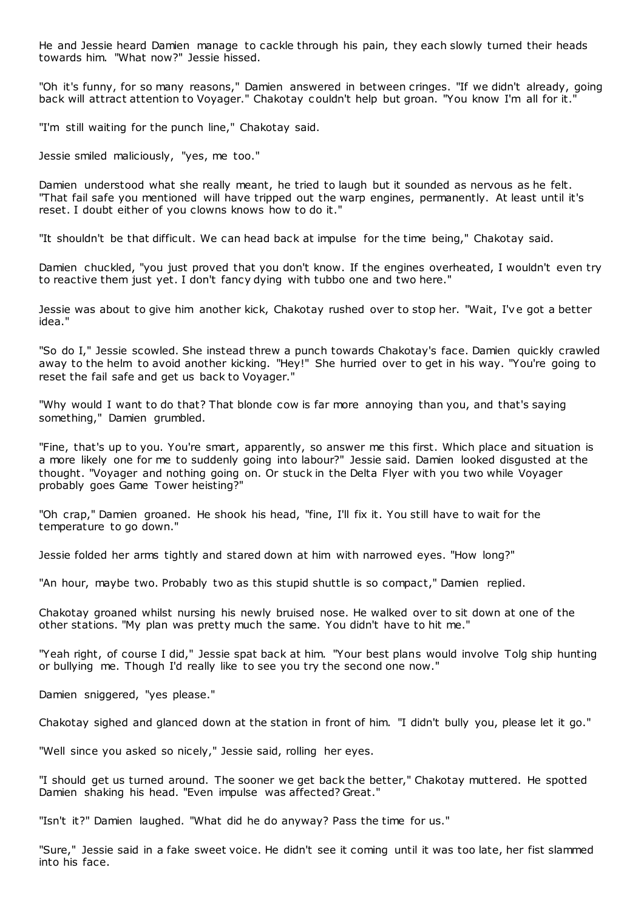He and Jessie heard Damien manage to cackle through his pain, they each slowly turned their heads towards him. "What now?" Jessie hissed.

"Oh it's funny, for so many reasons," Damien answered in between cringes. "If we didn't already, going back will attract attention to Voyager." Chakotay c ouldn't help but groan. "You know I'm all for it."

"I'm still waiting for the punch line," Chakotay said.

Jessie smiled maliciously, "yes, me too."

Damien understood what she really meant, he tried to laugh but it sounded as nervous as he felt. "That fail safe you mentioned will have tripped out the warp engines, permanently. At least until it's reset. I doubt either of you clowns knows how to do it."

"It shouldn't be that difficult. We can head back at impulse for the time being," Chakotay said.

Damien chuckled, "you just proved that you don't know. If the engines overheated, I wouldn't even try to reactive them just yet. I don't fancy dying with tubbo one and two here."

Jessie was about to give him another kick, Chakotay rushed over to stop her. "Wait, I've got a better idea."

"So do I," Jessie scowled. She instead threw a punch towards Chakotay's face. Damien quickly crawled away to the helm to avoid another kicking. "Hey!" She hurried over to get in his way. "You're going to reset the fail safe and get us back to Voyager."

"Why would I want to do that? That blonde cow is far more annoying than you, and that's saying something," Damien grumbled.

"Fine, that's up to you. You're smart, apparently, so answer me this first. Which place and situation is a more likely one for me to suddenly going into labour?" Jessie said. Damien looked disgusted at the thought. "Voyager and nothing going on. Or stuck in the Delta Flyer with you two while Voyager probably goes Game Tower heisting?"

"Oh crap," Damien groaned. He shook his head, "fine, I'll fix it. You still have to wait for the temperature to go down."

Jessie folded her arms tightly and stared down at him with narrowed eyes. "How long?"

"An hour, maybe two. Probably two as this stupid shuttle is so compact," Damien replied.

Chakotay groaned whilst nursing his newly bruised nose. He walked over to sit down at one of the other stations. "My plan was pretty much the same. You didn't have to hit me."

"Yeah right, of course I did," Jessie spat back at him. "Your best plans would involve Tolg ship hunting or bullying me. Though I'd really like to see you try the second one now."

Damien sniggered, "yes please."

Chakotay sighed and glanced down at the station in front of him. "I didn't bully you, please let it go."

"Well since you asked so nicely," Jessie said, rolling her eyes.

"I should get us turned around. The sooner we get back the better," Chakotay muttered. He spotted Damien shaking his head. "Even impulse was affected? Great."

"Isn't it?" Damien laughed. "What did he do anyway? Pass the time for us."

"Sure," Jessie said in a fake sweet voice. He didn't see it coming until it was too late, her fist slammed into his face.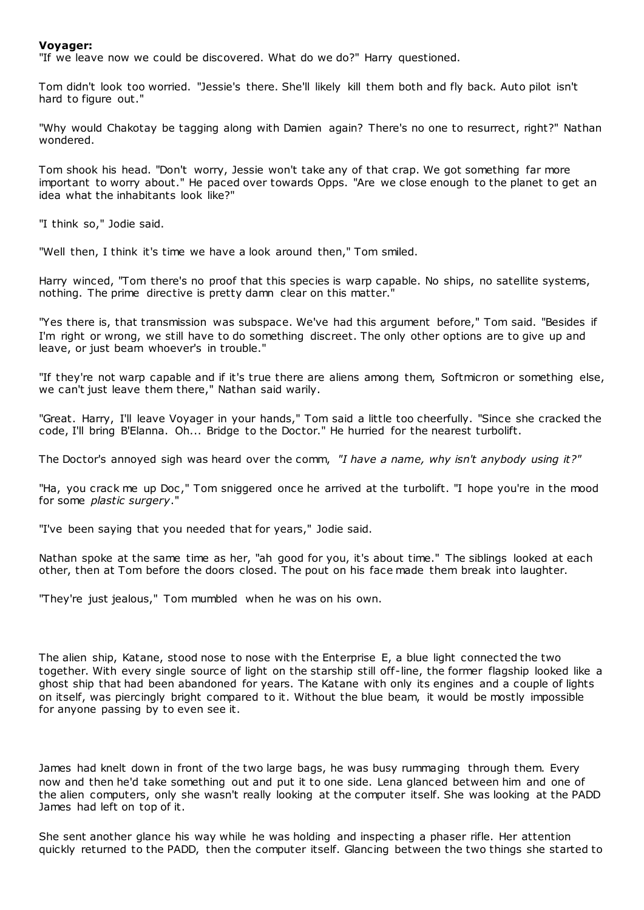# **Voyager:**

"If we leave now we could be discovered. What do we do?" Harry questioned.

Tom didn't look too worried. "Jessie's there. She'll likely kill them both and fly back. Auto pilot isn't hard to figure out."

"Why would Chakotay be tagging along with Damien again? There's no one to resurrect, right?" Nathan wondered.

Tom shook his head. "Don't worry, Jessie won't take any of that crap. We got something far more important to worry about." He paced over towards Opps. "Are we close enough to the planet to get an idea what the inhabitants look like?"

"I think so," Jodie said.

"Well then, I think it's time we have a look around then," Tom smiled.

Harry winced, "Tom there's no proof that this species is warp capable. No ships, no satellite systems, nothing. The prime directive is pretty damn clear on this matter."

"Yes there is, that transmission was subspace. We've had this argument before," Tom said. "Besides if I'm right or wrong, we still have to do something discreet. The only other options are to give up and leave, or just beam whoever's in trouble."

"If they're not warp capable and if it's true there are aliens among them, Softmicron or something else, we can't just leave them there," Nathan said warily.

"Great. Harry, I'll leave Voyager in your hands," Tom said a little too cheerfully. "Since she cracked the code, I'll bring B'Elanna. Oh... Bridge to the Doctor." He hurried for the nearest turbolift.

The Doctor's annoyed sigh was heard over the comm, *"I have a name, why isn't anybody using it?"*

"Ha, you crack me up Doc ," Tom sniggered once he arrived at the turbolift. "I hope you're in the mood for some *plastic surgery*."

"I've been saying that you needed that for years," Jodie said.

Nathan spoke at the same time as her, "ah good for you, it's about time." The siblings looked at each other, then at Tom before the doors closed. The pout on his face made them break into laughter.

"They're just jealous," Tom mumbled when he was on his own.

The alien ship, Katane, stood nose to nose with the Enterprise E, a blue light connected the two together. With every single source of light on the starship still off-line, the former flagship looked like a ghost ship that had been abandoned for years. The Katane with only its engines and a couple of lights on itself, was piercingly bright compared to it. Without the blue beam, it would be mostly impossible for anyone passing by to even see it.

James had knelt down in front of the two large bags, he was busy rummaging through them. Every now and then he'd take something out and put it to one side. Lena glanced between him and one of the alien computers, only she wasn't really looking at the computer itself. She was looking at the PADD James had left on top of it.

She sent another glance his way while he was holding and inspecting a phaser rifle. Her attention quickly returned to the PADD, then the computer itself. Glancing between the two things she started to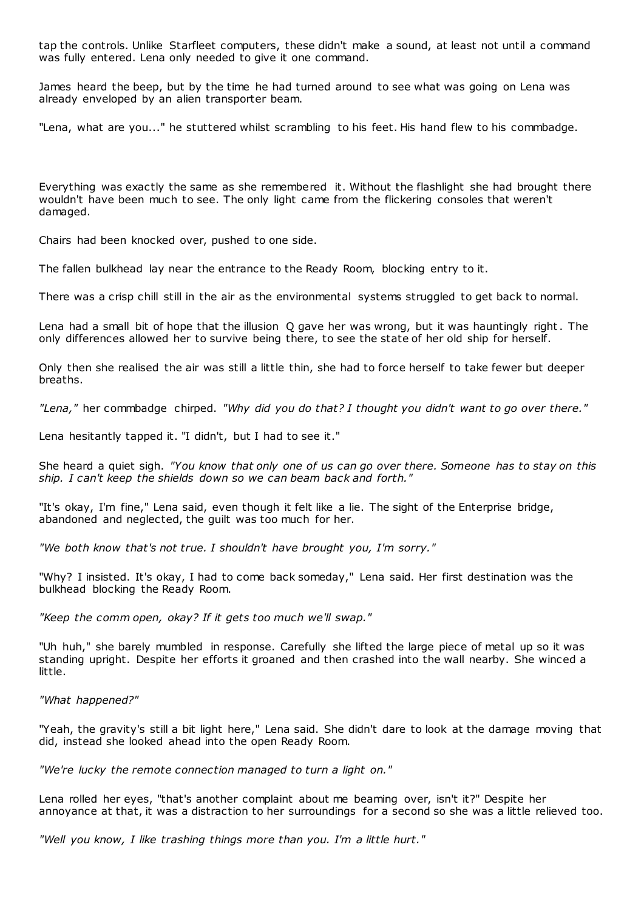tap the controls. Unlike Starfleet computers, these didn't make a sound, at least not until a command was fully entered. Lena only needed to give it one command.

James heard the beep, but by the time he had turned around to see what was going on Lena was already enveloped by an alien transporter beam.

"Lena, what are you..." he stuttered whilst scrambling to his feet. His hand flew to his commbadge.

Everything was exactly the same as she remembered it. Without the flashlight she had brought there wouldn't have been much to see. The only light came from the flickering consoles that weren't damaged.

Chairs had been knocked over, pushed to one side.

The fallen bulkhead lay near the entrance to the Ready Room, blocking entry to it.

There was a crisp chill still in the air as the environmental systems struggled to get back to normal.

Lena had a small bit of hope that the illusion Q gave her was wrong, but it was hauntingly right. The only differences allowed her to survive being there, to see the state of her old ship for herself.

Only then she realised the air was still a little thin, she had to force herself to take fewer but deeper breaths.

*"Lena,"* her commbadge chirped. *"Why did you do that? I thought you didn't want to go over there."*

Lena hesitantly tapped it. "I didn't, but I had to see it."

She heard a quiet sigh. *"You know that only one of us can go over there. Someone has to stay on this ship. I can't keep the shields down so we can beam back and forth."*

"It's okay, I'm fine," Lena said, even though it felt like a lie. The sight of the Enterprise bridge, abandoned and neglected, the guilt was too much for her.

*"We both know that's not true. I shouldn't have brought you, I'm sorry."*

"Why? I insisted. It's okay, I had to come back someday," Lena said. Her first destination was the bulkhead blocking the Ready Room.

*"Keep the comm open, okay? If it gets too much we'll swap."*

"Uh huh," she barely mumbled in response. Carefully she lifted the large piece of metal up so it was standing upright. Despite her efforts it groaned and then crashed into the wall nearby. She winced a little.

*"What happened?"*

"Yeah, the gravity's still a bit light here," Lena said. She didn't dare to look at the damage moving that did, instead she looked ahead into the open Ready Room.

*"We're lucky the remote connection managed to turn a light on."*

Lena rolled her eyes, "that's another complaint about me beaming over, isn't it?" Despite her annoyance at that, it was a distraction to her surroundings for a second so she was a little relieved too.

*"Well you know, I like trashing things more than you. I'm a little hurt."*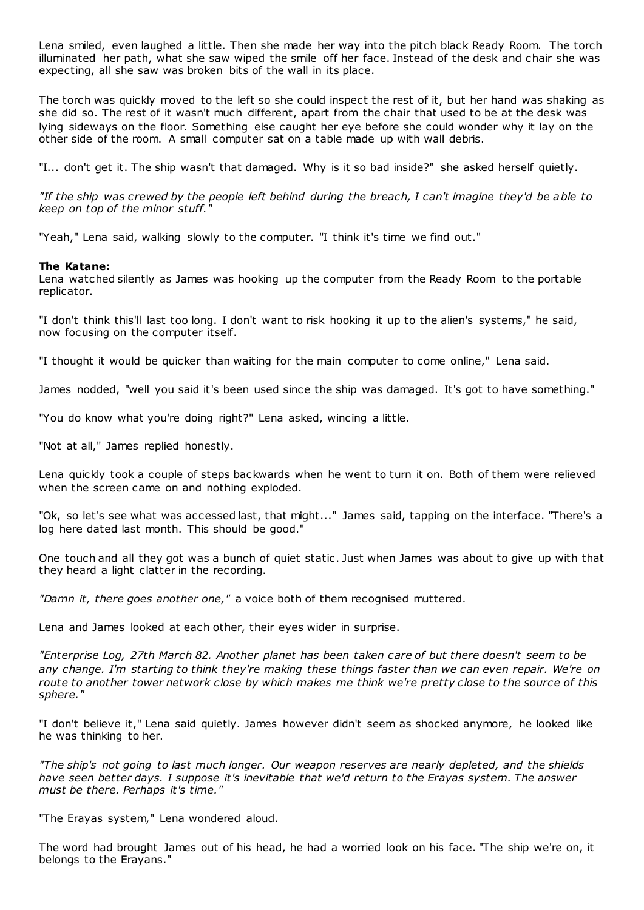Lena smiled, even laughed a little. Then she made her way into the pitch black Ready Room. The torch illuminated her path, what she saw wiped the smile off her face. Instead of the desk and chair she was expecting, all she saw was broken bits of the wall in its place.

The torch was quickly moved to the left so she could inspect the rest of it, but her hand was shaking as she did so. The rest of it wasn't much different, apart from the chair that used to be at the desk was lying sideways on the floor. Something else caught her eye before she could wonder why it lay on the other side of the room. A small computer sat on a table made up with wall debris.

"I... don't get it. The ship wasn't that damaged. Why is it so bad inside?" she asked herself quietly.

*"If the ship was crewed by the people left behind during the breach, I can't imagine they'd be able to keep on top of the minor stuff."*

"Yeah," Lena said, walking slowly to the computer. "I think it's time we find out."

# **The Katane:**

Lena watched silently as James was hooking up the computer from the Ready Room to the portable replicator.

"I don't think this'll last too long. I don't want to risk hooking it up to the alien's systems," he said, now focusing on the computer itself.

"I thought it would be quicker than waiting for the main computer to come online," Lena said.

James nodded, "well you said it's been used since the ship was damaged. It's got to have something."

"You do know what you're doing right?" Lena asked, wincing a little.

"Not at all," James replied honestly.

Lena quickly took a couple of steps backwards when he went to turn it on. Both of them were relieved when the screen came on and nothing exploded.

"Ok, so let's see what was accessed last, that might..." James said, tapping on the interface. "There's a log here dated last month. This should be good."

One touch and all they got was a bunch of quiet static . Just when James was about to give up with that they heard a light clatter in the recording.

*"Damn it, there goes another one,"* a voice both of them recognised muttered.

Lena and James looked at each other, their eyes wider in surprise.

*"Enterprise Log, 27th March 82. Another planet has been taken care of but there doesn't seem to be any change. I'm starting to think they're making these things faster than we can even repair. We're on route to another tower network close by which makes me think we're pretty close to the source of this sphere."*

"I don't believe it," Lena said quietly. James however didn't seem as shocked anymore, he looked like he was thinking to her.

*"The ship's not going to last much longer. Our weapon reserves are nearly depleted, and the shields have seen better days. I suppose it's inevitable that we'd return to the Erayas system. The answer must be there. Perhaps it's time."*

"The Erayas system," Lena wondered aloud.

The word had brought James out of his head, he had a worried look on his face. "The ship we're on, it belongs to the Erayans."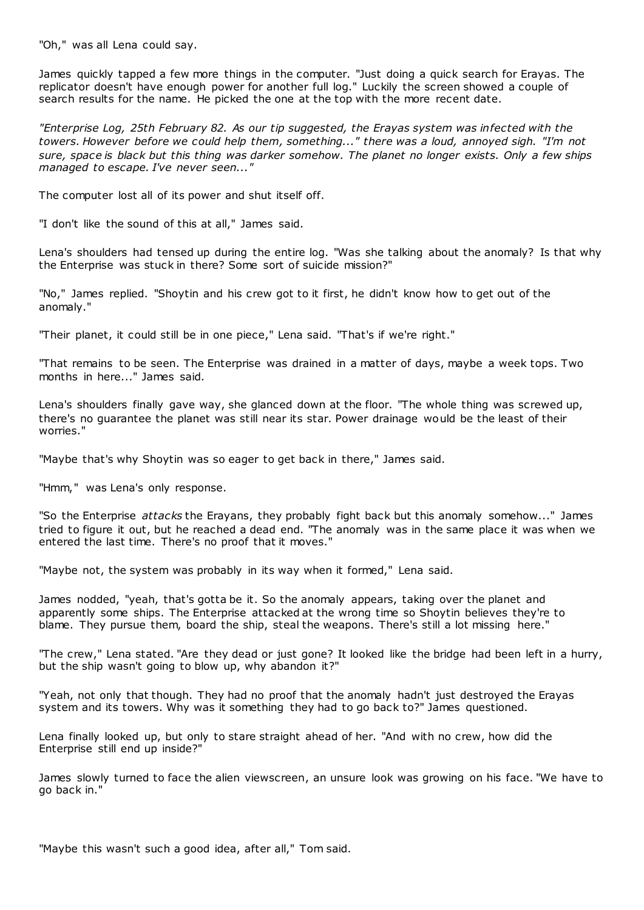"Oh," was all Lena could say.

James quickly tapped a few more things in the computer. "Just doing a quick search for Erayas. The replicator doesn't have enough power for another full log." Luckily the screen showed a couple of search results for the name. He picked the one at the top with the more recent date.

*"Enterprise Log, 25th February 82. As our tip suggested, the Erayas system was infected with the towers. However before we could help them, something..." there was a loud, annoyed sigh. "I'm not sure, space is black but this thing was darker somehow. The planet no longer exists. Only a few ships managed to escape. I've never seen..."*

The computer lost all of its power and shut itself off.

"I don't like the sound of this at all," James said.

Lena's shoulders had tensed up during the entire log. "Was she talking about the anomaly? Is that why the Enterprise was stuck in there? Some sort of suicide mission?"

"No," James replied. "Shoytin and his crew got to it first, he didn't know how to get out of the anomaly."

"Their planet, it could still be in one piece," Lena said. "That's if we're right."

"That remains to be seen. The Enterprise was drained in a matter of days, maybe a week tops. Two months in here..." James said.

Lena's shoulders finally gave way, she glanced down at the floor. "The whole thing was screwed up, there's no guarantee the planet was still near its star. Power drainage would be the least of their worries."

"Maybe that's why Shoytin was so eager to get back in there," James said.

"Hmm," was Lena's only response.

"So the Enterprise *attacks* the Erayans, they probably fight back but this anomaly somehow..." James tried to figure it out, but he reached a dead end. "The anomaly was in the same place it was when we entered the last time. There's no proof that it moves."

"Maybe not, the system was probably in its way when it formed," Lena said.

James nodded, "yeah, that's gotta be it. So the anomaly appears, taking over the planet and apparently some ships. The Enterprise attacked at the wrong time so Shoytin believes they're to blame. They pursue them, board the ship, steal the weapons. There's still a lot missing here."

"The crew," Lena stated. "Are they dead or just gone? It looked like the bridge had been left in a hurry, but the ship wasn't going to blow up, why abandon it?"

"Yeah, not only that though. They had no proof that the anomaly hadn't just destroyed the Erayas system and its towers. Why was it something they had to go back to?" James questioned.

Lena finally looked up, but only to stare straight ahead of her. "And with no crew, how did the Enterprise still end up inside?"

James slowly turned to face the alien viewscreen, an unsure look was growing on his face. "We have to go back in."

"Maybe this wasn't such a good idea, after all," Tom said.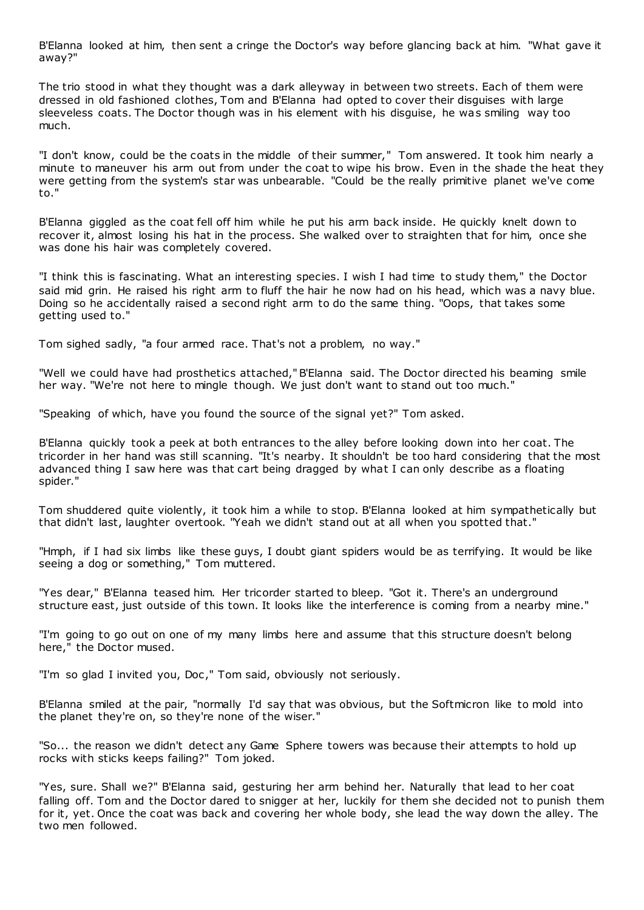B'Elanna looked at him, then sent a cringe the Doctor's way before glancing back at him. "What gave it away?"

The trio stood in what they thought was a dark alleyway in between two streets. Each of them were dressed in old fashioned clothes, Tom and B'Elanna had opted to cover their disguises with large sleeveless coats. The Doctor though was in his element with his disguise, he was smiling way too much.

"I don't know, could be the coats in the middle of their summer," Tom answered. It took him nearly a minute to maneuver his arm out from under the coat to wipe his brow. Even in the shade the heat they were getting from the system's star was unbearable. "Could be the really primitive planet we've come to."

B'Elanna giggled as the coat fell off him while he put his arm back inside. He quickly knelt down to recover it, almost losing his hat in the process. She walked over to straighten that for him, once she was done his hair was completely covered.

"I think this is fascinating. What an interesting species. I wish I had time to study them," the Doctor said mid grin. He raised his right arm to fluff the hair he now had on his head, which was a navy blue. Doing so he accidentally raised a second right arm to do the same thing. "Oops, that takes some getting used to."

Tom sighed sadly, "a four armed race. That's not a problem, no way."

"Well we could have had prosthetics attached," B'Elanna said. The Doctor directed his beaming smile her way. "We're not here to mingle though. We just don't want to stand out too much."

"Speaking of which, have you found the source of the signal yet?" Tom asked.

B'Elanna quickly took a peek at both entrances to the alley before looking down into her coat. The tricorder in her hand was still scanning. "It's nearby. It shouldn't be too hard considering that the most advanced thing I saw here was that cart being dragged by what I can only describe as a floating spider."

Tom shuddered quite violently, it took him a while to stop. B'Elanna looked at him sympathetically but that didn't last, laughter overtook. "Yeah we didn't stand out at all when you spotted that."

"Hmph, if I had six limbs like these guys, I doubt giant spiders would be as terrifying. It would be like seeing a dog or something," Tom muttered.

"Yes dear," B'Elanna teased him. Her tricorder started to bleep. "Got it. There's an underground structure east, just outside of this town. It looks like the interference is coming from a nearby mine."

"I'm going to go out on one of my many limbs here and assume that this structure doesn't belong here," the Doctor mused.

"I'm so glad I invited you, Doc ," Tom said, obviously not seriously.

B'Elanna smiled at the pair, "normally I'd say that was obvious, but the Softmicron like to mold into the planet they're on, so they're none of the wiser."

"So... the reason we didn't detect any Game Sphere towers was because their attempts to hold up rocks with sticks keeps failing?" Tom joked.

"Yes, sure. Shall we?" B'Elanna said, gesturing her arm behind her. Naturally that lead to her coat falling off. Tom and the Doctor dared to snigger at her, luckily for them she decided not to punish them for it, yet. Once the coat was back and covering her whole body, she lead the way down the alley. The two men followed.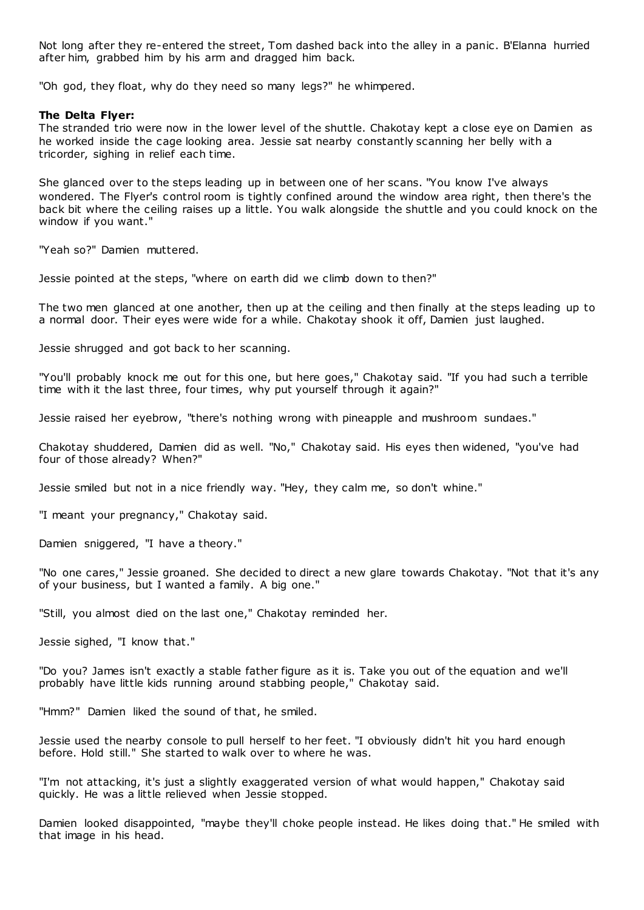Not long after they re-entered the street, Tom dashed back into the alley in a panic . B'Elanna hurried after him, grabbed him by his arm and dragged him back.

"Oh god, they float, why do they need so many legs?" he whimpered.

## **The Delta Flyer:**

The stranded trio were now in the lower level of the shuttle. Chakotay kept a close eye on Damien as he worked inside the cage looking area. Jessie sat nearby constantly scanning her belly with a tricorder, sighing in relief each time.

She glanced over to the steps leading up in between one of her scans. "You know I've always wondered. The Flyer's control room is tightly confined around the window area right, then there's the back bit where the ceiling raises up a little. You walk alongside the shuttle and you could knock on the window if you want."

"Yeah so?" Damien muttered.

Jessie pointed at the steps, "where on earth did we climb down to then?"

The two men glanced at one another, then up at the ceiling and then finally at the steps leading up to a normal door. Their eyes were wide for a while. Chakotay shook it off, Damien just laughed.

Jessie shrugged and got back to her scanning.

"You'll probably knock me out for this one, but here goes," Chakotay said. "If you had such a terrible time with it the last three, four times, why put yourself through it again?"

Jessie raised her eyebrow, "there's nothing wrong with pineapple and mushroom sundaes."

Chakotay shuddered, Damien did as well. "No," Chakotay said. His eyes then widened, "you've had four of those already? When?"

Jessie smiled but not in a nice friendly way. "Hey, they calm me, so don't whine."

"I meant your pregnancy," Chakotay said.

Damien sniggered, "I have a theory."

"No one cares," Jessie groaned. She decided to direct a new glare towards Chakotay. "Not that it's any of your business, but I wanted a family. A big one."

"Still, you almost died on the last one," Chakotay reminded her.

Jessie sighed, "I know that."

"Do you? James isn't exactly a stable father figure as it is. Take you out of the equation and we'll probably have little kids running around stabbing people," Chakotay said.

"Hmm?" Damien liked the sound of that, he smiled.

Jessie used the nearby console to pull herself to her feet. "I obviously didn't hit you hard enough before. Hold still." She started to walk over to where he was.

"I'm not attacking, it's just a slightly exaggerated version of what would happen," Chakotay said quickly. He was a little relieved when Jessie stopped.

Damien looked disappointed, "maybe they'll choke people instead. He likes doing that." He smiled with that image in his head.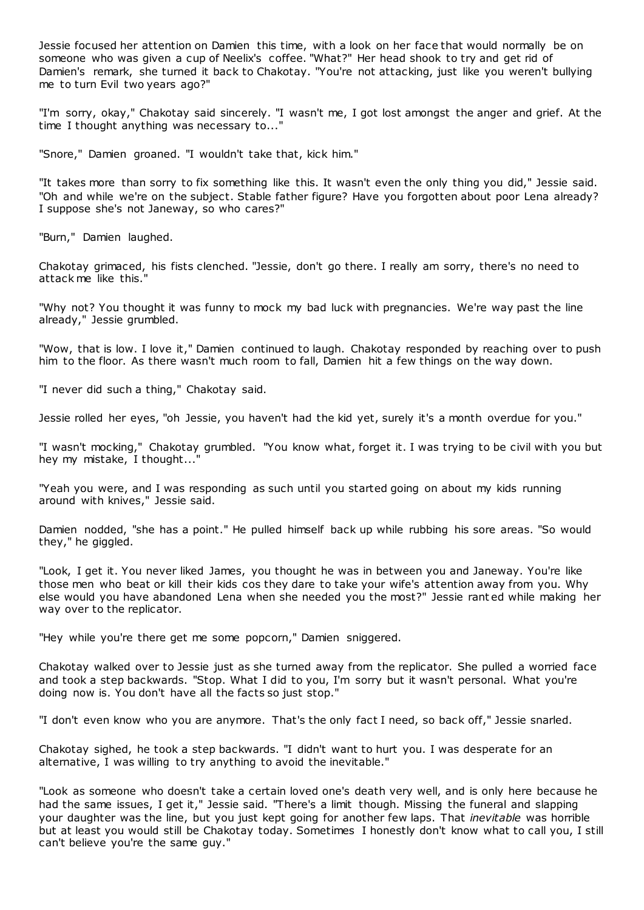Jessie focused her attention on Damien this time, with a look on her face that would normally be on someone who was given a cup of Neelix's coffee. "What?" Her head shook to try and get rid of Damien's remark, she turned it back to Chakotay. "You're not attacking, just like you weren't bullying me to turn Evil two years ago?"

"I'm sorry, okay," Chakotay said sincerely. "I wasn't me, I got lost amongst the anger and grief. At the time I thought anything was necessary to..."

"Snore," Damien groaned. "I wouldn't take that, kick him."

"It takes more than sorry to fix something like this. It wasn't even the only thing you did," Jessie said. "Oh and while we're on the subject. Stable father figure? Have you forgotten about poor Lena already? I suppose she's not Janeway, so who cares?"

"Burn," Damien laughed.

Chakotay grimaced, his fists clenched. "Jessie, don't go there. I really am sorry, there's no need to attack me like this."

"Why not? You thought it was funny to mock my bad luck with pregnancies. We're way past the line already," Jessie grumbled.

"Wow, that is low. I love it," Damien continued to laugh. Chakotay responded by reaching over to push him to the floor. As there wasn't much room to fall, Damien hit a few things on the way down.

"I never did such a thing," Chakotay said.

Jessie rolled her eyes, "oh Jessie, you haven't had the kid yet, surely it's a month overdue for you."

"I wasn't mocking," Chakotay grumbled. "You know what, forget it. I was trying to be civil with you but hey my mistake, I thought...

"Yeah you were, and I was responding as such until you started going on about my kids running around with knives," Jessie said.

Damien nodded, "she has a point." He pulled himself back up while rubbing his sore areas. "So would they," he giggled.

"Look, I get it. You never liked James, you thought he was in between you and Janeway. You're like those men who beat or kill their kids cos they dare to take your wife's attention away from you. Why else would you have abandoned Lena when she needed you the most?" Jessie rant ed while making her way over to the replicator.

"Hey while you're there get me some popcorn," Damien sniggered.

Chakotay walked over to Jessie just as she turned away from the replicator. She pulled a worried face and took a step backwards. "Stop. What I did to you, I'm sorry but it wasn't personal. What you're doing now is. You don't have all the facts so just stop."

"I don't even know who you are anymore. That's the only fact I need, so back off," Jessie snarled.

Chakotay sighed, he took a step backwards. "I didn't want to hurt you. I was desperate for an alternative, I was willing to try anything to avoid the inevitable."

"Look as someone who doesn't take a certain loved one's death very well, and is only here because he had the same issues, I get it," Jessie said. "There's a limit though. Missing the funeral and slapping your daughter was the line, but you just kept going for another few laps. That *inevitable* was horrible but at least you would still be Chakotay today. Sometimes I honestly don't know what to call you, I still can't believe you're the same guy."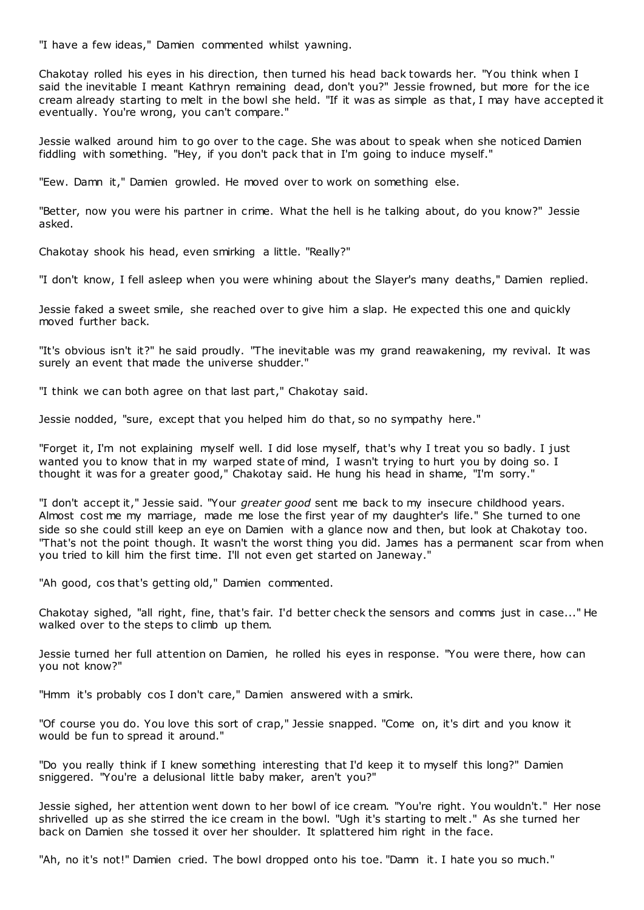"I have a few ideas," Damien commented whilst yawning.

Chakotay rolled his eyes in his direction, then turned his head back towards her. "You think when I said the inevitable I meant Kathryn remaining dead, don't you?" Jessie frowned, but more for the ice cream already starting to melt in the bowl she held. "If it was as simple as that, I may have accepted it eventually. You're wrong, you can't compare."

Jessie walked around him to go over to the cage. She was about to speak when she noticed Damien fiddling with something. "Hey, if you don't pack that in I'm going to induce myself."

"Eew. Damn it," Damien growled. He moved over to work on something else.

"Better, now you were his partner in crime. What the hell is he talking about, do you know?" Jessie asked.

Chakotay shook his head, even smirking a little. "Really?"

"I don't know, I fell asleep when you were whining about the Slayer's many deaths," Damien replied.

Jessie faked a sweet smile, she reached over to give him a slap. He expected this one and quickly moved further back.

"It's obvious isn't it?" he said proudly. "The inevitable was my grand reawakening, my revival. It was surely an event that made the universe shudder."

"I think we can both agree on that last part," Chakotay said.

Jessie nodded, "sure, except that you helped him do that, so no sympathy here."

"Forget it, I'm not explaining myself well. I did lose myself, that's why I treat you so badly. I just wanted you to know that in my warped state of mind, I wasn't trying to hurt you by doing so. I thought it was for a greater good," Chakotay said. He hung his head in shame, "I'm sorry."

"I don't accept it," Jessie said. "Your *greater good* sent me back to my insecure childhood years. Almost cost me my marriage, made me lose the first year of my daughter's life." She turned to one side so she could still keep an eye on Damien with a glance now and then, but look at Chakotay too. "That's not the point though. It wasn't the worst thing you did. James has a permanent scar from when you tried to kill him the first time. I'll not even get started on Janeway."

"Ah good, cos that's getting old," Damien commented.

Chakotay sighed, "all right, fine, that's fair. I'd better check the sensors and comms just in case..." He walked over to the steps to climb up them.

Jessie turned her full attention on Damien, he rolled his eyes in response. "You were there, how can you not know?"

"Hmm it's probably cos I don't care," Damien answered with a smirk.

"Of course you do. You love this sort of crap," Jessie snapped. "Come on, it's dirt and you know it would be fun to spread it around."

"Do you really think if I knew something interesting that I'd keep it to myself this long?" Damien sniggered. "You're a delusional little baby maker, aren't you?"

Jessie sighed, her attention went down to her bowl of ice cream. "You're right. You wouldn't." Her nose shrivelled up as she stirred the ice cream in the bowl. "Ugh it's starting to melt." As she turned her back on Damien she tossed it over her shoulder. It splattered him right in the face.

"Ah, no it's not!" Damien cried. The bowl dropped onto his toe. "Damn it. I hate you so much."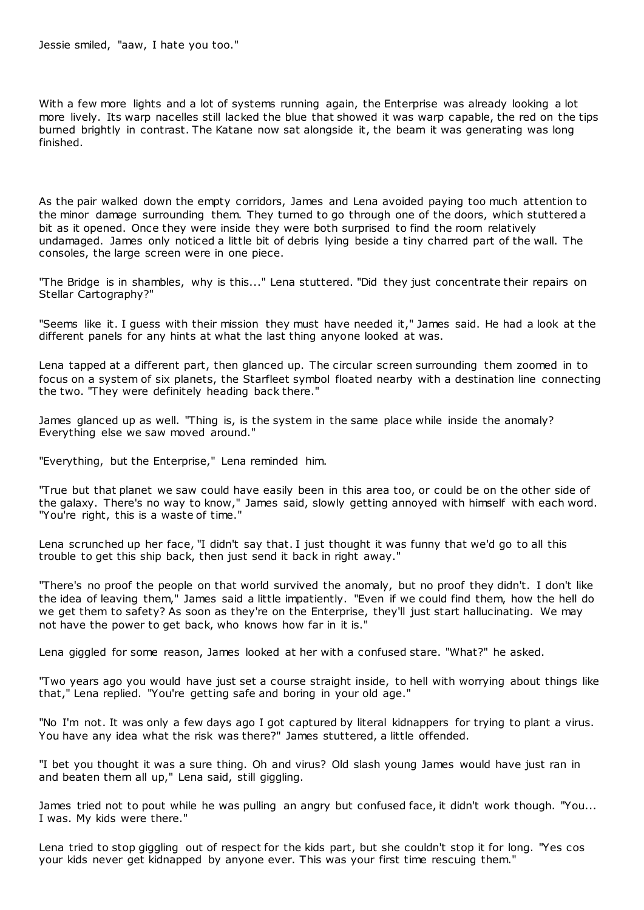Jessie smiled, "aaw, I hate you too."

With a few more lights and a lot of systems running again, the Enterprise was already looking a lot more lively. Its warp nacelles still lacked the blue that showed it was warp capable, the red on the tips burned brightly in contrast. The Katane now sat alongside it, the beam it was generating was long finished.

As the pair walked down the empty corridors, James and Lena avoided paying too much attention to the minor damage surrounding them. They turned to go through one of the doors, which stuttered a bit as it opened. Once they were inside they were both surprised to find the room relatively undamaged. James only noticed a little bit of debris lying beside a tiny charred part of the wall. The consoles, the large screen were in one piece.

"The Bridge is in shambles, why is this..." Lena stuttered. "Did they just concentrate their repairs on Stellar Cartography?"

"Seems like it. I guess with their mission they must have needed it," James said. He had a look at the different panels for any hints at what the last thing anyone looked at was.

Lena tapped at a different part, then glanced up. The circular screen surrounding them zoomed in to focus on a system of six planets, the Starfleet symbol floated nearby with a destination line connecting the two. "They were definitely heading back there."

James glanced up as well. "Thing is, is the system in the same place while inside the anomaly? Everything else we saw moved around."

"Everything, but the Enterprise," Lena reminded him.

"True but that planet we saw could have easily been in this area too, or could be on the other side of the galaxy. There's no way to know," James said, slowly getting annoyed with himself with each word. "You're right, this is a waste of time."

Lena scrunched up her face, "I didn't say that. I just thought it was funny that we'd go to all this trouble to get this ship back, then just send it back in right away."

"There's no proof the people on that world survived the anomaly, but no proof they didn't. I don't like the idea of leaving them," James said a little impatiently. "Even if we could find them, how the hell do we get them to safety? As soon as they're on the Enterprise, they'll just start hallucinating. We may not have the power to get back, who knows how far in it is."

Lena giggled for some reason, James looked at her with a confused stare. "What?" he asked.

"Two years ago you would have just set a course straight inside, to hell with worrying about things like that," Lena replied. "You're getting safe and boring in your old age."

"No I'm not. It was only a few days ago I got captured by literal kidnappers for trying to plant a virus. You have any idea what the risk was there?" James stuttered, a little offended.

"I bet you thought it was a sure thing. Oh and virus? Old slash young James would have just ran in and beaten them all up," Lena said, still giggling.

James tried not to pout while he was pulling an angry but confused face, it didn't work though. "You... I was. My kids were there."

Lena tried to stop giggling out of respect for the kids part, but she couldn't stop it for long. "Yes cos your kids never get kidnapped by anyone ever. This was your first time rescuing them."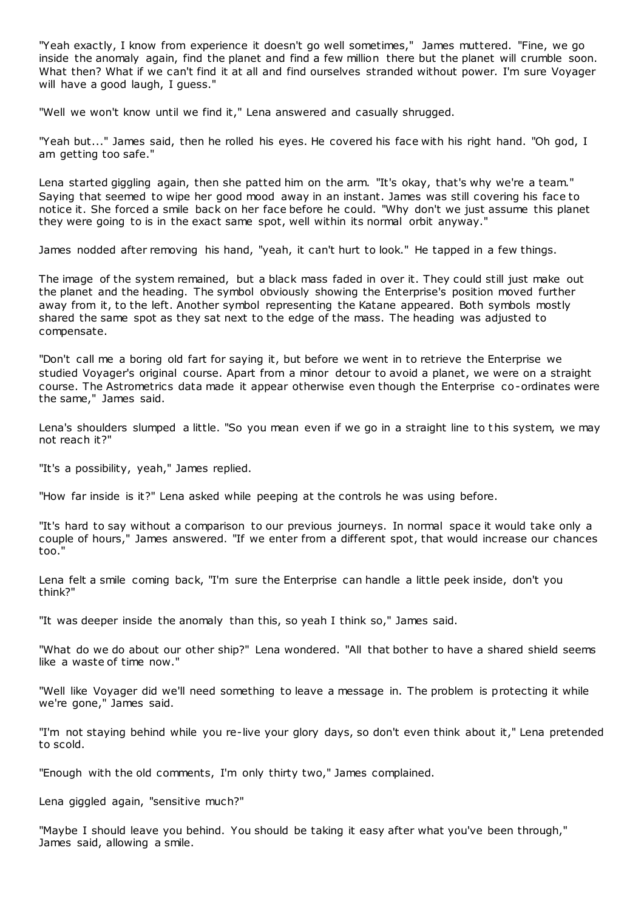"Yeah exactly, I know from experience it doesn't go well sometimes," James muttered. "Fine, we go inside the anomaly again, find the planet and find a few million there but the planet will crumble soon. What then? What if we can't find it at all and find ourselves stranded without power. I'm sure Voyager will have a good laugh, I guess."

"Well we won't know until we find it," Lena answered and casually shrugged.

"Yeah but..." James said, then he rolled his eyes. He covered his face with his right hand. "Oh god, I am getting too safe."

Lena started giggling again, then she patted him on the arm. "It's okay, that's why we're a team." Saying that seemed to wipe her good mood away in an instant. James was still covering his face to notice it. She forced a smile back on her face before he could. "Why don't we just assume this planet they were going to is in the exact same spot, well within its normal orbit anyway."

James nodded after removing his hand, "yeah, it can't hurt to look." He tapped in a few things.

The image of the system remained, but a black mass faded in over it. They could still just make out the planet and the heading. The symbol obviously showing the Enterprise's position moved further away from it, to the left. Another symbol representing the Katane appeared. Both symbols mostly shared the same spot as they sat next to the edge of the mass. The heading was adjusted to compensate.

"Don't call me a boring old fart for saying it, but before we went in to retrieve the Enterprise we studied Voyager's original course. Apart from a minor detour to avoid a planet, we were on a straight course. The Astrometrics data made it appear otherwise even though the Enterprise co-ordinates were the same," James said.

Lena's shoulders slumped a little. "So you mean even if we go in a straight line to t his system, we may not reach it?"

"It's a possibility, yeah," James replied.

"How far inside is it?" Lena asked while peeping at the controls he was using before.

"It's hard to say without a comparison to our previous journeys. In normal space it would take only a couple of hours," James answered. "If we enter from a different spot, that would increase our chances too."

Lena felt a smile coming back, "I'm sure the Enterprise can handle a little peek inside, don't you think?"

"It was deeper inside the anomaly than this, so yeah I think so," James said.

"What do we do about our other ship?" Lena wondered. "All that bother to have a shared shield seems like a waste of time now."

"Well like Voyager did we'll need something to leave a message in. The problem is protecting it while we're gone," James said.

"I'm not staying behind while you re-live your glory days, so don't even think about it," Lena pretended to scold.

"Enough with the old comments, I'm only thirty two," James complained.

Lena giggled again, "sensitive much?"

"Maybe I should leave you behind. You should be taking it easy after what you've been through," James said, allowing a smile.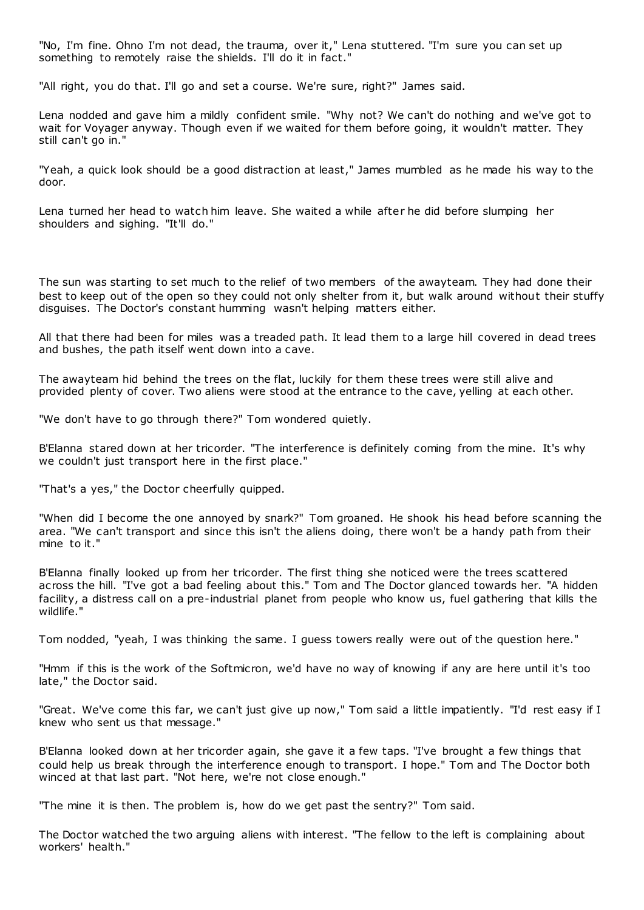"No, I'm fine. Ohno I'm not dead, the trauma, over it," Lena stuttered. "I'm sure you can set up something to remotely raise the shields. I'll do it in fact."

"All right, you do that. I'll go and set a course. We're sure, right?" James said.

Lena nodded and gave him a mildly confident smile. "Why not? We can't do nothing and we've got to wait for Voyager anyway. Though even if we waited for them before going, it wouldn't matter. They still can't go in."

"Yeah, a quick look should be a good distraction at least," James mumbled as he made his way to the door.

Lena turned her head to watch him leave. She waited a while after he did before slumping her shoulders and sighing. "It'll do."

The sun was starting to set much to the relief of two members of the awayteam. They had done their best to keep out of the open so they could not only shelter from it, but walk around without their stuffy disguises. The Doctor's constant humming wasn't helping matters either.

All that there had been for miles was a treaded path. It lead them to a large hill covered in dead trees and bushes, the path itself went down into a cave.

The awayteam hid behind the trees on the flat, luckily for them these trees were still alive and provided plenty of cover. Two aliens were stood at the entrance to the cave, yelling at each other.

"We don't have to go through there?" Tom wondered quietly.

B'Elanna stared down at her tricorder. "The interference is definitely coming from the mine. It's why we couldn't just transport here in the first place."

"That's a yes," the Doctor cheerfully quipped.

"When did I become the one annoyed by snark?" Tom groaned. He shook his head before scanning the area. "We can't transport and since this isn't the aliens doing, there won't be a handy path from their mine to it."

B'Elanna finally looked up from her tricorder. The first thing she noticed were the trees scattered across the hill. "I've got a bad feeling about this." Tom and The Doctor glanced towards her. "A hidden facility, a distress call on a pre-industrial planet from people who know us, fuel gathering that kills the wildlife."

Tom nodded, "yeah, I was thinking the same. I guess towers really were out of the question here."

"Hmm if this is the work of the Softmicron, we'd have no way of knowing if any are here until it's too late," the Doctor said.

"Great. We've come this far, we can't just give up now," Tom said a little impatiently. "I'd rest easy if I knew who sent us that message."

B'Elanna looked down at her tricorder again, she gave it a few taps. "I've brought a few things that could help us break through the interference enough to transport. I hope." Tom and The Doctor both winced at that last part. "Not here, we're not close enough."

"The mine it is then. The problem is, how do we get past the sentry?" Tom said.

The Doctor watched the two arguing aliens with interest. "The fellow to the left is complaining about workers' health."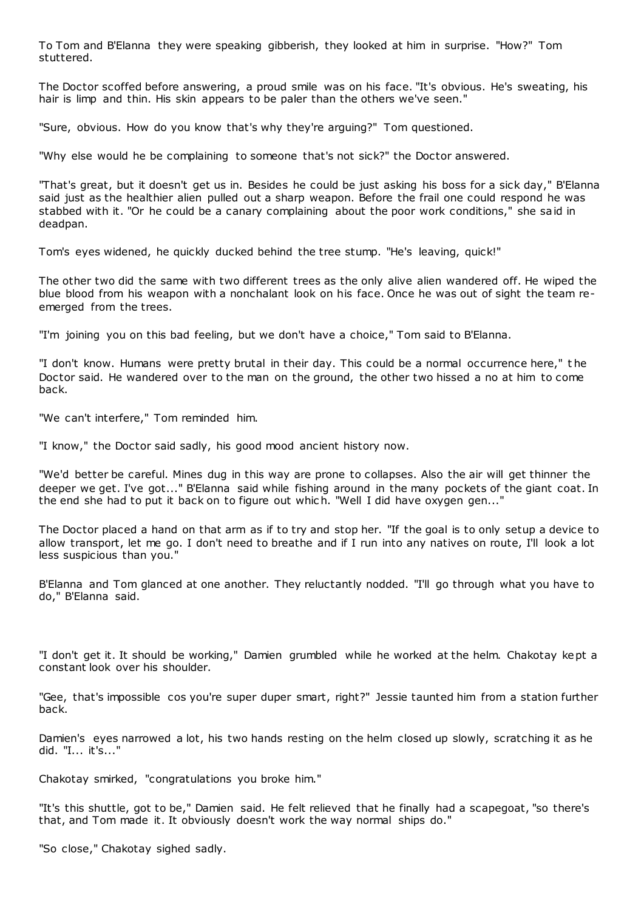To Tom and B'Elanna they were speaking gibberish, they looked at him in surprise. "How?" Tom stuttered.

The Doctor scoffed before answering, a proud smile was on his face. "It's obvious. He's sweating, his hair is limp and thin. His skin appears to be paler than the others we've seen."

"Sure, obvious. How do you know that's why they're arguing?" Tom questioned.

"Why else would he be complaining to someone that's not sick?" the Doctor answered.

"That's great, but it doesn't get us in. Besides he could be just asking his boss for a sick day," B'Elanna said just as the healthier alien pulled out a sharp weapon. Before the frail one could respond he was stabbed with it. "Or he could be a canary complaining about the poor work conditions," she said in deadpan.

Tom's eyes widened, he quickly ducked behind the tree stump. "He's leaving, quick!"

The other two did the same with two different trees as the only alive alien wandered off. He wiped the blue blood from his weapon with a nonchalant look on his face. Once he was out of sight the team reemerged from the trees.

"I'm joining you on this bad feeling, but we don't have a choice," Tom said to B'Elanna.

"I don't know. Humans were pretty brutal in their day. This could be a normal occurrence here," t he Doctor said. He wandered over to the man on the ground, the other two hissed a no at him to come back.

"We can't interfere," Tom reminded him.

"I know," the Doctor said sadly, his good mood ancient history now.

"We'd better be careful. Mines dug in this way are prone to collapses. Also the air will get thinner the deeper we get. I've got..." B'Elanna said while fishing around in the many pockets of the giant coat. In the end she had to put it back on to figure out which. "Well I did have oxygen gen..."

The Doctor placed a hand on that arm as if to try and stop her. "If the goal is to only setup a device to allow transport, let me go. I don't need to breathe and if I run into any natives on route, I'll look a lot less suspicious than you."

B'Elanna and Tom glanced at one another. They reluctantly nodded. "I'll go through what you have to do," B'Elanna said.

"I don't get it. It should be working," Damien grumbled while he worked at the helm. Chakotay kept a constant look over his shoulder.

"Gee, that's impossible cos you're super duper smart, right?" Jessie taunted him from a station further back.

Damien's eyes narrowed a lot, his two hands resting on the helm closed up slowly, scratching it as he did. "I... it's..."

Chakotay smirked, "congratulations you broke him."

"It's this shuttle, got to be," Damien said. He felt relieved that he finally had a scapegoat, "so there's that, and Tom made it. It obviously doesn't work the way normal ships do."

"So close," Chakotay sighed sadly.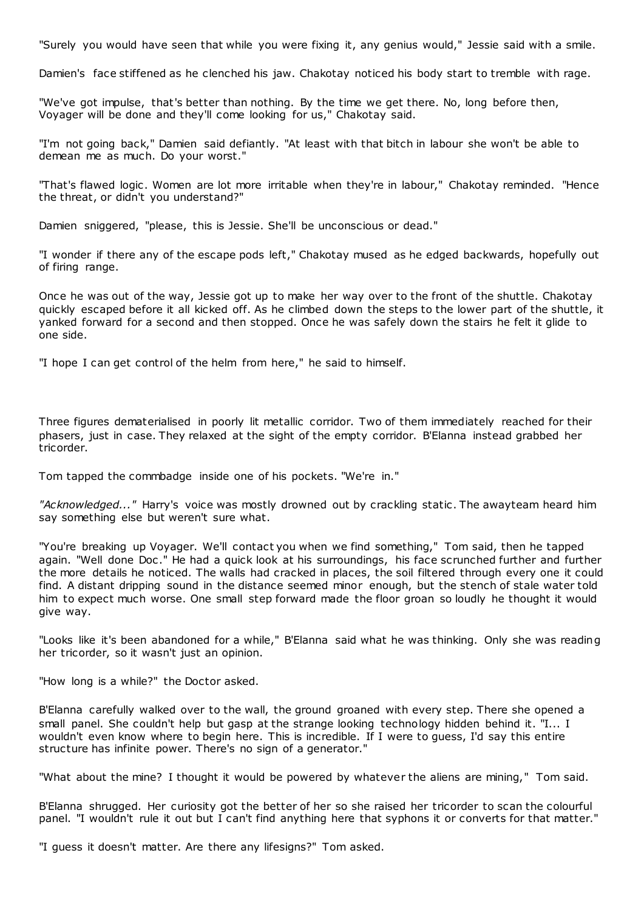"Surely you would have seen that while you were fixing it, any genius would," Jessie said with a smile.

Damien's face stiffened as he clenched his jaw. Chakotay noticed his body start to tremble with rage.

"We've got impulse, that's better than nothing. By the time we get there. No, long before then, Voyager will be done and they'll come looking for us," Chakotay said.

"I'm not going back," Damien said defiantly. "At least with that bitch in labour she won't be able to demean me as much. Do your worst."

"That's flawed logic . Women are lot more irritable when they're in labour," Chakotay reminded. "Hence the threat, or didn't you understand?"

Damien sniggered, "please, this is Jessie. She'll be unconscious or dead."

"I wonder if there any of the escape pods left," Chakotay mused as he edged backwards, hopefully out of firing range.

Once he was out of the way, Jessie got up to make her way over to the front of the shuttle. Chakotay quickly escaped before it all kicked off. As he climbed down the steps to the lower part of the shuttle, it yanked forward for a second and then stopped. Once he was safely down the stairs he felt it glide to one side.

"I hope I can get control of the helm from here," he said to himself.

Three figures dematerialised in poorly lit metallic corridor. Two of them immediately reached for their phasers, just in case. They relaxed at the sight of the empty corridor. B'Elanna instead grabbed her tricorder.

Tom tapped the commbadge inside one of his pockets. "We're in."

*"Acknowledged..."* Harry's voice was mostly drowned out by crackling static . The awayteam heard him say something else but weren't sure what.

"You're breaking up Voyager. We'll contact you when we find something," Tom said, then he tapped again. "Well done Doc ." He had a quick look at his surroundings, his face scrunched further and further the more details he noticed. The walls had cracked in places, the soil filtered through every one it could find. A distant dripping sound in the distance seemed minor enough, but the stench of stale water told him to expect much worse. One small step forward made the floor groan so loudly he thought it would give way.

"Looks like it's been abandoned for a while," B'Elanna said what he was thinking. Only she was reading her tricorder, so it wasn't just an opinion.

"How long is a while?" the Doctor asked.

B'Elanna carefully walked over to the wall, the ground groaned with every step. There she opened a small panel. She couldn't help but gasp at the strange looking technology hidden behind it. "I... I wouldn't even know where to begin here. This is incredible. If I were to guess, I'd say this entire structure has infinite power. There's no sign of a generator."

"What about the mine? I thought it would be powered by whatever the aliens are mining," Tom said.

B'Elanna shrugged. Her curiosity got the better of her so she raised her tricorder to scan the colourful panel. "I wouldn't rule it out but I can't find anything here that syphons it or converts for that matter."

"I guess it doesn't matter. Are there any lifesigns?" Tom asked.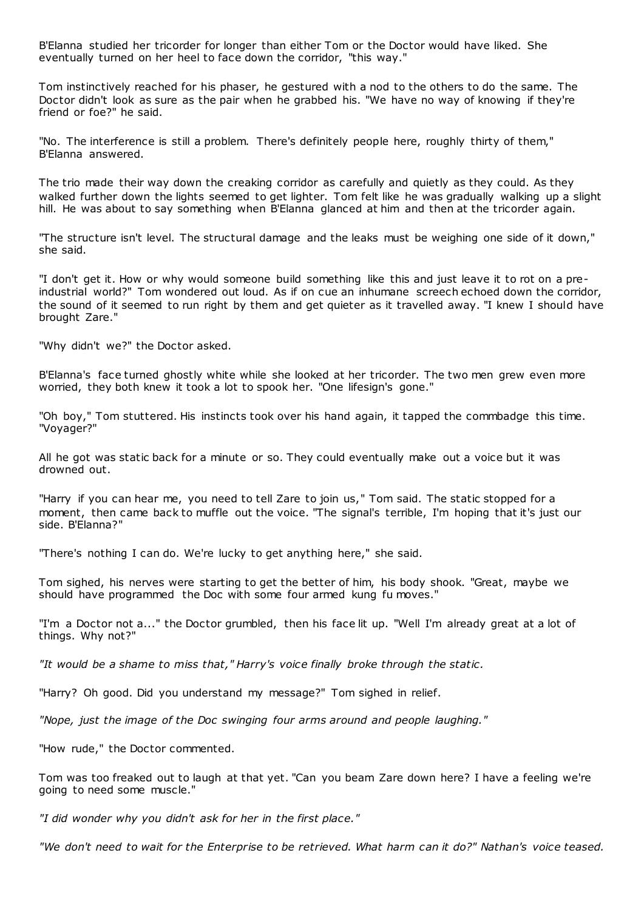B'Elanna studied her tricorder for longer than either Tom or the Doctor would have liked. She eventually turned on her heel to face down the corridor, "this way."

Tom instinctively reached for his phaser, he gestured with a nod to the others to do the same. The Doctor didn't look as sure as the pair when he grabbed his. "We have no way of knowing if they're friend or foe?" he said.

"No. The interference is still a problem. There's definitely people here, roughly thirty of them," B'Elanna answered.

The trio made their way down the creaking corridor as carefully and quietly as they could. As they walked further down the lights seemed to get lighter. Tom felt like he was gradually walking up a slight hill. He was about to say something when B'Elanna glanced at him and then at the tricorder again.

"The structure isn't level. The structural damage and the leaks must be weighing one side of it down," she said.

"I don't get it. How or why would someone build something like this and just leave it to rot on a preindustrial world?" Tom wondered out loud. As if on cue an inhumane screech echoed down the corridor, the sound of it seemed to run right by them and get quieter as it travelled away. "I knew I should have brought Zare."

"Why didn't we?" the Doctor asked.

B'Elanna's face turned ghostly white while she looked at her tricorder. The two men grew even more worried, they both knew it took a lot to spook her. "One lifesign's gone."

"Oh boy," Tom stuttered. His instincts took over his hand again, it tapped the commbadge this time. "Voyager?"

All he got was static back for a minute or so. They could eventually make out a voice but it was drowned out.

"Harry if you can hear me, you need to tell Zare to join us," Tom said. The static stopped for a moment, then came back to muffle out the voice. "The signal's terrible, I'm hoping that it's just our side. B'Elanna?"

"There's nothing I can do. We're lucky to get anything here," she said.

Tom sighed, his nerves were starting to get the better of him, his body shook. "Great, maybe we should have programmed the Doc with some four armed kung fu moves."

"I'm a Doctor not a..." the Doctor grumbled, then his face lit up. "Well I'm already great at a lot of things. Why not?"

*"It would be a shame to miss that," Harry's voice finally broke through the static .*

"Harry? Oh good. Did you understand my message?" Tom sighed in relief.

*"Nope, just the image of the Doc swinging four arms around and people laughing."*

"How rude," the Doctor commented.

Tom was too freaked out to laugh at that yet. "Can you beam Zare down here? I have a feeling we're going to need some muscle."

*"I did wonder why you didn't ask for her in the first place."*

*"We don't need to wait for the Enterprise to be retrieved. What harm can it do?" Nathan's voice teased.*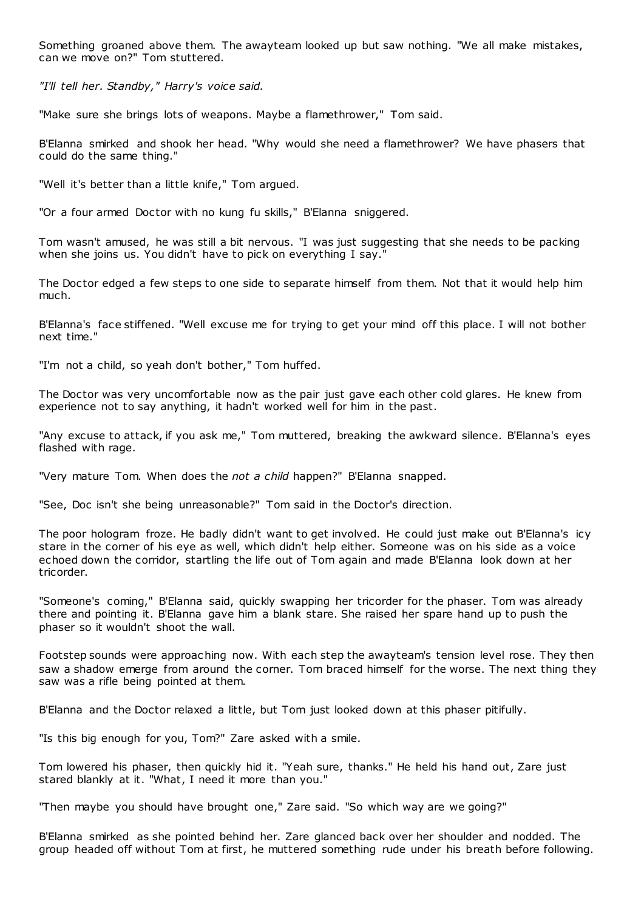Something groaned above them. The awayteam looked up but saw nothing. "We all make mistakes, can we move on?" Tom stuttered.

*"I'll tell her. Standby," Harry's voice said.*

"Make sure she brings lots of weapons. Maybe a flamethrower," Tom said.

B'Elanna smirked and shook her head. "Why would she need a flamethrower? We have phasers that could do the same thing."

"Well it's better than a little knife," Tom argued.

"Or a four armed Doctor with no kung fu skills," B'Elanna sniggered.

Tom wasn't amused, he was still a bit nervous. "I was just suggesting that she needs to be packing when she joins us. You didn't have to pick on everything I say."

The Doctor edged a few steps to one side to separate himself from them. Not that it would help him much.

B'Elanna's face stiffened. "Well excuse me for trying to get your mind off this place. I will not bother next time."

"I'm not a child, so yeah don't bother," Tom huffed.

The Doctor was very uncomfortable now as the pair just gave each other cold glares. He knew from experience not to say anything, it hadn't worked well for him in the past.

"Any excuse to attack, if you ask me," Tom muttered, breaking the awkward silence. B'Elanna's eyes flashed with rage.

"Very mature Tom. When does the *not a child* happen?" B'Elanna snapped.

"See, Doc isn't she being unreasonable?" Tom said in the Doctor's direction.

The poor hologram froze. He badly didn't want to get involved. He could just make out B'Elanna's icy stare in the corner of his eye as well, which didn't help either. Someone was on his side as a voice echoed down the corridor, startling the life out of Tom again and made B'Elanna look down at her tricorder.

"Someone's coming," B'Elanna said, quickly swapping her tricorder for the phaser. Tom was already there and pointing it. B'Elanna gave him a blank stare. She raised her spare hand up to push the phaser so it wouldn't shoot the wall.

Footstep sounds were approaching now. With each step the awayteam's tension level rose. They then saw a shadow emerge from around the corner. Tom braced himself for the worse. The next thing they saw was a rifle being pointed at them.

B'Elanna and the Doctor relaxed a little, but Tom just looked down at this phaser pitifully.

"Is this big enough for you, Tom?" Zare asked with a smile.

Tom lowered his phaser, then quickly hid it. "Yeah sure, thanks." He held his hand out, Zare just stared blankly at it. "What, I need it more than you."

"Then maybe you should have brought one," Zare said. "So which way are we going?"

B'Elanna smirked as she pointed behind her. Zare glanced back over her shoulder and nodded. The group headed off without Tom at first, he muttered something rude under his breath before following.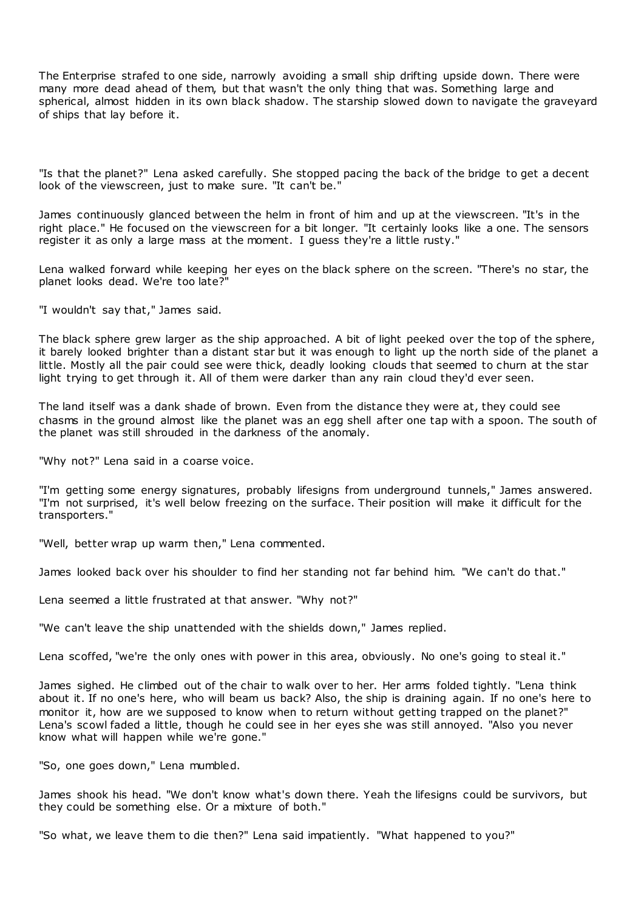The Enterprise strafed to one side, narrowly avoiding a small ship drifting upside down. There were many more dead ahead of them, but that wasn't the only thing that was. Something large and spherical, almost hidden in its own black shadow. The starship slowed down to navigate the graveyard of ships that lay before it.

"Is that the planet?" Lena asked carefully. She stopped pacing the back of the bridge to get a decent look of the viewscreen, just to make sure. "It can't be."

James continuously glanced between the helm in front of him and up at the viewscreen. "It's in the right place." He focused on the viewscreen for a bit longer. "It certainly looks like a one. The sensors register it as only a large mass at the moment. I guess they're a little rusty."

Lena walked forward while keeping her eyes on the black sphere on the screen. "There's no star, the planet looks dead. We're too late?"

"I wouldn't say that," James said.

The black sphere grew larger as the ship approached. A bit of light peeked over the top of the sphere, it barely looked brighter than a distant star but it was enough to light up the north side of the planet a little. Mostly all the pair could see were thick, deadly looking clouds that seemed to churn at the star light trying to get through it. All of them were darker than any rain cloud they'd ever seen.

The land itself was a dank shade of brown. Even from the distance they were at, they could see chasms in the ground almost like the planet was an egg shell after one tap with a spoon. The south of the planet was still shrouded in the darkness of the anomaly.

"Why not?" Lena said in a coarse voice.

"I'm getting some energy signatures, probably lifesigns from underground tunnels," James answered. "I'm not surprised, it's well below freezing on the surface. Their position will make it difficult for the transporters."

"Well, better wrap up warm then," Lena commented.

James looked back over his shoulder to find her standing not far behind him. "We can't do that."

Lena seemed a little frustrated at that answer. "Why not?"

"We can't leave the ship unattended with the shields down," James replied.

Lena scoffed, "we're the only ones with power in this area, obviously. No one's going to steal it."

James sighed. He climbed out of the chair to walk over to her. Her arms folded tightly. "Lena think about it. If no one's here, who will beam us back? Also, the ship is draining again. If no one's here to monitor it, how are we supposed to know when to return without getting trapped on the planet?" Lena's scowl faded a little, though he could see in her eyes she was still annoyed. "Also you never know what will happen while we're gone."

"So, one goes down," Lena mumbled.

James shook his head. "We don't know what's down there. Yeah the lifesigns could be survivors, but they could be something else. Or a mixture of both."

"So what, we leave them to die then?" Lena said impatiently. "What happened to you?"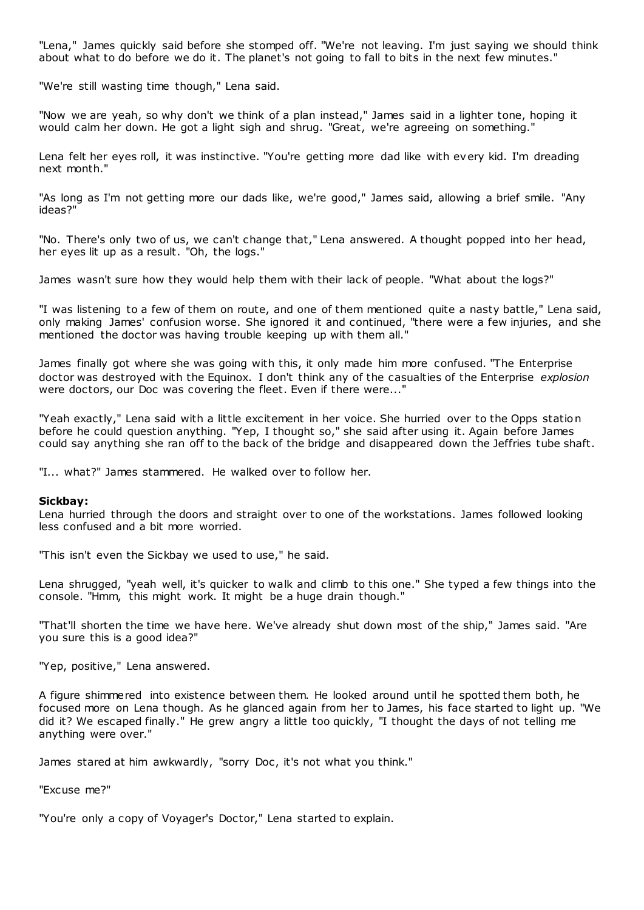"Lena," James quickly said before she stomped off. "We're not leaving. I'm just saying we should think about what to do before we do it. The planet's not going to fall to bits in the next few minutes."

"We're still wasting time though," Lena said.

"Now we are yeah, so why don't we think of a plan instead," James said in a lighter tone, hoping it would calm her down. He got a light sigh and shrug. "Great, we're agreeing on something."

Lena felt her eyes roll, it was instinctive. "You're getting more dad like with every kid. I'm dreading next month."

"As long as I'm not getting more our dads like, we're good," James said, allowing a brief smile. "Any ideas?"

"No. There's only two of us, we can't change that," Lena answered. A thought popped into her head, her eyes lit up as a result. "Oh, the logs."

James wasn't sure how they would help them with their lack of people. "What about the logs?"

"I was listening to a few of them on route, and one of them mentioned quite a nasty battle," Lena said, only making James' confusion worse. She ignored it and continued, "there were a few injuries, and she mentioned the doctor was having trouble keeping up with them all."

James finally got where she was going with this, it only made him more confused. "The Enterprise doctor was destroyed with the Equinox. I don't think any of the casualties of the Enterprise *explosion* were doctors, our Doc was covering the fleet. Even if there were..."

"Yeah exactly," Lena said with a little excitement in her voice. She hurried over to the Opps station before he could question anything. "Yep, I thought so," she said after using it. Again before James could say anything she ran off to the back of the bridge and disappeared down the Jeffries tube shaft.

"I... what?" James stammered. He walked over to follow her.

### **Sickbay:**

Lena hurried through the doors and straight over to one of the workstations. James followed looking less confused and a bit more worried.

"This isn't even the Sickbay we used to use," he said.

Lena shrugged, "yeah well, it's quicker to walk and climb to this one." She typed a few things into the console. "Hmm, this might work. It might be a huge drain though."

"That'll shorten the time we have here. We've already shut down most of the ship," James said. "Are you sure this is a good idea?"

"Yep, positive," Lena answered.

A figure shimmered into existence between them. He looked around until he spotted them both, he focused more on Lena though. As he glanced again from her to James, his face started to light up. "We did it? We escaped finally." He grew angry a little too quickly, "I thought the days of not telling me anything were over."

James stared at him awkwardly, "sorry Doc, it's not what you think."

"Excuse me?"

"You're only a copy of Voyager's Doctor," Lena started to explain.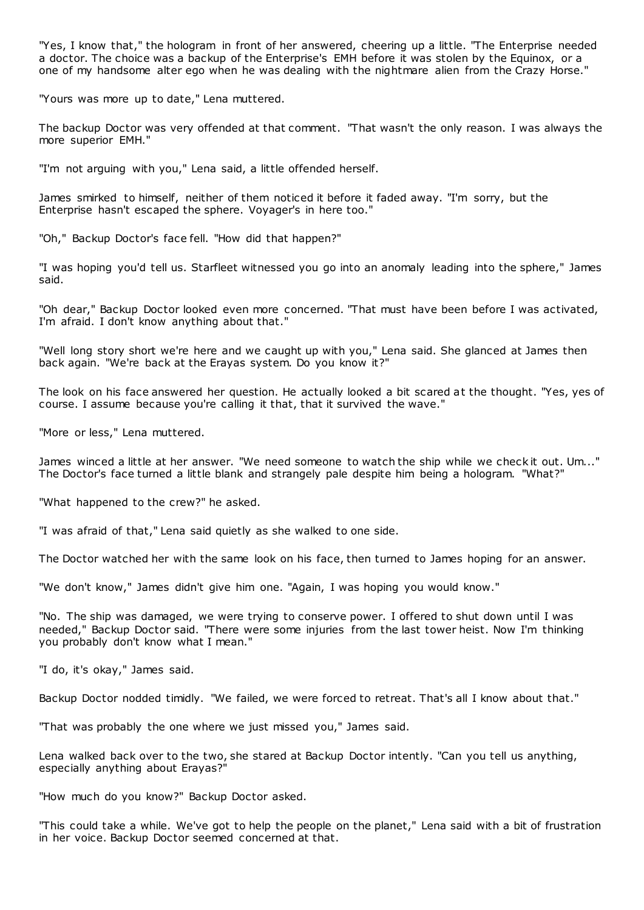"Yes, I know that," the hologram in front of her answered, cheering up a little. "The Enterprise needed a doctor. The choice was a backup of the Enterprise's EMH before it was stolen by the Equinox, or a one of my handsome alter ego when he was dealing with the nightmare alien from the Crazy Horse."

"Yours was more up to date," Lena muttered.

The backup Doctor was very offended at that comment. "That wasn't the only reason. I was always the more superior EMH."

"I'm not arguing with you," Lena said, a little offended herself.

James smirked to himself, neither of them noticed it before it faded away. "I'm sorry, but the Enterprise hasn't escaped the sphere. Voyager's in here too."

"Oh," Backup Doctor's face fell. "How did that happen?"

"I was hoping you'd tell us. Starfleet witnessed you go into an anomaly leading into the sphere," James said.

"Oh dear," Backup Doctor looked even more concerned. "That must have been before I was activated, I'm afraid. I don't know anything about that."

"Well long story short we're here and we caught up with you," Lena said. She glanced at James then back again. "We're back at the Erayas system. Do you know it?"

The look on his face answered her question. He actually looked a bit scared at the thought. "Yes, yes of course. I assume because you're calling it that, that it survived the wave."

"More or less," Lena muttered.

James winced a little at her answer. "We need someone to watch the ship while we check it out. Um..." The Doctor's face turned a little blank and strangely pale despite him being a hologram. "What?"

"What happened to the crew?" he asked.

"I was afraid of that," Lena said quietly as she walked to one side.

The Doctor watched her with the same look on his face, then turned to James hoping for an answer.

"We don't know," James didn't give him one. "Again, I was hoping you would know."

"No. The ship was damaged, we were trying to conserve power. I offered to shut down until I was needed," Backup Doctor said. "There were some injuries from the last tower heist. Now I'm thinking you probably don't know what I mean."

"I do, it's okay," James said.

Backup Doctor nodded timidly. "We failed, we were forced to retreat. That's all I know about that."

"That was probably the one where we just missed you," James said.

Lena walked back over to the two, she stared at Backup Doctor intently. "Can you tell us anything, especially anything about Erayas?"

"How much do you know?" Backup Doctor asked.

"This could take a while. We've got to help the people on the planet," Lena said with a bit of frustration in her voice. Backup Doctor seemed concerned at that.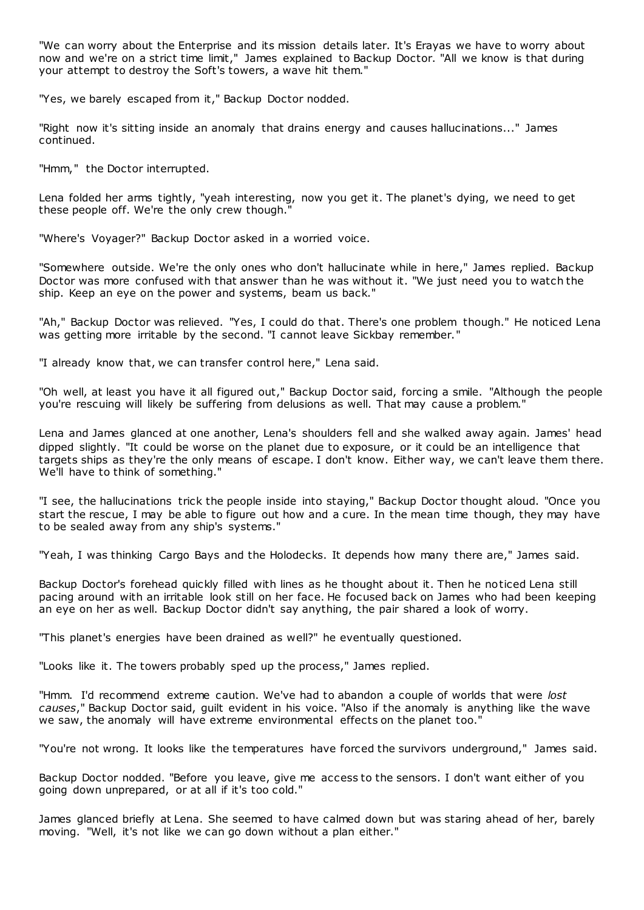"We can worry about the Enterprise and its mission details later. It's Erayas we have to worry about now and we're on a strict time limit," James explained to Backup Doctor. "All we know is that during your attempt to destroy the Soft's towers, a wave hit them."

"Yes, we barely escaped from it," Backup Doctor nodded.

"Right now it's sitting inside an anomaly that drains energy and causes hallucinations..." James continued.

"Hmm," the Doctor interrupted.

Lena folded her arms tightly, "yeah interesting, now you get it. The planet's dying, we need to get these people off. We're the only crew though."

"Where's Voyager?" Backup Doctor asked in a worried voice.

"Somewhere outside. We're the only ones who don't hallucinate while in here," James replied. Backup Doctor was more confused with that answer than he was without it. "We just need you to watch the ship. Keep an eye on the power and systems, beam us back."

"Ah," Backup Doctor was relieved. "Yes, I could do that. There's one problem though." He noticed Lena was getting more irritable by the second. "I cannot leave Sickbay remember."

"I already know that, we can transfer control here," Lena said.

"Oh well, at least you have it all figured out," Backup Doctor said, forcing a smile. "Although the people you're rescuing will likely be suffering from delusions as well. That may cause a problem."

Lena and James glanced at one another, Lena's shoulders fell and she walked away again. James' head dipped slightly. "It could be worse on the planet due to exposure, or it could be an intelligence that targets ships as they're the only means of escape. I don't know. Either way, we can't leave them there. We'll have to think of something."

"I see, the hallucinations trick the people inside into staying," Backup Doctor thought aloud. "Once you start the rescue, I may be able to figure out how and a cure. In the mean time though, they may have to be sealed away from any ship's systems."

"Yeah, I was thinking Cargo Bays and the Holodecks. It depends how many there are," James said.

Backup Doctor's forehead quickly filled with lines as he thought about it. Then he noticed Lena still pacing around with an irritable look still on her face. He focused back on James who had been keeping an eye on her as well. Backup Doctor didn't say anything, the pair shared a look of worry.

"This planet's energies have been drained as well?" he eventually questioned.

"Looks like it. The towers probably sped up the process," James replied.

"Hmm. I'd recommend extreme caution. We've had to abandon a couple of worlds that were *lost causes*," Backup Doctor said, guilt evident in his voice. "Also if the anomaly is anything like the wave we saw, the anomaly will have extreme environmental effects on the planet too."

"You're not wrong. It looks like the temperatures have forced the survivors underground," James said.

Backup Doctor nodded. "Before you leave, give me access to the sensors. I don't want either of you going down unprepared, or at all if it's too cold."

James glanced briefly at Lena. She seemed to have calmed down but was staring ahead of her, barely moving. "Well, it's not like we can go down without a plan either."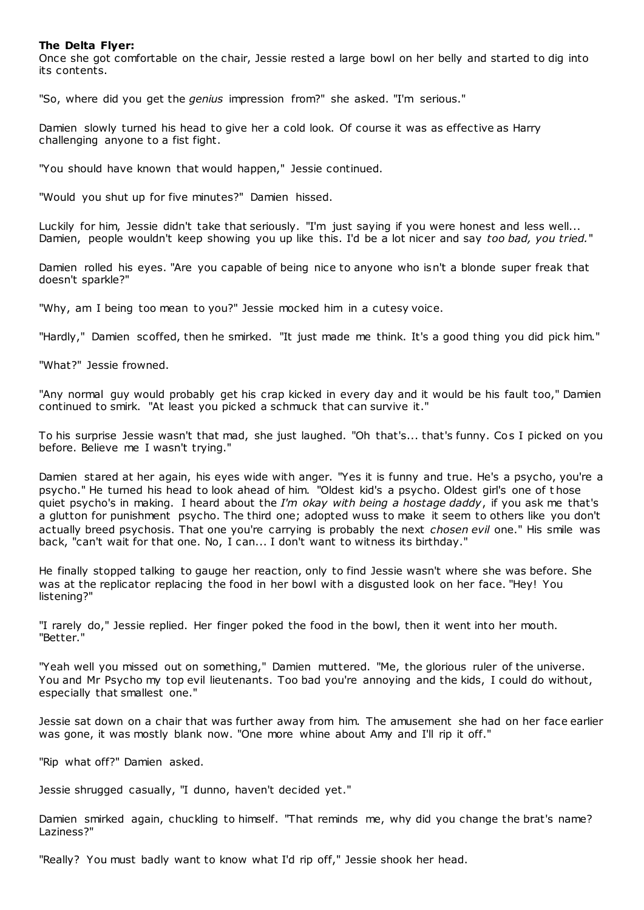# **The Delta Flyer:**

Once she got comfortable on the chair, Jessie rested a large bowl on her belly and started to dig into its contents.

"So, where did you get the *genius* impression from?" she asked. "I'm serious."

Damien slowly turned his head to give her a cold look. Of course it was as effective as Harry challenging anyone to a fist fight.

"You should have known that would happen," Jessie continued.

"Would you shut up for five minutes?" Damien hissed.

Luckily for him, Jessie didn't take that seriously. "I'm just saying if you were honest and less well... Damien, people wouldn't keep showing you up like this. I'd be a lot nicer and say *too bad, you tried.*"

Damien rolled his eyes. "Are you capable of being nice to anyone who isn't a blonde super freak that doesn't sparkle?"

"Why, am I being too mean to you?" Jessie mocked him in a cutesy voice.

"Hardly," Damien scoffed, then he smirked. "It just made me think. It's a good thing you did pick him."

"What?" Jessie frowned.

"Any normal guy would probably get his crap kicked in every day and it would be his fault too," Damien continued to smirk. "At least you picked a schmuck that can survive it."

To his surprise Jessie wasn't that mad, she just laughed. "Oh that's... that's funny. Cos I picked on you before. Believe me I wasn't trying."

Damien stared at her again, his eyes wide with anger. "Yes it is funny and true. He's a psycho, you're a psycho." He turned his head to look ahead of him. "Oldest kid's a psycho. Oldest girl's one of t hose quiet psycho's in making. I heard about the *I'm okay with being a hostage daddy*, if you ask me that's a glutton for punishment psycho. The third one; adopted wuss to make it seem to others like you don't actually breed psychosis. That one you're carrying is probably the next *chosen evil* one." His smile was back, "can't wait for that one. No, I can... I don't want to witness its birthday."

He finally stopped talking to gauge her reaction, only to find Jessie wasn't where she was before. She was at the replicator replacing the food in her bowl with a disgusted look on her face. "Hey! You listening?"

"I rarely do," Jessie replied. Her finger poked the food in the bowl, then it went into her mouth. "Better."

"Yeah well you missed out on something," Damien muttered. "Me, the glorious ruler of the universe. You and Mr Psycho my top evil lieutenants. Too bad you're annoying and the kids, I could do without, especially that smallest one."

Jessie sat down on a chair that was further away from him. The amusement she had on her face earlier was gone, it was mostly blank now. "One more whine about Amy and I'll rip it off."

"Rip what off?" Damien asked.

Jessie shrugged casually, "I dunno, haven't decided yet."

Damien smirked again, chuckling to himself. "That reminds me, why did you change the brat's name? Laziness?"

"Really? You must badly want to know what I'd rip off," Jessie shook her head.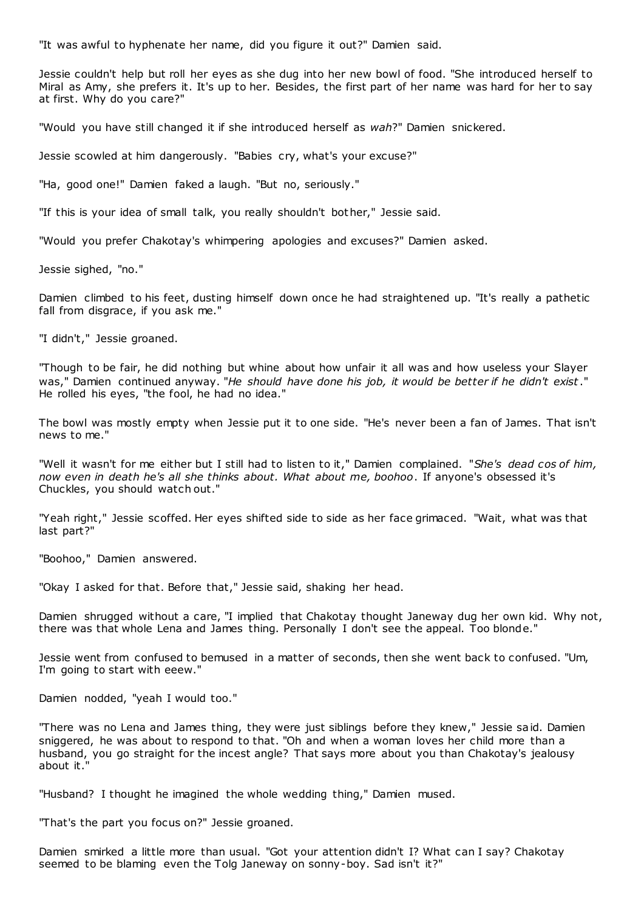"It was awful to hyphenate her name, did you figure it out?" Damien said.

Jessie couldn't help but roll her eyes as she dug into her new bowl of food. "She introduced herself to Miral as Amy, she prefers it. It's up to her. Besides, the first part of her name was hard for her to say at first. Why do you care?"

"Would you have still changed it if she introduced herself as *wah*?" Damien snickered.

Jessie scowled at him dangerously. "Babies cry, what's your excuse?"

"Ha, good one!" Damien faked a laugh. "But no, seriously."

"If this is your idea of small talk, you really shouldn't bother," Jessie said.

"Would you prefer Chakotay's whimpering apologies and excuses?" Damien asked.

Jessie sighed, "no."

Damien climbed to his feet, dusting himself down once he had straightened up. "It's really a pathetic fall from disgrace, if you ask me."

"I didn't," Jessie groaned.

"Though to be fair, he did nothing but whine about how unfair it all was and how useless your Slayer was," Damien continued anyway. "*He should have done his job, it would be better if he didn't exist*." He rolled his eyes, "the fool, he had no idea."

The bowl was mostly empty when Jessie put it to one side. "He's never been a fan of James. That isn't news to me."

"Well it wasn't for me either but I still had to listen to it," Damien complained. "*She's dead cos of him, now even in death he's all she thinks about. What about me, boohoo*. If anyone's obsessed it's Chuckles, you should watch out."

"Yeah right," Jessie scoffed. Her eyes shifted side to side as her face grimaced. "Wait, what was that last part?"

"Boohoo," Damien answered.

"Okay I asked for that. Before that," Jessie said, shaking her head.

Damien shrugged without a care, "I implied that Chakotay thought Janeway dug her own kid. Why not, there was that whole Lena and James thing. Personally I don't see the appeal. Too blonde."

Jessie went from confused to bemused in a matter of seconds, then she went back to confused. "Um, I'm going to start with eeew."

Damien nodded, "yeah I would too."

"There was no Lena and James thing, they were just siblings before they knew," Jessie said. Damien sniggered, he was about to respond to that. "Oh and when a woman loves her child more than a husband, you go straight for the incest angle? That says more about you than Chakotay's jealousy about it."

"Husband? I thought he imagined the whole wedding thing," Damien mused.

"That's the part you focus on?" Jessie groaned.

Damien smirked a little more than usual. "Got your attention didn't I? What can I say? Chakotay seemed to be blaming even the Tolg Janeway on sonny-boy. Sad isn't it?"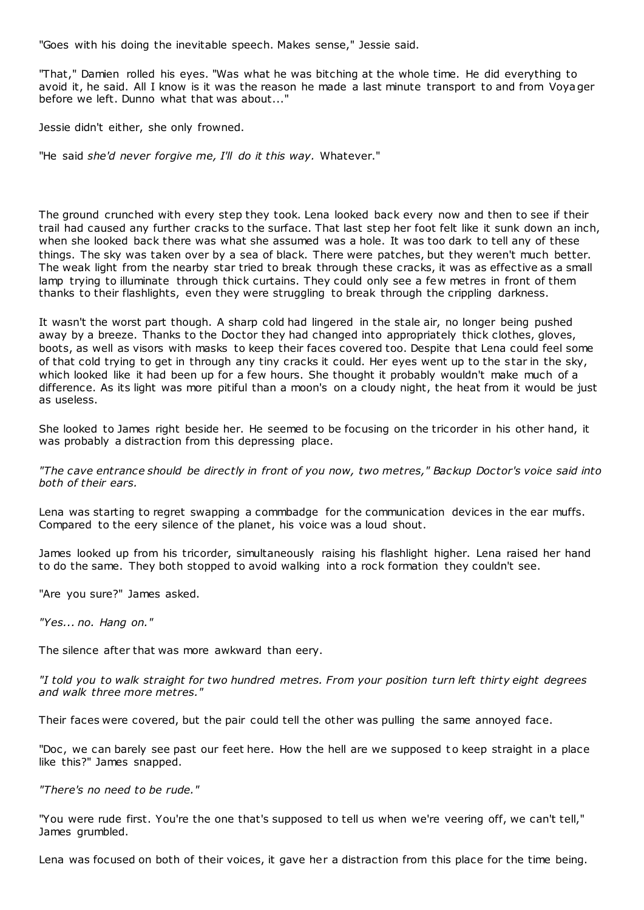"Goes with his doing the inevitable speech. Makes sense," Jessie said.

"That," Damien rolled his eyes. "Was what he was bitching at the whole time. He did everything to avoid it, he said. All I know is it was the reason he made a last minute transport to and from Voyager before we left. Dunno what that was about..."

Jessie didn't either, she only frowned.

"He said *she'd never forgive me, I'll do it this way.* Whatever."

The ground crunched with every step they took. Lena looked back every now and then to see if their trail had caused any further cracks to the surface. That last step her foot felt like it sunk down an inch, when she looked back there was what she assumed was a hole. It was too dark to tell any of these things. The sky was taken over by a sea of black. There were patches, but they weren't much better. The weak light from the nearby star tried to break through these cracks, it was as effective as a small lamp trying to illuminate through thick curtains. They could only see a few metres in front of them thanks to their flashlights, even they were struggling to break through the crippling darkness.

It wasn't the worst part though. A sharp cold had lingered in the stale air, no longer being pushed away by a breeze. Thanks to the Doctor they had changed into appropriately thick clothes, gloves, boots, as well as visors with masks to keep their faces covered too. Despite that Lena could feel some of that cold trying to get in through any tiny cracks it could. Her eyes went up to the star in the sky, which looked like it had been up for a few hours. She thought it probably wouldn't make much of a difference. As its light was more pitiful than a moon's on a cloudy night, the heat from it would be just as useless.

She looked to James right beside her. He seemed to be focusing on the tricorder in his other hand, it was probably a distraction from this depressing place.

*"The cave entrance should be directly in front of you now, two metres," Backup Doctor's voice said into both of their ears.*

Lena was starting to regret swapping a commbadge for the communication devices in the ear muffs. Compared to the eery silence of the planet, his voice was a loud shout.

James looked up from his tricorder, simultaneously raising his flashlight higher. Lena raised her hand to do the same. They both stopped to avoid walking into a rock formation they couldn't see.

"Are you sure?" James asked.

*"Yes... no. Hang on."*

The silence after that was more awkward than eery.

*"I told you to walk straight for two hundred metres. From your position turn left thirty eight degrees and walk three more metres."*

Their faces were covered, but the pair could tell the other was pulling the same annoyed face.

"Doc, we can barely see past our feet here. How the hell are we supposed to keep straight in a place like this?" James snapped.

*"There's no need to be rude."*

"You were rude first. You're the one that's supposed to tell us when we're veering off, we can't tell," James grumbled.

Lena was focused on both of their voices, it gave her a distraction from this place for the time being.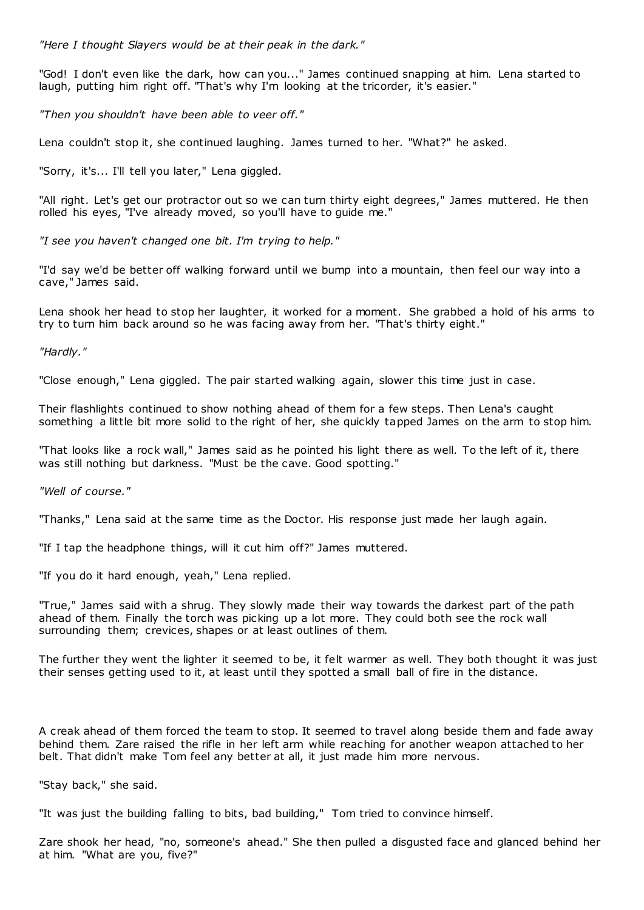*"Here I thought Slayers would be at their peak in the dark."*

"God! I don't even like the dark, how can you..." James continued snapping at him. Lena started to laugh, putting him right off. "That's why I'm looking at the tricorder, it's easier."

*"Then you shouldn't have been able to veer off."*

Lena couldn't stop it, she continued laughing. James turned to her. "What?" he asked.

"Sorry, it's... I'll tell you later," Lena giggled.

"All right. Let's get our protractor out so we can turn thirty eight degrees," James muttered. He then rolled his eyes, "I've already moved, so you'll have to guide me."

*"I see you haven't changed one bit. I'm trying to help."*

"I'd say we'd be better off walking forward until we bump into a mountain, then feel our way into a cave," James said.

Lena shook her head to stop her laughter, it worked for a moment. She grabbed a hold of his arms to try to turn him back around so he was facing away from her. "That's thirty eight."

*"Hardly."*

"Close enough," Lena giggled. The pair started walking again, slower this time just in case.

Their flashlights continued to show nothing ahead of them for a few steps. Then Lena's caught something a little bit more solid to the right of her, she quickly tapped James on the arm to stop him.

"That looks like a rock wall," James said as he pointed his light there as well. To the left of it, there was still nothing but darkness. "Must be the cave. Good spotting."

*"Well of course."*

"Thanks," Lena said at the same time as the Doctor. His response just made her laugh again.

"If I tap the headphone things, will it cut him off?" James muttered.

"If you do it hard enough, yeah," Lena replied.

"True," James said with a shrug. They slowly made their way towards the darkest part of the path ahead of them. Finally the torch was picking up a lot more. They could both see the rock wall surrounding them; crevices, shapes or at least outlines of them.

The further they went the lighter it seemed to be, it felt warmer as well. They both thought it was just their senses getting used to it, at least until they spotted a small ball of fire in the distance.

A creak ahead of them forced the team to stop. It seemed to travel along beside them and fade away behind them. Zare raised the rifle in her left arm while reaching for another weapon attached to her belt. That didn't make Tom feel any better at all, it just made him more nervous.

"Stay back," she said.

"It was just the building falling to bits, bad building," Tom tried to convince himself.

Zare shook her head, "no, someone's ahead." She then pulled a disgusted face and glanced behind her at him. "What are you, five?"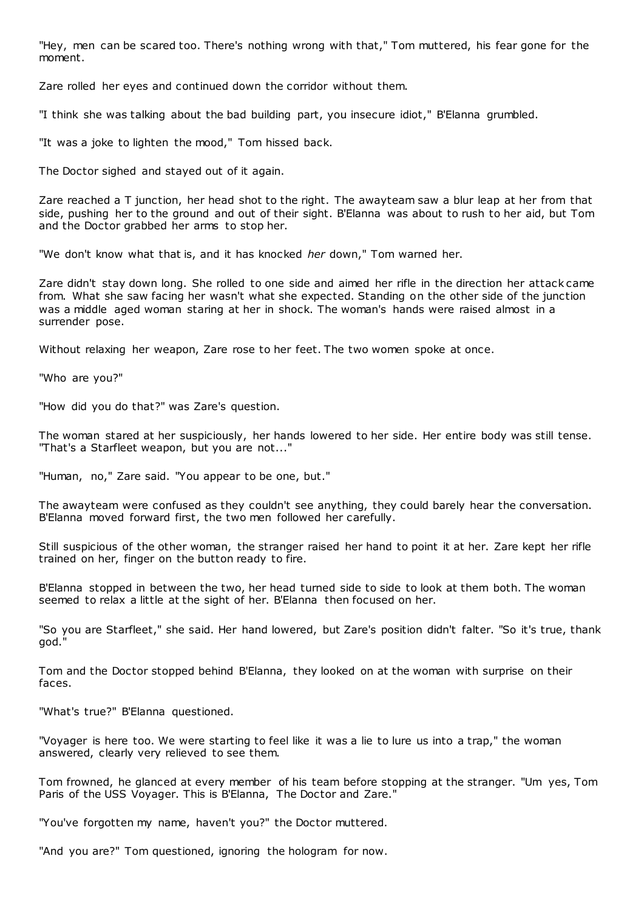"Hey, men can be scared too. There's nothing wrong with that," Tom muttered, his fear gone for the moment.

Zare rolled her eyes and continued down the corridor without them.

"I think she was talking about the bad building part, you insecure idiot," B'Elanna grumbled.

"It was a joke to lighten the mood," Tom hissed back.

The Doctor sighed and stayed out of it again.

Zare reached a T junction, her head shot to the right. The awayteam saw a blur leap at her from that side, pushing her to the ground and out of their sight. B'Elanna was about to rush to her aid, but Tom and the Doctor grabbed her arms to stop her.

"We don't know what that is, and it has knocked *her* down," Tom warned her.

Zare didn't stay down long. She rolled to one side and aimed her rifle in the direction her attack came from. What she saw facing her wasn't what she expected. Standing on the other side of the junction was a middle aged woman staring at her in shock. The woman's hands were raised almost in a surrender pose.

Without relaxing her weapon, Zare rose to her feet. The two women spoke at once.

"Who are you?"

"How did you do that?" was Zare's question.

The woman stared at her suspiciously, her hands lowered to her side. Her entire body was still tense. "That's a Starfleet weapon, but you are not..."

"Human, no," Zare said. "You appear to be one, but."

The awayteam were confused as they couldn't see anything, they could barely hear the conversation. B'Elanna moved forward first, the two men followed her carefully.

Still suspicious of the other woman, the stranger raised her hand to point it at her. Zare kept her rifle trained on her, finger on the button ready to fire.

B'Elanna stopped in between the two, her head turned side to side to look at them both. The woman seemed to relax a little at the sight of her. B'Elanna then focused on her.

"So you are Starfleet," she said. Her hand lowered, but Zare's position didn't falter. "So it's true, thank god."

Tom and the Doctor stopped behind B'Elanna, they looked on at the woman with surprise on their faces.

"What's true?" B'Elanna questioned.

"Voyager is here too. We were starting to feel like it was a lie to lure us into a trap," the woman answered, clearly very relieved to see them.

Tom frowned, he glanced at every member of his team before stopping at the stranger. "Um yes, Tom Paris of the USS Voyager. This is B'Elanna, The Doctor and Zare."

"You've forgotten my name, haven't you?" the Doctor muttered.

"And you are?" Tom questioned, ignoring the hologram for now.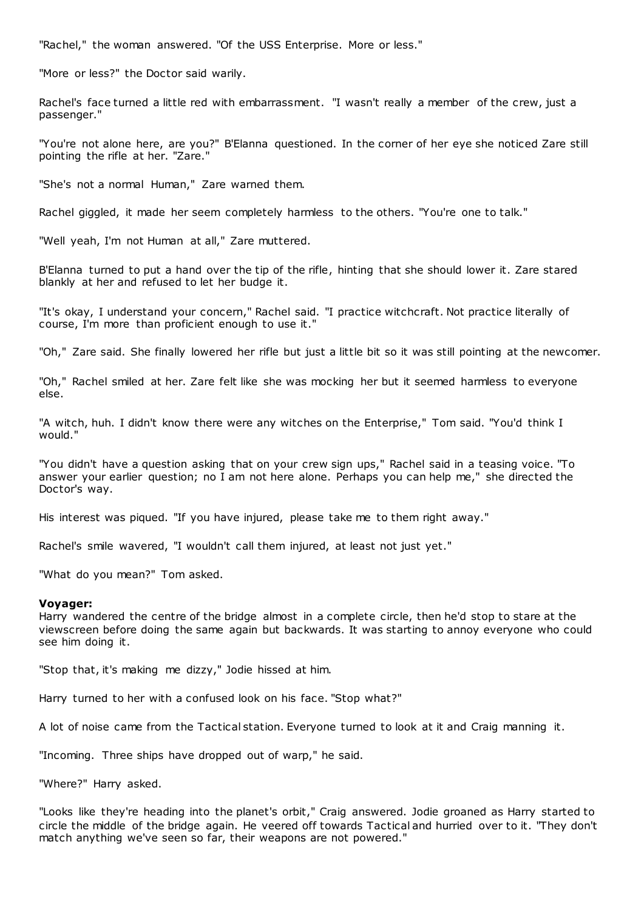"Rachel," the woman answered. "Of the USS Enterprise. More or less."

"More or less?" the Doctor said warily.

Rachel's face turned a little red with embarrassment. "I wasn't really a member of the crew, just a passenger."

"You're not alone here, are you?" B'Elanna questioned. In the corner of her eye she noticed Zare still pointing the rifle at her. "Zare."

"She's not a normal Human," Zare warned them.

Rachel giggled, it made her seem completely harmless to the others. "You're one to talk."

"Well yeah, I'm not Human at all," Zare muttered.

B'Elanna turned to put a hand over the tip of the rifle, hinting that she should lower it. Zare stared blankly at her and refused to let her budge it.

"It's okay, I understand your concern," Rachel said. "I practice witchcraft. Not practice literally of course, I'm more than proficient enough to use it."

"Oh," Zare said. She finally lowered her rifle but just a little bit so it was still pointing at the newcomer.

"Oh," Rachel smiled at her. Zare felt like she was mocking her but it seemed harmless to everyone else.

"A witch, huh. I didn't know there were any witches on the Enterprise," Tom said. "You'd think I would."

"You didn't have a question asking that on your crew sign ups," Rachel said in a teasing voice. "To answer your earlier question; no I am not here alone. Perhaps you can help me," she directed the Doctor's way.

His interest was piqued. "If you have injured, please take me to them right away."

Rachel's smile wavered, "I wouldn't call them injured, at least not just yet."

"What do you mean?" Tom asked.

### **Voyager:**

Harry wandered the centre of the bridge almost in a complete circle, then he'd stop to stare at the viewscreen before doing the same again but backwards. It was starting to annoy everyone who could see him doing it.

"Stop that, it's making me dizzy," Jodie hissed at him.

Harry turned to her with a confused look on his face. "Stop what?"

A lot of noise came from the Tactical station. Everyone turned to look at it and Craig manning it.

"Incoming. Three ships have dropped out of warp," he said.

"Where?" Harry asked.

"Looks like they're heading into the planet's orbit," Craig answered. Jodie groaned as Harry started to circle the middle of the bridge again. He veered off towards Tactical and hurried over to it. "They don't match anything we've seen so far, their weapons are not powered."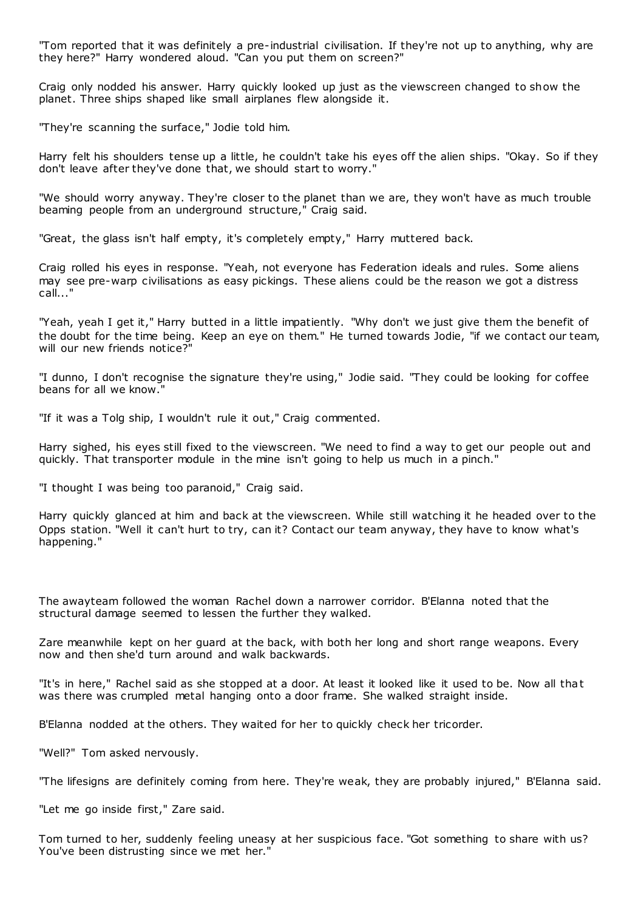"Tom reported that it was definitely a pre-industrial civilisation. If they're not up to anything, why are they here?" Harry wondered aloud. "Can you put them on screen?"

Craig only nodded his answer. Harry quickly looked up just as the viewscreen changed to show the planet. Three ships shaped like small airplanes flew alongside it.

"They're scanning the surface," Jodie told him.

Harry felt his shoulders tense up a little, he couldn't take his eyes off the alien ships. "Okay. So if they don't leave after they've done that, we should start to worry."

"We should worry anyway. They're closer to the planet than we are, they won't have as much trouble beaming people from an underground structure," Craig said.

"Great, the glass isn't half empty, it's completely empty," Harry muttered back.

Craig rolled his eyes in response. "Yeah, not everyone has Federation ideals and rules. Some aliens may see pre-warp civilisations as easy pickings. These aliens could be the reason we got a distress call..."

"Yeah, yeah I get it," Harry butted in a little impatiently. "Why don't we just give them the benefit of the doubt for the time being. Keep an eye on them." He turned towards Jodie, "if we contact our team, will our new friends notice?"

"I dunno, I don't recognise the signature they're using," Jodie said. "They could be looking for coffee beans for all we know."

"If it was a Tolg ship, I wouldn't rule it out," Craig commented.

Harry sighed, his eyes still fixed to the viewscreen. "We need to find a way to get our people out and quickly. That transporter module in the mine isn't going to help us much in a pinch."

"I thought I was being too paranoid," Craig said.

Harry quickly glanced at him and back at the viewscreen. While still watching it he headed over to the Opps station. "Well it can't hurt to try, can it? Contact our team anyway, they have to know what's happening."

The awayteam followed the woman Rachel down a narrower corridor. B'Elanna noted that the structural damage seemed to lessen the further they walked.

Zare meanwhile kept on her guard at the back, with both her long and short range weapons. Every now and then she'd turn around and walk backwards.

"It's in here," Rachel said as she stopped at a door. At least it looked like it used to be. Now all that was there was crumpled metal hanging onto a door frame. She walked straight inside.

B'Elanna nodded at the others. They waited for her to quickly check her tricorder.

"Well?" Tom asked nervously.

"The lifesigns are definitely coming from here. They're weak, they are probably injured," B'Elanna said.

"Let me go inside first," Zare said.

Tom turned to her, suddenly feeling uneasy at her suspicious face. "Got something to share with us? You've been distrusting since we met her."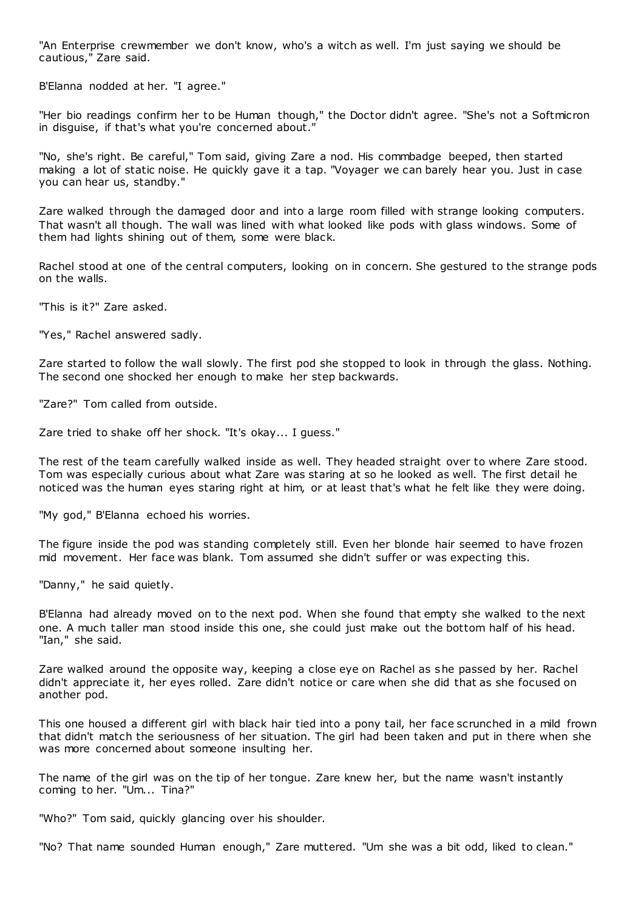"An Enterprise crewmember we don't know, who's a witch as well. I'm just saying we should be cautious," Zare said.

B'Elanna nodded at her. "I agree."

"Her bio readings confirm her to be Human though," the Doctor didn't agree. "She's not a Softmicron in disguise, if that's what you're concerned about."

"No, she's right. Be careful," Tom said, giving Zare a nod. His commbadge beeped, then started making a lot of static noise. He quickly gave it a tap. "Voyager we can barely hear you. Just in case you can hear us, standby."

Zare walked through the damaged door and into a large room filled with strange looking computers. That wasn't all though. The wall was lined with what looked like pods with glass windows. Some of them had lights shining out of them, some were black.

Rachel stood at one of the central computers, looking on in concern. She gestured to the strange pods on the walls.

"This is it?" Zare asked.

"Yes," Rachel answered sadly.

Zare started to follow the wall slowly. The first pod she stopped to look in through the glass. Nothing. The second one shocked her enough to make her step backwards.

"Zare?" Tom called from outside.

Zare tried to shake off her shock. "It's okay... I guess."

The rest of the team carefully walked inside as well. They headed straight over to where Zare stood. Tom was especially curious about what Zare was staring at so he looked as well. The first detail he noticed was the human eyes staring right at him, or at least that's what he felt like they were doing.

"My god," B'Elanna echoed his worries.

The figure inside the pod was standing completely still. Even her blonde hair seemed to have frozen mid movement. Her face was blank. Tom assumed she didn't suffer or was expecting this.

"Danny," he said quietly.

B'Elanna had already moved on to the next pod. When she found that empty she walked to the next one. A much taller man stood inside this one, she could just make out the bottom half of his head. "Ian," she said.

Zare walked around the opposite way, keeping a close eye on Rachel as she passed by her. Rachel didn't appreciate it, her eyes rolled. Zare didn't notice or care when she did that as she focused on another pod.

This one housed a different girl with black hair tied into a pony tail, her face scrunched in a mild frown that didn't match the seriousness of her situation. The girl had been taken and put in there when she was more concerned about someone insulting her.

The name of the girl was on the tip of her tongue. Zare knew her, but the name wasn't instantly coming to her. "Um... Tina?"

"Who?" Tom said, quickly glancing over his shoulder.

"No? That name sounded Human enough," Zare muttered. "Um she was a bit odd, liked to clean."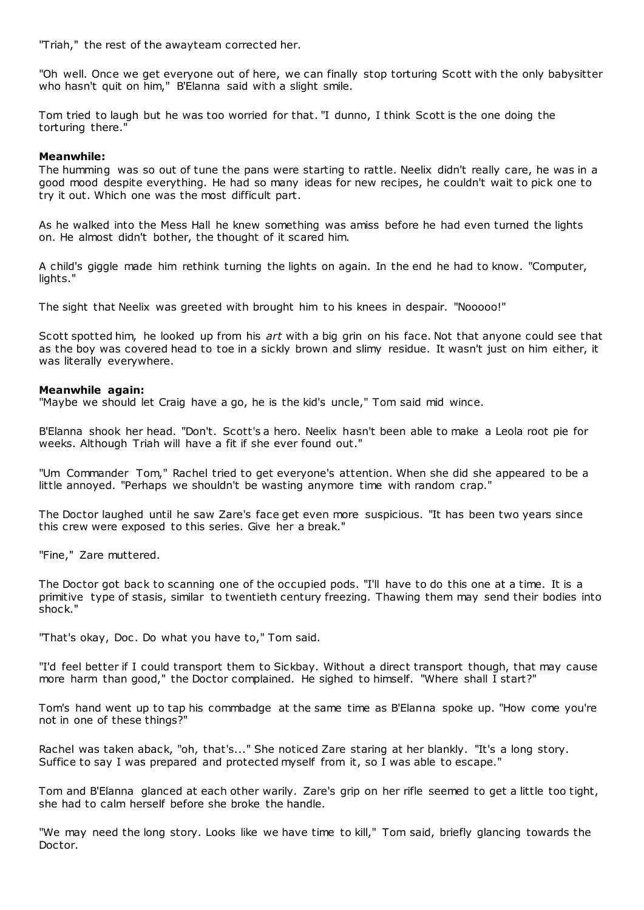"Triah," the rest of the awayteam corrected her.

"Oh well. Once we get everyone out of here, we can finally stop torturing Scott with the only babysitter who hasn't quit on him," B'Elanna said with a slight smile.

Tom tried to laugh but he was too worried for that. "I dunno, I think Scott is the one doing the torturing there."

# **Meanwhile:**

The humming was so out of tune the pans were starting to rattle. Neelix didn't really care, he was in a good mood despite everything. He had so many ideas for new recipes, he couldn't wait to pick one to try it out. Which one was the most difficult part.

As he walked into the Mess Hall he knew something was amiss before he had even turned the lights on. He almost didn't bother, the thought of it scared him.

A child's giggle made him rethink turning the lights on again. In the end he had to know. "Computer, lights."

The sight that Neelix was greeted with brought him to his knees in despair. "Nooooo!"

Scott spotted him, he looked up from his *art* with a big grin on his face. Not that anyone could see that as the boy was covered head to toe in a sickly brown and slimy residue. It wasn't just on him either, it was literally everywhere.

# **Meanwhile again:**

"Maybe we should let Craig have a go, he is the kid's uncle," Tom said mid wince.

B'Elanna shook her head. "Don't. Scott's a hero. Neelix hasn't been able to make a Leola root pie for weeks. Although Triah will have a fit if she ever found out."

"Um Commander Tom," Rachel tried to get everyone's attention. When she did she appeared to be a little annoyed. "Perhaps we shouldn't be wasting anymore time with random crap."

The Doctor laughed until he saw Zare's face get even more suspicious. "It has been two years since this crew were exposed to this series. Give her a break."

"Fine," Zare muttered.

The Doctor got back to scanning one of the occupied pods. "I'll have to do this one at a time. It is a primitive type of stasis, similar to twentieth century freezing. Thawing them may send their bodies into shock."

"That's okay, Doc. Do what you have to," Tom said.

"I'd feel better if I could transport them to Sickbay. Without a direct transport though, that may cause more harm than good," the Doctor complained. He sighed to himself. "Where shall I start?"

Tom's hand went up to tap his commbadge at the same time as B'Elanna spoke up. "How come you're not in one of these things?"

Rachel was taken aback, "oh, that's..." She noticed Zare staring at her blankly. "It's a long story. Suffice to say I was prepared and protected myself from it, so I was able to escape."

Tom and B'Elanna glanced at each other warily. Zare's grip on her rifle seemed to get a little too tight, she had to calm herself before she broke the handle.

"We may need the long story. Looks like we have time to kill," Tom said, briefly glancing towards the Doctor.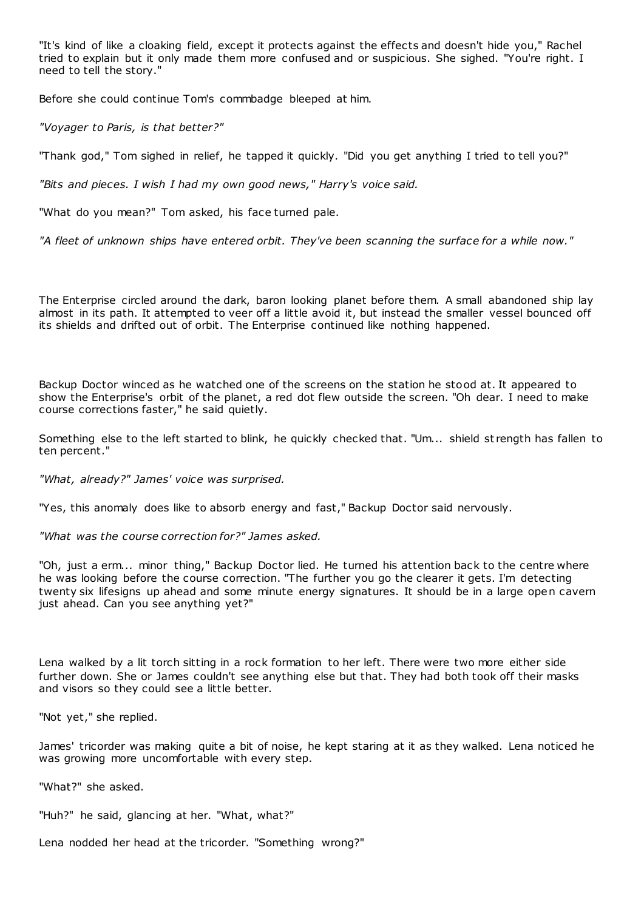"It's kind of like a cloaking field, except it protects against the effects and doesn't hide you," Rachel tried to explain but it only made them more confused and or suspicious. She sighed. "You're right. I need to tell the story."

Before she could continue Tom's commbadge bleeped at him.

*"Voyager to Paris, is that better?"*

"Thank god," Tom sighed in relief, he tapped it quickly. "Did you get anything I tried to tell you?"

*"Bits and pieces. I wish I had my own good news," Harry's voice said.*

"What do you mean?" Tom asked, his face turned pale.

*"A fleet of unknown ships have entered orbit. They've been scanning the surface for a while now."*

The Enterprise circled around the dark, baron looking planet before them. A small abandoned ship lay almost in its path. It attempted to veer off a little avoid it, but instead the smaller vessel bounced off its shields and drifted out of orbit. The Enterprise continued like nothing happened.

Backup Doctor winced as he watched one of the screens on the station he stood at. It appeared to show the Enterprise's orbit of the planet, a red dot flew outside the screen. "Oh dear. I need to make course corrections faster," he said quietly.

Something else to the left started to blink, he quickly checked that. "Um... shield st rength has fallen to ten percent."

*"What, already?" James' voice was surprised.*

"Yes, this anomaly does like to absorb energy and fast," Backup Doctor said nervously.

*"What was the course correction for?" James asked.*

"Oh, just a erm... minor thing," Backup Doctor lied. He turned his attention back to the centre where he was looking before the course correction. "The further you go the clearer it gets. I'm detecting twenty six lifesigns up ahead and some minute energy signatures. It should be in a large open cavern just ahead. Can you see anything yet?"

Lena walked by a lit torch sitting in a rock formation to her left. There were two more either side further down. She or James couldn't see anything else but that. They had both took off their masks and visors so they could see a little better.

"Not yet," she replied.

James' tricorder was making quite a bit of noise, he kept staring at it as they walked. Lena noticed he was growing more uncomfortable with every step.

"What?" she asked.

"Huh?" he said, glancing at her. "What, what?"

Lena nodded her head at the tricorder. "Something wrong?"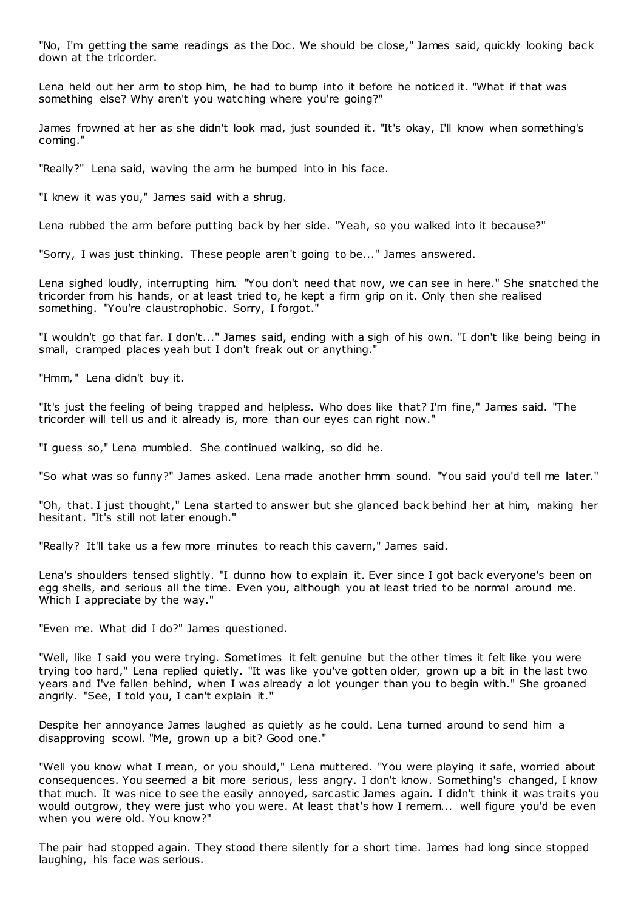"No, I'm getting the same readings as the Doc . We should be close," James said, quickly looking back down at the tricorder.

Lena held out her arm to stop him, he had to bump into it before he noticed it. "What if that was something else? Why aren't you watching where you're going?"

James frowned at her as she didn't look mad, just sounded it. "It's okay, I'll know when something's coming."

"Really?" Lena said, waving the arm he bumped into in his face.

"I knew it was you," James said with a shrug.

Lena rubbed the arm before putting back by her side. "Yeah, so you walked into it because?"

"Sorry, I was just thinking. These people aren't going to be..." James answered.

Lena sighed loudly, interrupting him. "You don't need that now, we can see in here." She snatched the tricorder from his hands, or at least tried to, he kept a firm grip on it. Only then she realised something. "You're claustrophobic. Sorry, I forgot."

"I wouldn't go that far. I don't..." James said, ending with a sigh of his own. "I don't like being being in small, cramped places yeah but I don't freak out or anything."

"Hmm," Lena didn't buy it.

"It's just the feeling of being trapped and helpless. Who does like that? I'm fine," James said. "The tricorder will tell us and it already is, more than our eyes can right now."

"I guess so," Lena mumbled. She continued walking, so did he.

"So what was so funny?" James asked. Lena made another hmm sound. "You said you'd tell me later."

"Oh, that. I just thought," Lena started to answer but she glanced back behind her at him, making her hesitant. "It's still not later enough."

"Really? It'll take us a few more minutes to reach this cavern," James said.

Lena's shoulders tensed slightly. "I dunno how to explain it. Ever since I got back everyone's been on egg shells, and serious all the time. Even you, although you at least tried to be normal around me. Which I appreciate by the way."

"Even me. What did I do?" James questioned.

"Well, like I said you were trying. Sometimes it felt genuine but the other times it felt like you were trying too hard," Lena replied quietly. "It was like you've gotten older, grown up a bit in the last two years and I've fallen behind, when I was already a lot younger than you to begin with." She groaned angrily. "See, I told you, I can't explain it."

Despite her annoyance James laughed as quietly as he could. Lena turned around to send him a disapproving scowl. "Me, grown up a bit? Good one."

"Well you know what I mean, or you should," Lena muttered. "You were playing it safe, worried about consequences. You seemed a bit more serious, less angry. I don't know. Something's changed, I know that much. It was nice to see the easily annoyed, sarcastic James again. I didn't think it was traits you would outgrow, they were just who you were. At least that's how I remem... well figure you'd be even when you were old. You know?"

The pair had stopped again. They stood there silently for a short time. James had long since stopped laughing, his face was serious.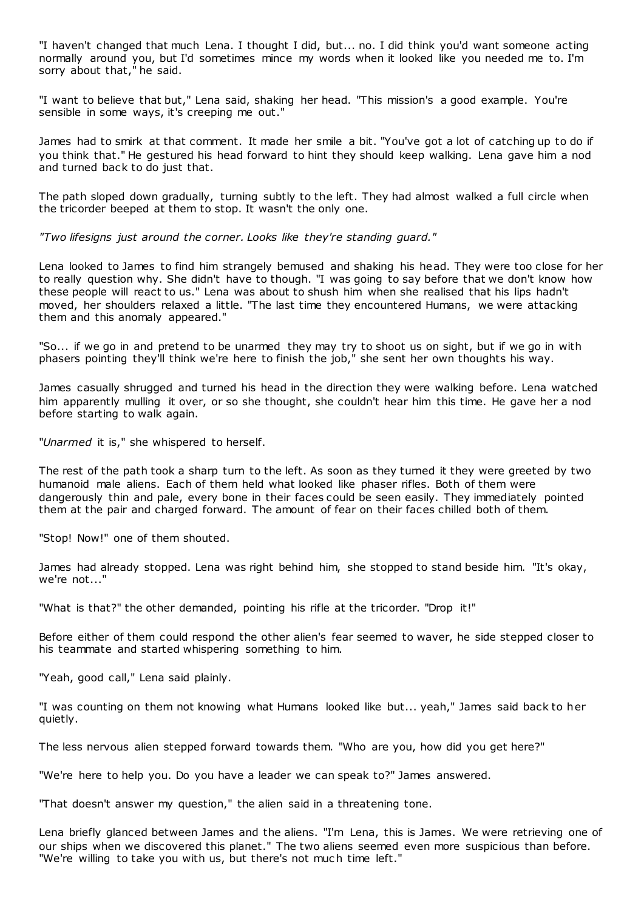"I haven't changed that much Lena. I thought I did, but... no. I did think you'd want someone acting normally around you, but I'd sometimes mince my words when it looked like you needed me to. I'm sorry about that," he said.

"I want to believe that but," Lena said, shaking her head. "This mission's a good example. You're sensible in some ways, it's creeping me out."

James had to smirk at that comment. It made her smile a bit. "You've got a lot of catching up to do if you think that." He gestured his head forward to hint they should keep walking. Lena gave him a nod and turned back to do just that.

The path sloped down gradually, turning subtly to the left. They had almost walked a full circle when the tricorder beeped at them to stop. It wasn't the only one.

*"Two lifesigns just around the corner. Looks like they're standing guard."*

Lena looked to James to find him strangely bemused and shaking his head. They were too close for her to really question why. She didn't have to though. "I was going to say before that we don't know how these people will react to us." Lena was about to shush him when she realised that his lips hadn't moved, her shoulders relaxed a little. "The last time they encountered Humans, we were attacking them and this anomaly appeared."

"So... if we go in and pretend to be unarmed they may try to shoot us on sight, but if we go in with phasers pointing they'll think we're here to finish the job," she sent her own thoughts his way.

James casually shrugged and turned his head in the direction they were walking before. Lena watched him apparently mulling it over, or so she thought, she couldn't hear him this time. He gave her a nod before starting to walk again.

"*Unarmed* it is," she whispered to herself.

The rest of the path took a sharp turn to the left. As soon as they turned it they were greeted by two humanoid male aliens. Each of them held what looked like phaser rifles. Both of them were dangerously thin and pale, every bone in their faces could be seen easily. They immediately pointed them at the pair and charged forward. The amount of fear on their faces chilled both of them.

"Stop! Now!" one of them shouted.

James had already stopped. Lena was right behind him, she stopped to stand beside him. "It's okay, we're not..."

"What is that?" the other demanded, pointing his rifle at the tricorder. "Drop it!"

Before either of them could respond the other alien's fear seemed to waver, he side stepped closer to his teammate and started whispering something to him.

"Yeah, good call," Lena said plainly.

"I was counting on them not knowing what Humans looked like but... yeah," James said back to her quietly.

The less nervous alien stepped forward towards them. "Who are you, how did you get here?"

"We're here to help you. Do you have a leader we can speak to?" James answered.

"That doesn't answer my question," the alien said in a threatening tone.

Lena briefly glanced between James and the aliens. "I'm Lena, this is James. We were retrieving one of our ships when we discovered this planet." The two aliens seemed even more suspicious than before. "We're willing to take you with us, but there's not much time left."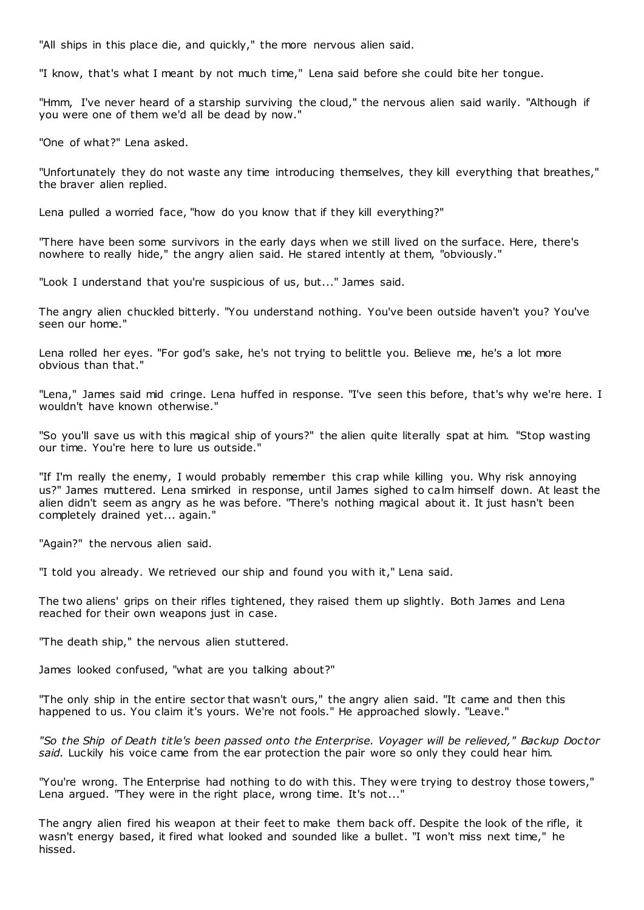"All ships in this place die, and quickly," the more nervous alien said.

"I know, that's what I meant by not much time," Lena said before she could bite her tongue.

"Hmm, I've never heard of a starship surviving the cloud," the nervous alien said warily. "Although if you were one of them we'd all be dead by now."

"One of what?" Lena asked.

"Unfortunately they do not waste any time introducing themselves, they kill everything that breathes," the braver alien replied.

Lena pulled a worried face, "how do you know that if they kill everything?"

"There have been some survivors in the early days when we still lived on the surface. Here, there's nowhere to really hide," the angry alien said. He stared intently at them, "obviously."

"Look I understand that you're suspicious of us, but..." James said.

The angry alien chuckled bitterly. "You understand nothing. You've been outside haven't you? You've seen our home."

Lena rolled her eyes. "For god's sake, he's not trying to belittle you. Believe me, he's a lot more obvious than that."

"Lena," James said mid cringe. Lena huffed in response. "I've seen this before, that's why we're here. I wouldn't have known otherwise."

"So you'll save us with this magical ship of yours?" the alien quite literally spat at him. "Stop wasting our time. You're here to lure us outside."

"If I'm really the enemy, I would probably remember this crap while killing you. Why risk annoying us?" James muttered. Lena smirked in response, until James sighed to calm himself down. At least the alien didn't seem as angry as he was before. "There's nothing magical about it. It just hasn't been completely drained yet... again."

"Again?" the nervous alien said.

"I told you already. We retrieved our ship and found you with it," Lena said.

The two aliens' grips on their rifles tightened, they raised them up slightly. Both James and Lena reached for their own weapons just in case.

"The death ship," the nervous alien stuttered.

James looked confused, "what are you talking about?"

"The only ship in the entire sector that wasn't ours," the angry alien said. "It came and then this happened to us. You claim it's yours. We're not fools." He approached slowly. "Leave."

*"So the Ship of Death title's been passed onto the Enterprise. Voyager will be relieved," Backup Doctor said.* Luckily his voice came from the ear protection the pair wore so only they could hear him.

"You're wrong. The Enterprise had nothing to do with this. They were trying to destroy those towers," Lena argued. "They were in the right place, wrong time. It's not..."

The angry alien fired his weapon at their feet to make them back off. Despite the look of the rifle, it wasn't energy based, it fired what looked and sounded like a bullet. "I won't miss next time," he hissed.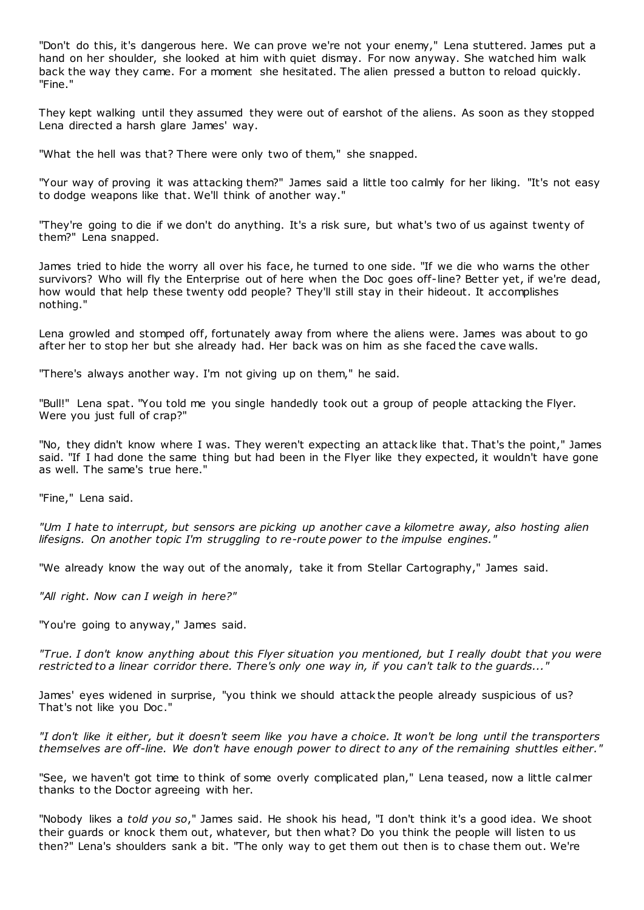"Don't do this, it's dangerous here. We can prove we're not your enemy," Lena stuttered. James put a hand on her shoulder, she looked at him with quiet dismay. For now anyway. She watched him walk back the way they came. For a moment she hesitated. The alien pressed a button to reload quickly. "Fine."

They kept walking until they assumed they were out of earshot of the aliens. As soon as they stopped Lena directed a harsh glare James' way.

"What the hell was that? There were only two of them," she snapped.

"Your way of proving it was attacking them?" James said a little too calmly for her liking. "It's not easy to dodge weapons like that. We'll think of another way."

"They're going to die if we don't do anything. It's a risk sure, but what's two of us against twenty of them?" Lena snapped.

James tried to hide the worry all over his face, he turned to one side. "If we die who warns the other survivors? Who will fly the Enterprise out of here when the Doc goes off-line? Better yet, if we're dead, how would that help these twenty odd people? They'll still stay in their hideout. It accomplishes nothing."

Lena growled and stomped off, fortunately away from where the aliens were. James was about to go after her to stop her but she already had. Her back was on him as she faced the cave walls.

"There's always another way. I'm not giving up on them," he said.

"Bull!" Lena spat. "You told me you single handedly took out a group of people attacking the Flyer. Were you just full of crap?"

"No, they didn't know where I was. They weren't expecting an attack like that. That's the point," James said. "If I had done the same thing but had been in the Flyer like they expected, it wouldn't have gone as well. The same's true here."

"Fine," Lena said.

*"Um I hate to interrupt, but sensors are picking up another cave a kilometre away, also hosting alien lifesigns. On another topic I'm struggling to re-route power to the impulse engines."*

"We already know the way out of the anomaly, take it from Stellar Cartography," James said.

*"All right. Now can I weigh in here?"*

"You're going to anyway," James said.

*"True. I don't know anything about this Flyer situation you mentioned, but I really doubt that you were restricted to a linear corridor there. There's only one way in, if you can't talk to the guards..."*

James' eyes widened in surprise, "you think we should attack the people already suspicious of us? That's not like you Doc ."

*"I don't like it either, but it doesn't seem like you have a choice. It won't be long until the transporters themselves are off-line. We don't have enough power to direct to any of the remaining shuttles either."*

"See, we haven't got time to think of some overly complicated plan," Lena teased, now a little calmer thanks to the Doctor agreeing with her.

"Nobody likes a *told you so*," James said. He shook his head, "I don't think it's a good idea. We shoot their guards or knock them out, whatever, but then what? Do you think the people will listen to us then?" Lena's shoulders sank a bit. "The only way to get them out then is to chase them out. We're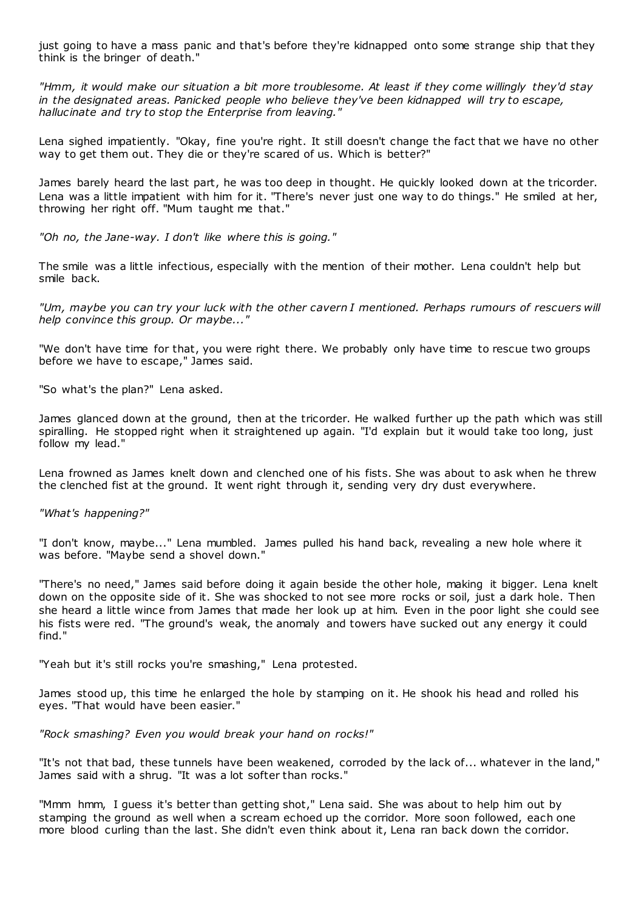just going to have a mass panic and that's before they're kidnapped onto some strange ship that they think is the bringer of death."

*"Hmm, it would make our situation a bit more troublesome. At least if they come willingly they'd stay in the designated areas. Panicked people who believe they've been kidnapped will try to escape, hallucinate and try to stop the Enterprise from leaving."*

Lena sighed impatiently. "Okay, fine you're right. It still doesn't change the fact that we have no other way to get them out. They die or they're scared of us. Which is better?"

James barely heard the last part, he was too deep in thought. He quickly looked down at the tricorder. Lena was a little impatient with him for it. "There's never just one way to do things." He smiled at her, throwing her right off. "Mum taught me that."

*"Oh no, the Jane-way. I don't like where this is going."*

The smile was a little infectious, especially with the mention of their mother. Lena couldn't help but smile back.

*"Um, maybe you can try your luck with the other cavern I mentioned. Perhaps rumours of rescuers will help convince this group. Or maybe..."*

"We don't have time for that, you were right there. We probably only have time to rescue two groups before we have to escape," James said.

"So what's the plan?" Lena asked.

James glanced down at the ground, then at the tricorder. He walked further up the path which was still spiralling. He stopped right when it straightened up again. "I'd explain but it would take too long, just follow my lead."

Lena frowned as James knelt down and clenched one of his fists. She was about to ask when he threw the clenched fist at the ground. It went right through it, sending very dry dust everywhere.

*"What's happening?"*

"I don't know, maybe..." Lena mumbled. James pulled his hand back, revealing a new hole where it was before. "Maybe send a shovel down."

"There's no need," James said before doing it again beside the other hole, making it bigger. Lena knelt down on the opposite side of it. She was shocked to not see more rocks or soil, just a dark hole. Then she heard a little wince from James that made her look up at him. Even in the poor light she could see his fists were red. "The ground's weak, the anomaly and towers have sucked out any energy it could find."

"Yeah but it's still rocks you're smashing," Lena protested.

James stood up, this time he enlarged the hole by stamping on it. He shook his head and rolled his eyes. "That would have been easier."

*"Rock smashing? Even you would break your hand on rocks!"*

"It's not that bad, these tunnels have been weakened, corroded by the lack of... whatever in the land," James said with a shrug. "It was a lot softer than rocks."

"Mmm hmm, I guess it's better than getting shot," Lena said. She was about to help him out by stamping the ground as well when a scream echoed up the corridor. More soon followed, each one more blood curling than the last. She didn't even think about it, Lena ran back down the corridor.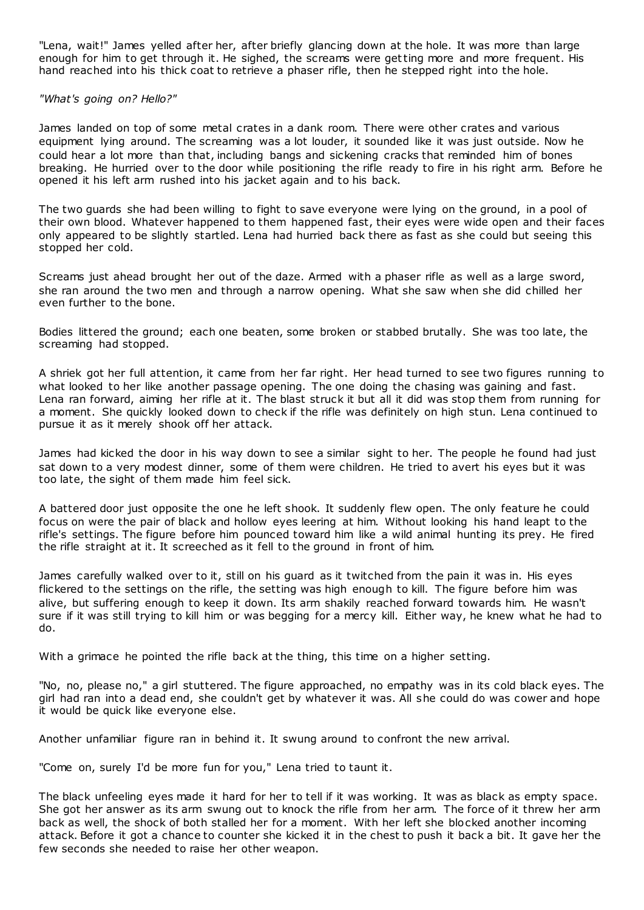"Lena, wait!" James yelled after her, after briefly glancing down at the hole. It was more than large enough for him to get through it. He sighed, the screams were getting more and more frequent. His hand reached into his thick coat to retrieve a phaser rifle, then he stepped right into the hole.

## *"What's going on? Hello?"*

James landed on top of some metal crates in a dank room. There were other crates and various equipment lying around. The screaming was a lot louder, it sounded like it was just outside. Now he could hear a lot more than that, including bangs and sickening cracks that reminded him of bones breaking. He hurried over to the door while positioning the rifle ready to fire in his right arm. Before he opened it his left arm rushed into his jacket again and to his back.

The two guards she had been willing to fight to save everyone were lying on the ground, in a pool of their own blood. Whatever happened to them happened fast, their eyes were wide open and their faces only appeared to be slightly startled. Lena had hurried back there as fast as she could but seeing this stopped her cold.

Screams just ahead brought her out of the daze. Armed with a phaser rifle as well as a large sword, she ran around the two men and through a narrow opening. What she saw when she did chilled her even further to the bone.

Bodies littered the ground; each one beaten, some broken or stabbed brutally. She was too late, the screaming had stopped.

A shriek got her full attention, it came from her far right. Her head turned to see two figures running to what looked to her like another passage opening. The one doing the chasing was gaining and fast. Lena ran forward, aiming her rifle at it. The blast struck it but all it did was stop them from running for a moment. She quickly looked down to check if the rifle was definitely on high stun. Lena continued to pursue it as it merely shook off her attack.

James had kicked the door in his way down to see a similar sight to her. The people he found had just sat down to a very modest dinner, some of them were children. He tried to avert his eyes but it was too late, the sight of them made him feel sick.

A battered door just opposite the one he left shook. It suddenly flew open. The only feature he could focus on were the pair of black and hollow eyes leering at him. Without looking his hand leapt to the rifle's settings. The figure before him pounced toward him like a wild animal hunting its prey. He fired the rifle straight at it. It screeched as it fell to the ground in front of him.

James carefully walked over to it, still on his guard as it twitched from the pain it was in. His eyes flickered to the settings on the rifle, the setting was high enough to kill. The figure before him was alive, but suffering enough to keep it down. Its arm shakily reached forward towards him. He wasn't sure if it was still trying to kill him or was begging for a mercy kill. Either way, he knew what he had to do.

With a grimace he pointed the rifle back at the thing, this time on a higher setting.

"No, no, please no," a girl stuttered. The figure approached, no empathy was in its cold black eyes. The girl had ran into a dead end, she couldn't get by whatever it was. All she could do was cower and hope it would be quick like everyone else.

Another unfamiliar figure ran in behind it. It swung around to confront the new arrival.

"Come on, surely I'd be more fun for you," Lena tried to taunt it.

The black unfeeling eyes made it hard for her to tell if it was working. It was as black as empty space. She got her answer as its arm swung out to knock the rifle from her arm. The force of it threw her arm back as well, the shock of both stalled her for a moment. With her left she blocked another incoming attack. Before it got a chance to counter she kicked it in the chest to push it back a bit. It gave her the few seconds she needed to raise her other weapon.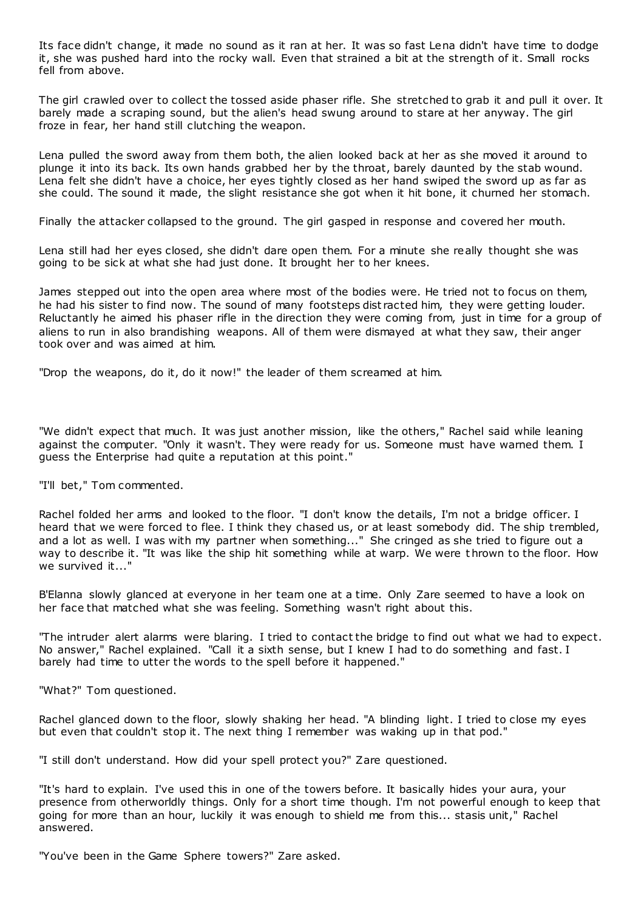Its face didn't change, it made no sound as it ran at her. It was so fast Lena didn't have time to dodge it, she was pushed hard into the rocky wall. Even that strained a bit at the strength of it. Small rocks fell from above.

The girl crawled over to collect the tossed aside phaser rifle. She stretched to grab it and pull it over. It barely made a scraping sound, but the alien's head swung around to stare at her anyway. The girl froze in fear, her hand still clutching the weapon.

Lena pulled the sword away from them both, the alien looked back at her as she moved it around to plunge it into its back. Its own hands grabbed her by the throat, barely daunted by the stab wound. Lena felt she didn't have a choice, her eyes tightly closed as her hand swiped the sword up as far as she could. The sound it made, the slight resistance she got when it hit bone, it churned her stomach.

Finally the attacker collapsed to the ground. The girl gasped in response and covered her mouth.

Lena still had her eyes closed, she didn't dare open them. For a minute she really thought she was going to be sick at what she had just done. It brought her to her knees.

James stepped out into the open area where most of the bodies were. He tried not to focus on them, he had his sister to find now. The sound of many footsteps dist racted him, they were getting louder. Reluctantly he aimed his phaser rifle in the direction they were coming from, just in time for a group of aliens to run in also brandishing weapons. All of them were dismayed at what they saw, their anger took over and was aimed at him.

"Drop the weapons, do it, do it now!" the leader of them screamed at him.

"We didn't expect that much. It was just another mission, like the others," Rachel said while leaning against the computer. "Only it wasn't. They were ready for us. Someone must have warned them. I guess the Enterprise had quite a reputation at this point."

"I'll bet," Tom commented.

Rachel folded her arms and looked to the floor. "I don't know the details, I'm not a bridge officer. I heard that we were forced to flee. I think they chased us, or at least somebody did. The ship trembled, and a lot as well. I was with my partner when something..." She cringed as she tried to figure out a way to describe it. "It was like the ship hit something while at warp. We were t hrown to the floor. How we survived it..."

B'Elanna slowly glanced at everyone in her team one at a time. Only Zare seemed to have a look on her face that matched what she was feeling. Something wasn't right about this.

"The intruder alert alarms were blaring. I tried to contact the bridge to find out what we had to expect. No answer," Rachel explained. "Call it a sixth sense, but I knew I had to do something and fast. I barely had time to utter the words to the spell before it happened."

"What?" Tom questioned.

Rachel glanced down to the floor, slowly shaking her head. "A blinding light. I tried to close my eyes but even that couldn't stop it. The next thing I remember was waking up in that pod."

"I still don't understand. How did your spell protect you?" Zare questioned.

"It's hard to explain. I've used this in one of the towers before. It basically hides your aura, your presence from otherworldly things. Only for a short time though. I'm not powerful enough to keep that going for more than an hour, luckily it was enough to shield me from this... stasis unit," Rachel answered.

"You've been in the Game Sphere towers?" Zare asked.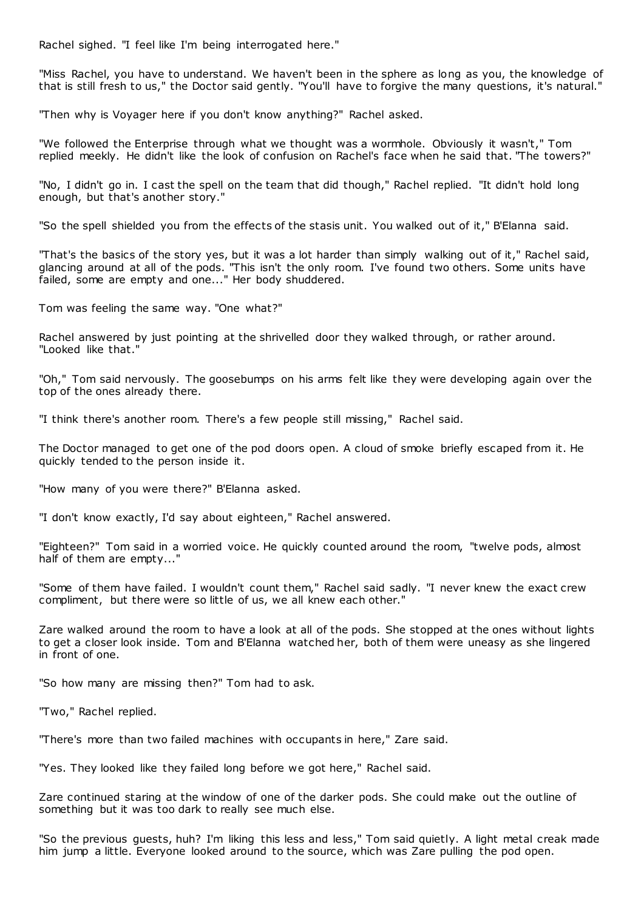Rachel sighed. "I feel like I'm being interrogated here."

"Miss Rachel, you have to understand. We haven't been in the sphere as long as you, the knowledge of that is still fresh to us," the Doctor said gently. "You'll have to forgive the many questions, it's natural."

"Then why is Voyager here if you don't know anything?" Rachel asked.

"We followed the Enterprise through what we thought was a wormhole. Obviously it wasn't," Tom replied meekly. He didn't like the look of confusion on Rachel's face when he said that. "The towers?"

"No, I didn't go in. I cast the spell on the team that did though," Rachel replied. "It didn't hold long enough, but that's another story."

"So the spell shielded you from the effects of the stasis unit. You walked out of it," B'Elanna said.

"That's the basics of the story yes, but it was a lot harder than simply walking out of it," Rachel said, glancing around at all of the pods. "This isn't the only room. I've found two others. Some units have failed, some are empty and one..." Her body shuddered.

Tom was feeling the same way. "One what?"

Rachel answered by just pointing at the shrivelled door they walked through, or rather around. "Looked like that."

"Oh," Tom said nervously. The goosebumps on his arms felt like they were developing again over the top of the ones already there.

"I think there's another room. There's a few people still missing," Rachel said.

The Doctor managed to get one of the pod doors open. A cloud of smoke briefly escaped from it. He quickly tended to the person inside it.

"How many of you were there?" B'Elanna asked.

"I don't know exactly, I'd say about eighteen," Rachel answered.

"Eighteen?" Tom said in a worried voice. He quickly counted around the room, "twelve pods, almost half of them are empty..."

"Some of them have failed. I wouldn't count them," Rachel said sadly. "I never knew the exact crew compliment, but there were so little of us, we all knew each other."

Zare walked around the room to have a look at all of the pods. She stopped at the ones without lights to get a closer look inside. Tom and B'Elanna watched her, both of them were uneasy as she lingered in front of one.

"So how many are missing then?" Tom had to ask.

"Two," Rachel replied.

"There's more than two failed machines with occupants in here," Zare said.

"Yes. They looked like they failed long before we got here," Rachel said.

Zare continued staring at the window of one of the darker pods. She could make out the outline of something but it was too dark to really see much else.

"So the previous guests, huh? I'm liking this less and less," Tom said quietly. A light metal creak made him jump a little. Everyone looked around to the source, which was Zare pulling the pod open.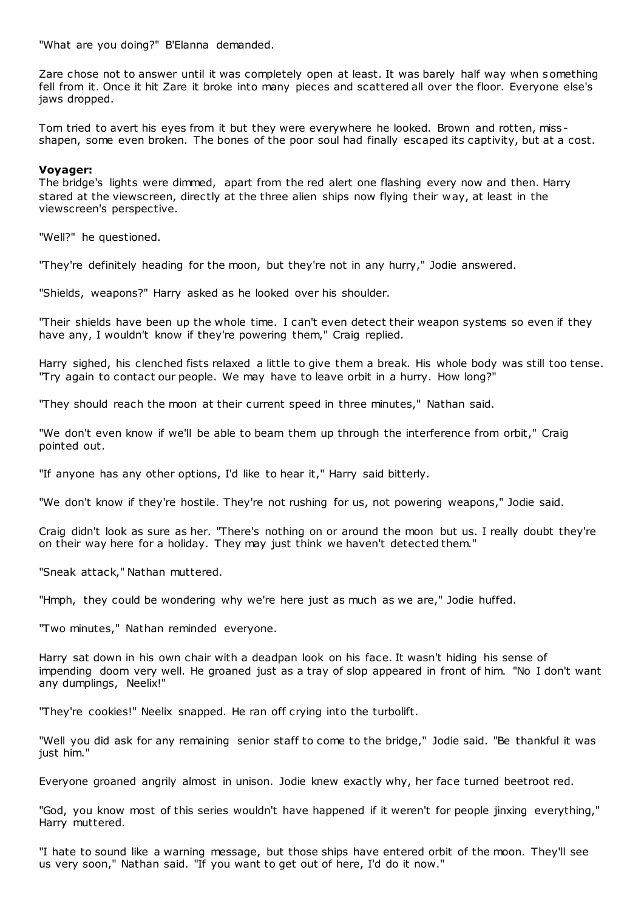"What are you doing?" B'Elanna demanded.

Zare chose not to answer until it was completely open at least. It was barely half way when something fell from it. Once it hit Zare it broke into many pieces and scattered all over the floor. Everyone else's jaws dropped.

Tom tried to avert his eyes from it but they were everywhere he looked. Brown and rotten, miss shapen, some even broken. The bones of the poor soul had finally escaped its captivity, but at a cost.

## **Voyager:**

The bridge's lights were dimmed, apart from the red alert one flashing every now and then. Harry stared at the viewscreen, directly at the three alien ships now flying their way, at least in the viewscreen's perspective.

"Well?" he questioned.

"They're definitely heading for the moon, but they're not in any hurry," Jodie answered.

"Shields, weapons?" Harry asked as he looked over his shoulder.

"Their shields have been up the whole time. I can't even detect their weapon systems so even if they have any, I wouldn't know if they're powering them," Craig replied.

Harry sighed, his clenched fists relaxed a little to give them a break. His whole body was still too tense. "Try again to contact our people. We may have to leave orbit in a hurry. How long?"

"They should reach the moon at their current speed in three minutes," Nathan said.

"We don't even know if we'll be able to beam them up through the interference from orbit," Craig pointed out.

"If anyone has any other options, I'd like to hear it," Harry said bitterly.

"We don't know if they're hostile. They're not rushing for us, not powering weapons," Jodie said.

Craig didn't look as sure as her. "There's nothing on or around the moon but us. I really doubt they're on their way here for a holiday. They may just think we haven't detected them."

"Sneak attack," Nathan muttered.

"Hmph, they could be wondering why we're here just as much as we are," Jodie huffed.

"Two minutes," Nathan reminded everyone.

Harry sat down in his own chair with a deadpan look on his face. It wasn't hiding his sense of impending doom very well. He groaned just as a tray of slop appeared in front of him. "No I don't want any dumplings, Neelix!"

"They're cookies!" Neelix snapped. He ran off crying into the turbolift.

"Well you did ask for any remaining senior staff to come to the bridge," Jodie said. "Be thankful it was just him."

Everyone groaned angrily almost in unison. Jodie knew exactly why, her face turned beetroot red.

"God, you know most of this series wouldn't have happened if it weren't for people jinxing everything," Harry muttered.

"I hate to sound like a warning message, but those ships have entered orbit of the moon. They'll see us very soon," Nathan said. "If you want to get out of here, I'd do it now."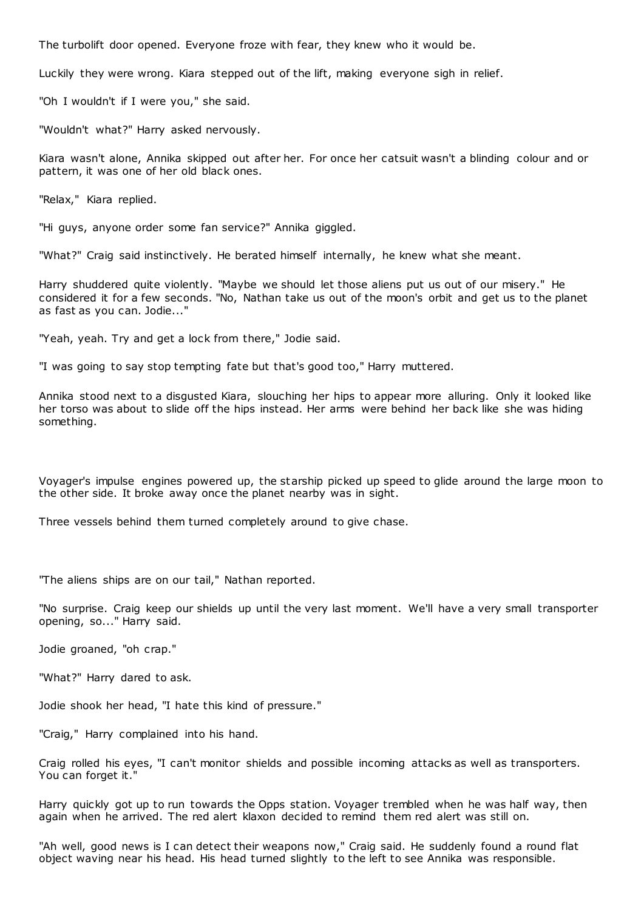The turbolift door opened. Everyone froze with fear, they knew who it would be.

Luckily they were wrong. Kiara stepped out of the lift, making everyone sigh in relief.

"Oh I wouldn't if I were you," she said.

"Wouldn't what?" Harry asked nervously.

Kiara wasn't alone, Annika skipped out after her. For once her catsuit wasn't a blinding colour and or pattern, it was one of her old black ones.

"Relax," Kiara replied.

"Hi guys, anyone order some fan service?" Annika giggled.

"What?" Craig said instinctively. He berated himself internally, he knew what she meant.

Harry shuddered quite violently. "Maybe we should let those aliens put us out of our misery." He considered it for a few seconds. "No, Nathan take us out of the moon's orbit and get us to the planet as fast as you can. Jodie..."

"Yeah, yeah. Try and get a lock from there," Jodie said.

"I was going to say stop tempting fate but that's good too," Harry muttered.

Annika stood next to a disgusted Kiara, slouching her hips to appear more alluring. Only it looked like her torso was about to slide off the hips instead. Her arms were behind her back like she was hiding something.

Voyager's impulse engines powered up, the starship picked up speed to glide around the large moon to the other side. It broke away once the planet nearby was in sight.

Three vessels behind them turned completely around to give chase.

"The aliens ships are on our tail," Nathan reported.

"No surprise. Craig keep our shields up until the very last moment. We'll have a very small transporter opening, so..." Harry said.

Jodie groaned, "oh crap."

"What?" Harry dared to ask.

Jodie shook her head, "I hate this kind of pressure."

"Craig," Harry complained into his hand.

Craig rolled his eyes, "I can't monitor shields and possible incoming attacks as well as transporters. You can forget it."

Harry quickly got up to run towards the Opps station. Voyager trembled when he was half way, then again when he arrived. The red alert klaxon decided to remind them red alert was still on.

"Ah well, good news is I can detect their weapons now," Craig said. He suddenly found a round flat object waving near his head. His head turned slightly to the left to see Annika was responsible.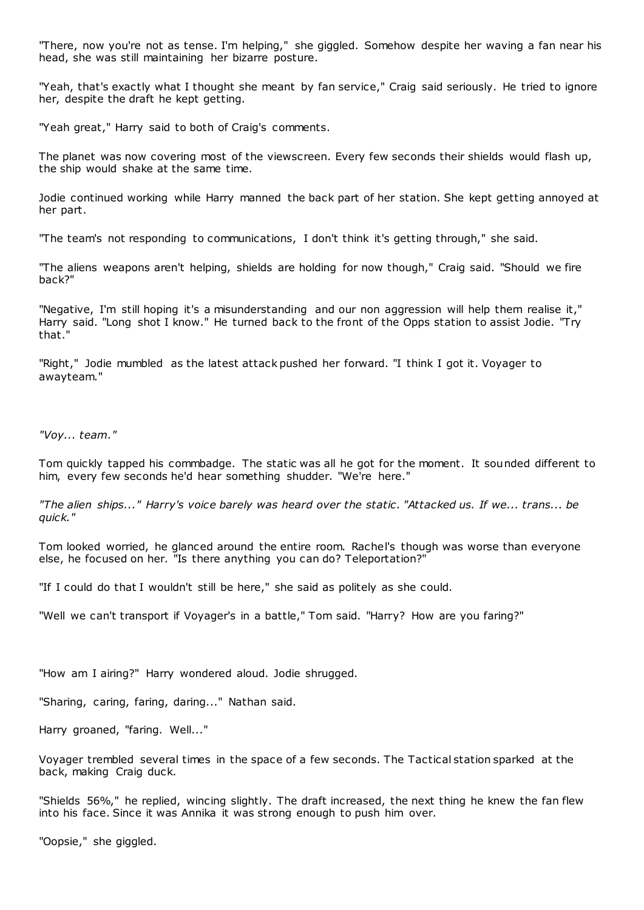"There, now you're not as tense. I'm helping," she giggled. Somehow despite her waving a fan near his head, she was still maintaining her bizarre posture.

"Yeah, that's exactly what I thought she meant by fan service," Craig said seriously. He tried to ignore her, despite the draft he kept getting.

"Yeah great," Harry said to both of Craig's comments.

The planet was now covering most of the viewscreen. Every few seconds their shields would flash up, the ship would shake at the same time.

Jodie continued working while Harry manned the back part of her station. She kept getting annoyed at her part.

"The team's not responding to communications, I don't think it's getting through," she said.

"The aliens weapons aren't helping, shields are holding for now though," Craig said. "Should we fire back?"

"Negative, I'm still hoping it's a misunderstanding and our non aggression will help them realise it," Harry said. "Long shot I know." He turned back to the front of the Opps station to assist Jodie. "Try that."

"Right," Jodie mumbled as the latest attack pushed her forward. "I think I got it. Voyager to awayteam."

*"Voy... team."*

Tom quickly tapped his commbadge. The static was all he got for the moment. It sounded different to him, every few seconds he'd hear something shudder. "We're here."

*"The alien ships..." Harry's voice barely was heard over the static . "Attacked us. If we... trans... be quick."*

Tom looked worried, he glanced around the entire room. Rachel's though was worse than everyone else, he focused on her. "Is there anything you can do? Teleportation?"

"If I could do that I wouldn't still be here," she said as politely as she could.

"Well we can't transport if Voyager's in a battle," Tom said. "Harry? How are you faring?"

"How am I airing?" Harry wondered aloud. Jodie shrugged.

"Sharing, caring, faring, daring..." Nathan said.

Harry groaned, "faring. Well..."

Voyager trembled several times in the space of a few seconds. The Tactical station sparked at the back, making Craig duck.

"Shields 56%," he replied, wincing slightly. The draft increased, the next thing he knew the fan flew into his face. Since it was Annika it was strong enough to push him over.

"Oopsie," she giggled.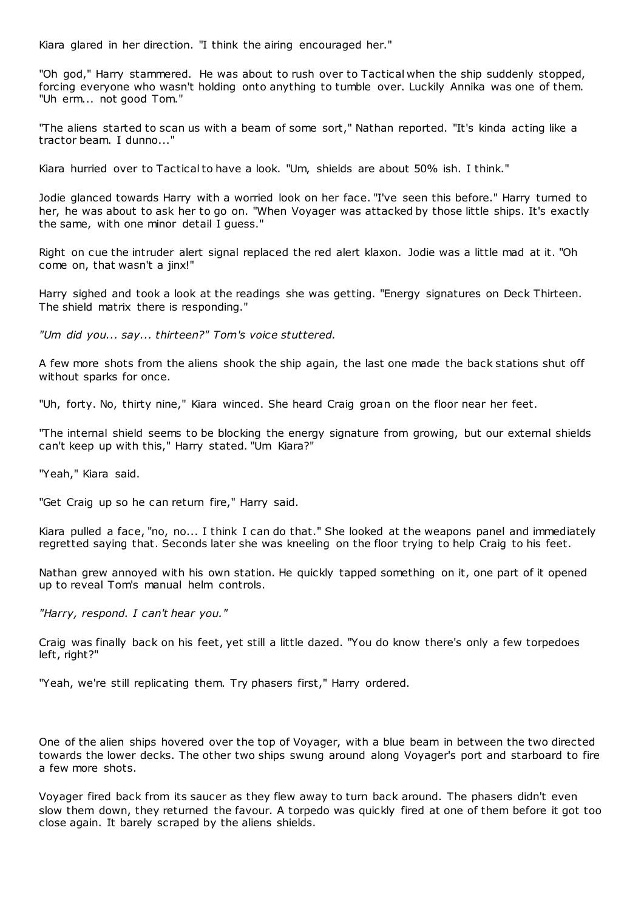Kiara glared in her direction. "I think the airing encouraged her."

"Oh god," Harry stammered. He was about to rush over to Tactical when the ship suddenly stopped, forcing everyone who wasn't holding onto anything to tumble over. Luckily Annika was one of them. "Uh erm... not good Tom."

"The aliens started to scan us with a beam of some sort," Nathan reported. "It's kinda acting like a tractor beam. I dunno..."

Kiara hurried over to Tactical to have a look. "Um, shields are about 50% ish. I think."

Jodie glanced towards Harry with a worried look on her face. "I've seen this before." Harry turned to her, he was about to ask her to go on. "When Voyager was attacked by those little ships. It's exactly the same, with one minor detail I guess."

Right on cue the intruder alert signal replaced the red alert klaxon. Jodie was a little mad at it. "Oh come on, that wasn't a jinx!"

Harry sighed and took a look at the readings she was getting. "Energy signatures on Deck Thirteen. The shield matrix there is responding."

*"Um did you... say... thirteen?" Tom's voice stuttered.*

A few more shots from the aliens shook the ship again, the last one made the back stations shut off without sparks for once.

"Uh, forty. No, thirty nine," Kiara winced. She heard Craig groan on the floor near her feet.

"The internal shield seems to be blocking the energy signature from growing, but our external shields can't keep up with this," Harry stated. "Um Kiara?"

"Yeah," Kiara said.

"Get Craig up so he can return fire," Harry said.

Kiara pulled a face, "no, no... I think I can do that." She looked at the weapons panel and immediately regretted saying that. Seconds later she was kneeling on the floor trying to help Craig to his feet.

Nathan grew annoyed with his own station. He quickly tapped something on it, one part of it opened up to reveal Tom's manual helm controls.

*"Harry, respond. I can't hear you."*

Craig was finally back on his feet, yet still a little dazed. "You do know there's only a few torpedoes left, right?"

"Yeah, we're still replicating them. Try phasers first," Harry ordered.

One of the alien ships hovered over the top of Voyager, with a blue beam in between the two directed towards the lower decks. The other two ships swung around along Voyager's port and starboard to fire a few more shots.

Voyager fired back from its saucer as they flew away to turn back around. The phasers didn't even slow them down, they returned the favour. A torpedo was quickly fired at one of them before it got too close again. It barely scraped by the aliens shields.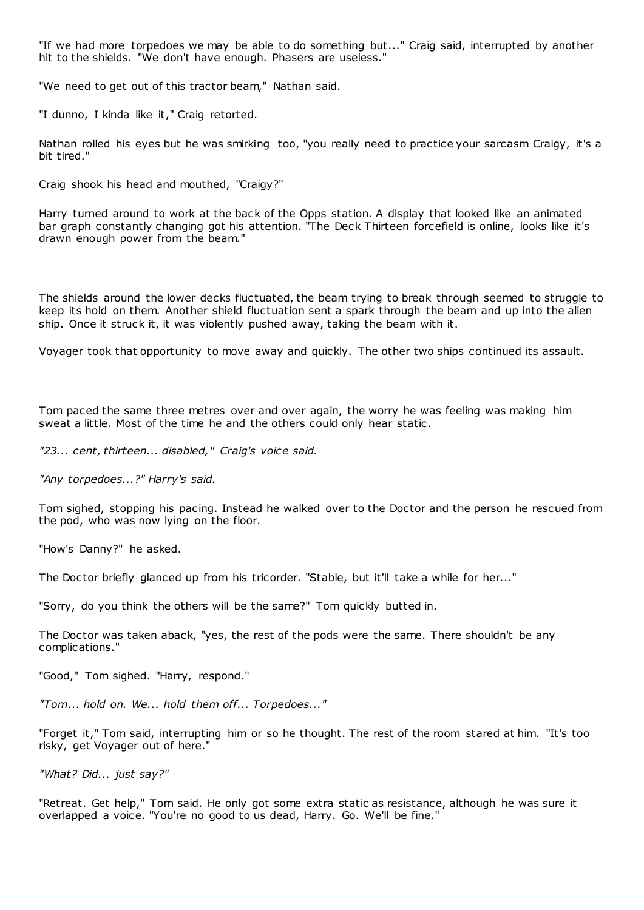"If we had more torpedoes we may be able to do something but..." Craig said, interrupted by another hit to the shields. "We don't have enough. Phasers are useless."

"We need to get out of this tractor beam," Nathan said.

"I dunno, I kinda like it," Craig retorted.

Nathan rolled his eyes but he was smirking too, "you really need to practice your sarcasm Craigy, it's a bit tired."

Craig shook his head and mouthed, "Craigy?"

Harry turned around to work at the back of the Opps station. A display that looked like an animated bar graph constantly changing got his attention. "The Deck Thirteen forcefield is online, looks like it's drawn enough power from the beam."

The shields around the lower decks fluctuated, the beam trying to break through seemed to struggle to keep its hold on them. Another shield fluctuation sent a spark through the beam and up into the alien ship. Once it struck it, it was violently pushed away, taking the beam with it.

Voyager took that opportunity to move away and quickly. The other two ships continued its assault.

Tom paced the same three metres over and over again, the worry he was feeling was making him sweat a little. Most of the time he and the others could only hear static .

*"23... cent, thirteen... disabled," Craig's voice said.*

*"Any torpedoes...?" Harry's said.*

Tom sighed, stopping his pacing. Instead he walked over to the Doctor and the person he rescued from the pod, who was now lying on the floor.

"How's Danny?" he asked.

The Doctor briefly glanced up from his tricorder. "Stable, but it'll take a while for her..."

"Sorry, do you think the others will be the same?" Tom quickly butted in.

The Doctor was taken aback, "yes, the rest of the pods were the same. There shouldn't be any complications."

"Good," Tom sighed. "Harry, respond."

*"Tom... hold on. We... hold them off... Torpedoes..."*

"Forget it," Tom said, interrupting him or so he thought. The rest of the room stared at him. "It's too risky, get Voyager out of here."

*"What? Did... just say?"*

"Retreat. Get help," Tom said. He only got some extra static as resistance, although he was sure it overlapped a voice. "You're no good to us dead, Harry. Go. We'll be fine."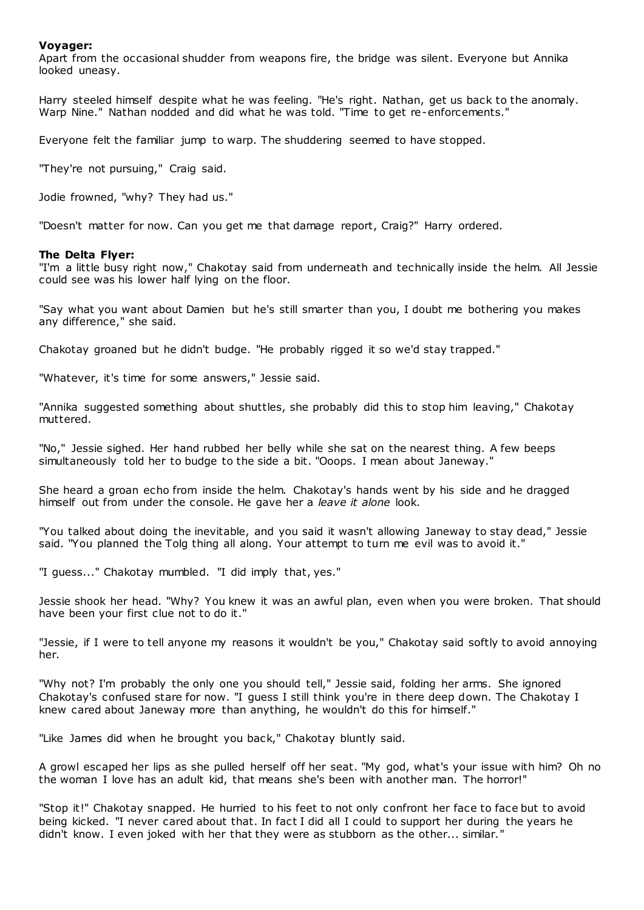# **Voyager:**

Apart from the occasional shudder from weapons fire, the bridge was silent. Everyone but Annika looked uneasy.

Harry steeled himself despite what he was feeling. "He's right. Nathan, get us back to the anomaly. Warp Nine." Nathan nodded and did what he was told. "Time to get re-enforcements."

Everyone felt the familiar jump to warp. The shuddering seemed to have stopped.

"They're not pursuing," Craig said.

Jodie frowned, "why? They had us."

"Doesn't matter for now. Can you get me that damage report, Craig?" Harry ordered.

## **The Delta Flyer:**

"I'm a little busy right now," Chakotay said from underneath and technically inside the helm. All Jessie could see was his lower half lying on the floor.

"Say what you want about Damien but he's still smarter than you, I doubt me bothering you makes any difference," she said.

Chakotay groaned but he didn't budge. "He probably rigged it so we'd stay trapped."

"Whatever, it's time for some answers," Jessie said.

"Annika suggested something about shuttles, she probably did this to stop him leaving," Chakotay muttered.

"No," Jessie sighed. Her hand rubbed her belly while she sat on the nearest thing. A few beeps simultaneously told her to budge to the side a bit. "Ooops. I mean about Janeway."

She heard a groan echo from inside the helm. Chakotay's hands went by his side and he dragged himself out from under the console. He gave her a *leave it alone* look.

"You talked about doing the inevitable, and you said it wasn't allowing Janeway to stay dead," Jessie said. "You planned the Tolg thing all along. Your attempt to turn me evil was to avoid it."

"I guess..." Chakotay mumbled. "I did imply that, yes."

Jessie shook her head. "Why? You knew it was an awful plan, even when you were broken. That should have been your first clue not to do it."

"Jessie, if I were to tell anyone my reasons it wouldn't be you," Chakotay said softly to avoid annoying her.

"Why not? I'm probably the only one you should tell," Jessie said, folding her arms. She ignored Chakotay's confused stare for now. "I guess I still think you're in there deep down. The Chakotay I knew cared about Janeway more than anything, he wouldn't do this for himself."

"Like James did when he brought you back," Chakotay bluntly said.

A growl escaped her lips as she pulled herself off her seat. "My god, what's your issue with him? Oh no the woman I love has an adult kid, that means she's been with another man. The horror!"

"Stop it!" Chakotay snapped. He hurried to his feet to not only confront her face to face but to avoid being kicked. "I never cared about that. In fact I did all I could to support her during the years he didn't know. I even joked with her that they were as stubborn as the other... similar."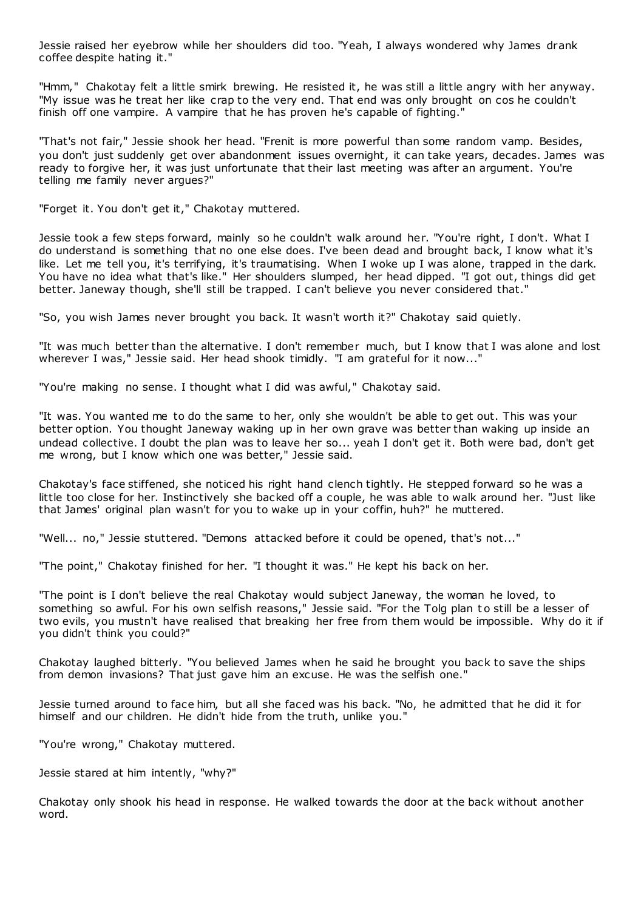Jessie raised her eyebrow while her shoulders did too. "Yeah, I always wondered why James drank coffee despite hating it."

"Hmm," Chakotay felt a little smirk brewing. He resisted it, he was still a little angry with her anyway. "My issue was he treat her like crap to the very end. That end was only brought on cos he couldn't finish off one vampire. A vampire that he has proven he's capable of fighting."

"That's not fair," Jessie shook her head. "Frenit is more powerful than some random vamp. Besides, you don't just suddenly get over abandonment issues overnight, it can take years, decades. James was ready to forgive her, it was just unfortunate that their last meeting was after an argument. You're telling me family never argues?"

"Forget it. You don't get it," Chakotay muttered.

Jessie took a few steps forward, mainly so he couldn't walk around her. "You're right, I don't. What I do understand is something that no one else does. I've been dead and brought back, I know what it's like. Let me tell you, it's terrifying, it's traumatising. When I woke up I was alone, trapped in the dark. You have no idea what that's like." Her shoulders slumped, her head dipped. "I got out, things did get better. Janeway though, she'll still be trapped. I can't believe you never considered that."

"So, you wish James never brought you back. It wasn't worth it?" Chakotay said quietly.

"It was much better than the alternative. I don't remember much, but I know that I was alone and lost wherever I was," Jessie said. Her head shook timidly. "I am grateful for it now..."

"You're making no sense. I thought what I did was awful," Chakotay said.

"It was. You wanted me to do the same to her, only she wouldn't be able to get out. This was your better option. You thought Janeway waking up in her own grave was better than waking up inside an undead collective. I doubt the plan was to leave her so... yeah I don't get it. Both were bad, don't get me wrong, but I know which one was better," Jessie said.

Chakotay's face stiffened, she noticed his right hand clench tightly. He stepped forward so he was a little too close for her. Instinctively she backed off a couple, he was able to walk around her. "Just like that James' original plan wasn't for you to wake up in your coffin, huh?" he muttered.

"Well... no," Jessie stuttered. "Demons attacked before it could be opened, that's not..."

"The point," Chakotay finished for her. "I thought it was." He kept his back on her.

"The point is I don't believe the real Chakotay would subject Janeway, the woman he loved, to something so awful. For his own selfish reasons," Jessie said. "For the Tolg plan to still be a lesser of two evils, you mustn't have realised that breaking her free from them would be impossible. Why do it if you didn't think you could?"

Chakotay laughed bitterly. "You believed James when he said he brought you back to save the ships from demon invasions? That just gave him an excuse. He was the selfish one."

Jessie turned around to face him, but all she faced was his back. "No, he admitted that he did it for himself and our children. He didn't hide from the truth, unlike you."

"You're wrong," Chakotay muttered.

Jessie stared at him intently, "why?"

Chakotay only shook his head in response. He walked towards the door at the back without another word.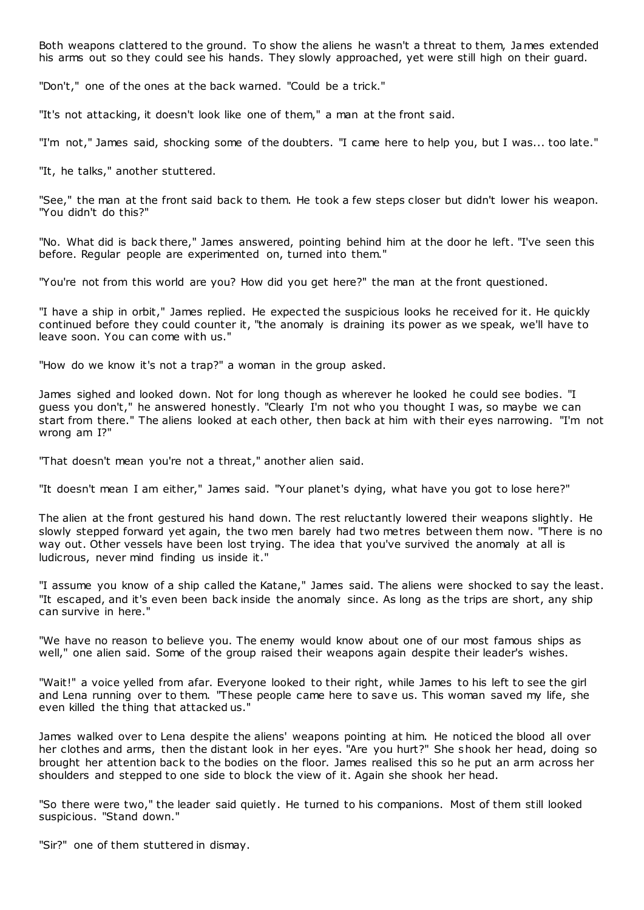Both weapons clattered to the ground. To show the aliens he wasn't a threat to them, James extended his arms out so they could see his hands. They slowly approached, yet were still high on their guard.

"Don't," one of the ones at the back warned. "Could be a trick."

"It's not attacking, it doesn't look like one of them," a man at the front said.

"I'm not," James said, shocking some of the doubters. "I came here to help you, but I was... too late."

"It, he talks," another stuttered.

"See," the man at the front said back to them. He took a few steps closer but didn't lower his weapon. "You didn't do this?"

"No. What did is back there," James answered, pointing behind him at the door he left. "I've seen this before. Regular people are experimented on, turned into them."

"You're not from this world are you? How did you get here?" the man at the front questioned.

"I have a ship in orbit," James replied. He expected the suspicious looks he received for it. He quickly continued before they could counter it, "the anomaly is draining its power as we speak, we'll have to leave soon. You can come with us."

"How do we know it's not a trap?" a woman in the group asked.

James sighed and looked down. Not for long though as wherever he looked he could see bodies. "I guess you don't," he answered honestly. "Clearly I'm not who you thought I was, so maybe we can start from there." The aliens looked at each other, then back at him with their eyes narrowing. "I'm not wrong am I?"

"That doesn't mean you're not a threat," another alien said.

"It doesn't mean I am either," James said. "Your planet's dying, what have you got to lose here?"

The alien at the front gestured his hand down. The rest reluctantly lowered their weapons slightly. He slowly stepped forward yet again, the two men barely had two metres between them now. "There is no way out. Other vessels have been lost trying. The idea that you've survived the anomaly at all is ludicrous, never mind finding us inside it."

"I assume you know of a ship called the Katane," James said. The aliens were shocked to say the least. "It escaped, and it's even been back inside the anomaly since. As long as the trips are short, any ship can survive in here."

"We have no reason to believe you. The enemy would know about one of our most famous ships as well," one alien said. Some of the group raised their weapons again despite their leader's wishes.

"Wait!" a voice yelled from afar. Everyone looked to their right, while James to his left to see the girl and Lena running over to them. "These people came here to save us. This woman saved my life, she even killed the thing that attacked us."

James walked over to Lena despite the aliens' weapons pointing at him. He noticed the blood all over her clothes and arms, then the distant look in her eyes. "Are you hurt?" She shook her head, doing so brought her attention back to the bodies on the floor. James realised this so he put an arm across her shoulders and stepped to one side to block the view of it. Again she shook her head.

"So there were two," the leader said quietly. He turned to his companions. Most of them still looked suspicious. "Stand down."

"Sir?" one of them stuttered in dismay.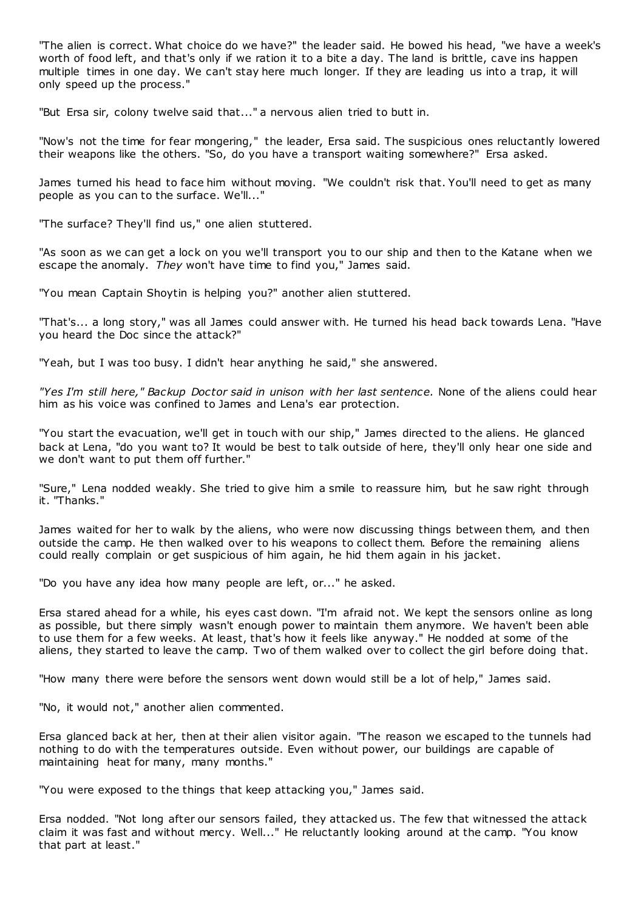"The alien is correct. What choice do we have?" the leader said. He bowed his head, "we have a week's worth of food left, and that's only if we ration it to a bite a day. The land is brittle, cave ins happen multiple times in one day. We can't stay here much longer. If they are leading us into a trap, it will only speed up the process."

"But Ersa sir, colony twelve said that..." a nervous alien tried to butt in.

"Now's not the time for fear mongering," the leader, Ersa said. The suspicious ones reluctantly lowered their weapons like the others. "So, do you have a transport waiting somewhere?" Ersa asked.

James turned his head to face him without moving. "We couldn't risk that. You'll need to get as many people as you can to the surface. We'll..."

"The surface? They'll find us," one alien stuttered.

"As soon as we can get a lock on you we'll transport you to our ship and then to the Katane when we escape the anomaly. *They* won't have time to find you," James said.

"You mean Captain Shoytin is helping you?" another alien stuttered.

"That's... a long story," was all James could answer with. He turned his head back towards Lena. "Have you heard the Doc since the attack?"

"Yeah, but I was too busy. I didn't hear anything he said," she answered.

*"Yes I'm still here," Backup Doctor said in unison with her last sentence.* None of the aliens could hear him as his voice was confined to James and Lena's ear protection.

"You start the evacuation, we'll get in touch with our ship," James directed to the aliens. He glanced back at Lena, "do you want to? It would be best to talk outside of here, they'll only hear one side and we don't want to put them off further."

"Sure," Lena nodded weakly. She tried to give him a smile to reassure him, but he saw right through it. "Thanks."

James waited for her to walk by the aliens, who were now discussing things between them, and then outside the camp. He then walked over to his weapons to collect them. Before the remaining aliens could really complain or get suspicious of him again, he hid them again in his jacket.

"Do you have any idea how many people are left, or..." he asked.

Ersa stared ahead for a while, his eyes cast down. "I'm afraid not. We kept the sensors online as long as possible, but there simply wasn't enough power to maintain them anymore. We haven't been able to use them for a few weeks. At least, that's how it feels like anyway." He nodded at some of the aliens, they started to leave the camp. Two of them walked over to collect the girl before doing that.

"How many there were before the sensors went down would still be a lot of help," James said.

"No, it would not," another alien commented.

Ersa glanced back at her, then at their alien visitor again. "The reason we escaped to the tunnels had nothing to do with the temperatures outside. Even without power, our buildings are capable of maintaining heat for many, many months."

"You were exposed to the things that keep attacking you," James said.

Ersa nodded. "Not long after our sensors failed, they attacked us. The few that witnessed the attack claim it was fast and without mercy. Well..." He reluctantly looking around at the camp. "You know that part at least."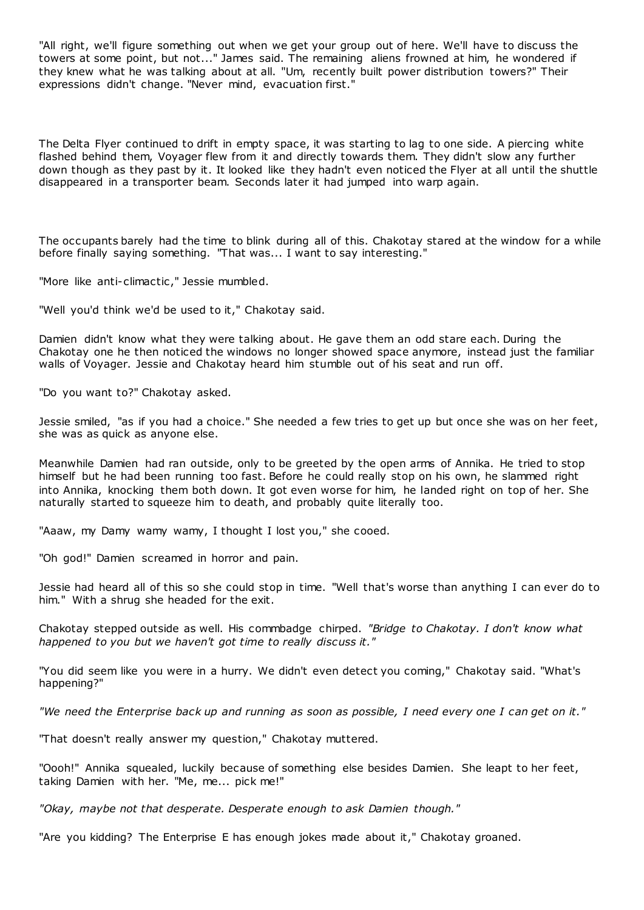"All right, we'll figure something out when we get your group out of here. We'll have to discuss the towers at some point, but not..." James said. The remaining aliens frowned at him, he wondered if they knew what he was talking about at all. "Um, recently built power distribution towers?" Their expressions didn't change. "Never mind, evacuation first."

The Delta Flyer continued to drift in empty space, it was starting to lag to one side. A piercing white flashed behind them, Voyager flew from it and directly towards them. They didn't slow any further down though as they past by it. It looked like they hadn't even noticed the Flyer at all until the shuttle disappeared in a transporter beam. Seconds later it had jumped into warp again.

The occupants barely had the time to blink during all of this. Chakotay stared at the window for a while before finally saying something. "That was... I want to say interesting."

"More like anti-climactic ," Jessie mumbled.

"Well you'd think we'd be used to it," Chakotay said.

Damien didn't know what they were talking about. He gave them an odd stare each. During the Chakotay one he then noticed the windows no longer showed space anymore, instead just the familiar walls of Voyager. Jessie and Chakotay heard him stumble out of his seat and run off.

"Do you want to?" Chakotay asked.

Jessie smiled, "as if you had a choice." She needed a few tries to get up but once she was on her feet, she was as quick as anyone else.

Meanwhile Damien had ran outside, only to be greeted by the open arms of Annika. He tried to stop himself but he had been running too fast. Before he could really stop on his own, he slammed right into Annika, knocking them both down. It got even worse for him, he landed right on top of her. She naturally started to squeeze him to death, and probably quite literally too.

"Aaaw, my Damy wamy wamy, I thought I lost you," she cooed.

"Oh god!" Damien screamed in horror and pain.

Jessie had heard all of this so she could stop in time. "Well that's worse than anything I can ever do to him." With a shrug she headed for the exit.

Chakotay stepped outside as well. His commbadge chirped. *"Bridge to Chakotay. I don't know what happened to you but we haven't got time to really discuss it."*

"You did seem like you were in a hurry. We didn't even detect you coming," Chakotay said. "What's happening?"

*"We need the Enterprise back up and running as soon as possible, I need every one I can get on it."*

"That doesn't really answer my question," Chakotay muttered.

"Oooh!" Annika squealed, luckily because of something else besides Damien. She leapt to her feet, taking Damien with her. "Me, me... pick me!"

*"Okay, maybe not that desperate. Desperate enough to ask Damien though."*

"Are you kidding? The Enterprise E has enough jokes made about it," Chakotay groaned.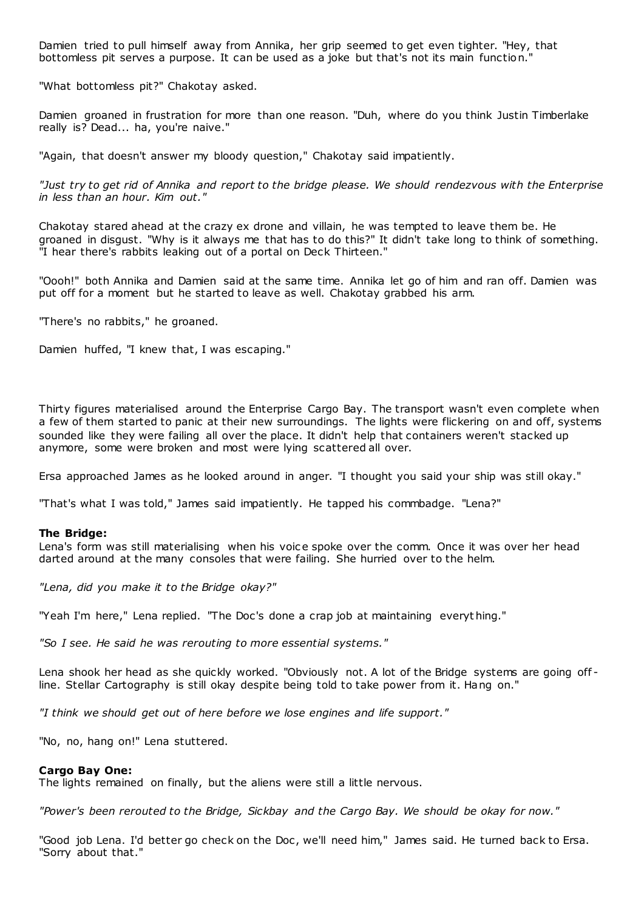Damien tried to pull himself away from Annika, her grip seemed to get even tighter. "Hey, that bottomless pit serves a purpose. It can be used as a joke but that's not its main function."

"What bottomless pit?" Chakotay asked.

Damien groaned in frustration for more than one reason. "Duh, where do you think Justin Timberlake really is? Dead... ha, you're naive."

"Again, that doesn't answer my bloody question," Chakotay said impatiently.

*"Just try to get rid of Annika and report to the bridge please. We should rendezvous with the Enterprise in less than an hour. Kim out."*

Chakotay stared ahead at the crazy ex drone and villain, he was tempted to leave them be. He groaned in disgust. "Why is it always me that has to do this?" It didn't take long to think of something. "I hear there's rabbits leaking out of a portal on Deck Thirteen."

"Oooh!" both Annika and Damien said at the same time. Annika let go of him and ran off. Damien was put off for a moment but he started to leave as well. Chakotay grabbed his arm.

"There's no rabbits," he groaned.

Damien huffed, "I knew that, I was escaping."

Thirty figures materialised around the Enterprise Cargo Bay. The transport wasn't even complete when a few of them started to panic at their new surroundings. The lights were flickering on and off, systems sounded like they were failing all over the place. It didn't help that containers weren't stacked up anymore, some were broken and most were lying scattered all over.

Ersa approached James as he looked around in anger. "I thought you said your ship was still okay."

"That's what I was told," James said impatiently. He tapped his commbadge. "Lena?"

### **The Bridge:**

Lena's form was still materialising when his voice spoke over the comm. Once it was over her head darted around at the many consoles that were failing. She hurried over to the helm.

*"Lena, did you make it to the Bridge okay?"*

"Yeah I'm here," Lena replied. "The Doc's done a crap job at maintaining everyt hing."

*"So I see. He said he was rerouting to more essential systems."*

Lena shook her head as she quickly worked. "Obviously not. A lot of the Bridge systems are going off line. Stellar Cartography is still okay despite being told to take power from it. Hang on."

*"I think we should get out of here before we lose engines and life support."*

"No, no, hang on!" Lena stuttered.

# **Cargo Bay One:**

The lights remained on finally, but the aliens were still a little nervous.

*"Power's been rerouted to the Bridge, Sickbay and the Cargo Bay. We should be okay for now."*

"Good job Lena. I'd better go check on the Doc, we'll need him," James said. He turned back to Ersa. "Sorry about that."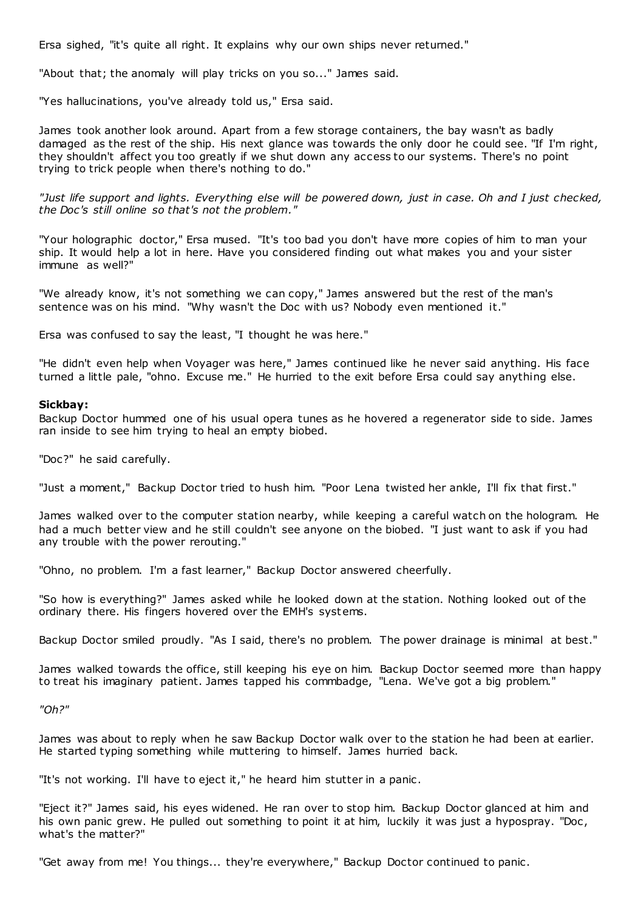Ersa sighed, "it's quite all right. It explains why our own ships never returned."

"About that; the anomaly will play tricks on you so..." James said.

"Yes hallucinations, you've already told us," Ersa said.

James took another look around. Apart from a few storage containers, the bay wasn't as badly damaged as the rest of the ship. His next glance was towards the only door he could see. "If I'm right, they shouldn't affect you too greatly if we shut down any access to our systems. There's no point trying to trick people when there's nothing to do."

*"Just life support and lights. Everything else will be powered down, just in case. Oh and I just checked, the Doc's still online so that's not the problem."*

"Your holographic doctor," Ersa mused. "It's too bad you don't have more copies of him to man your ship. It would help a lot in here. Have you considered finding out what makes you and your sister immune as well?"

"We already know, it's not something we can copy," James answered but the rest of the man's sentence was on his mind. "Why wasn't the Doc with us? Nobody even mentioned it."

Ersa was confused to say the least, "I thought he was here."

"He didn't even help when Voyager was here," James continued like he never said anything. His face turned a little pale, "ohno. Excuse me." He hurried to the exit before Ersa could say anything else.

# **Sickbay:**

Backup Doctor hummed one of his usual opera tunes as he hovered a regenerator side to side. James ran inside to see him trying to heal an empty biobed.

"Doc?" he said carefully.

"Just a moment," Backup Doctor tried to hush him. "Poor Lena twisted her ankle, I'll fix that first."

James walked over to the computer station nearby, while keeping a careful watch on the hologram. He had a much better view and he still couldn't see anyone on the biobed. "I just want to ask if you had any trouble with the power rerouting."

"Ohno, no problem. I'm a fast learner," Backup Doctor answered cheerfully.

"So how is everything?" James asked while he looked down at the station. Nothing looked out of the ordinary there. His fingers hovered over the EMH's systems.

Backup Doctor smiled proudly. "As I said, there's no problem. The power drainage is minimal at best."

James walked towards the office, still keeping his eye on him. Backup Doctor seemed more than happy to treat his imaginary patient. James tapped his commbadge, "Lena. We've got a big problem."

*"Oh?"*

James was about to reply when he saw Backup Doctor walk over to the station he had been at earlier. He started typing something while muttering to himself. James hurried back.

"It's not working. I'll have to eject it," he heard him stutter in a panic .

"Eject it?" James said, his eyes widened. He ran over to stop him. Backup Doctor glanced at him and his own panic grew. He pulled out something to point it at him, luckily it was just a hypospray. "Doc, what's the matter?"

"Get away from me! You things... they're everywhere," Backup Doctor continued to panic .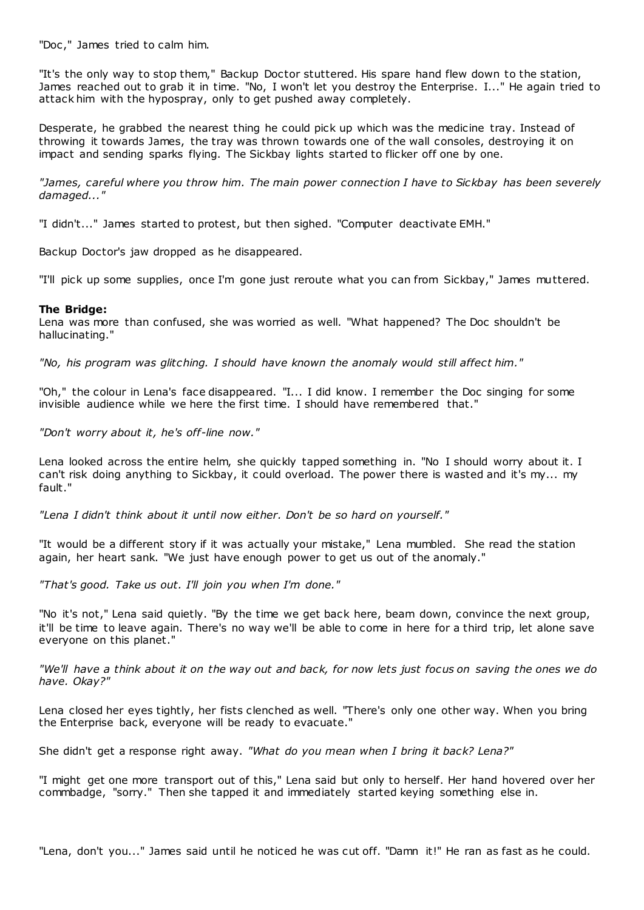"Doc ," James tried to calm him.

"It's the only way to stop them," Backup Doctor stuttered. His spare hand flew down to the station, James reached out to grab it in time. "No, I won't let you destroy the Enterprise. I..." He again tried to attack him with the hypospray, only to get pushed away completely.

Desperate, he grabbed the nearest thing he could pick up which was the medicine tray. Instead of throwing it towards James, the tray was thrown towards one of the wall consoles, destroying it on impact and sending sparks flying. The Sickbay lights started to flicker off one by one.

*"James, careful where you throw him. The main power connection I have to Sickbay has been severely damaged..."*

"I didn't..." James started to protest, but then sighed. "Computer deactivate EMH."

Backup Doctor's jaw dropped as he disappeared.

"I'll pick up some supplies, once I'm gone just reroute what you can from Sickbay," James muttered.

# **The Bridge:**

Lena was more than confused, she was worried as well. "What happened? The Doc shouldn't be hallucinating."

*"No, his program was glitching. I should have known the anomaly would still affect him."*

"Oh," the colour in Lena's face disappeared. "I... I did know. I remember the Doc singing for some invisible audience while we here the first time. I should have remembered that."

*"Don't worry about it, he's off-line now."*

Lena looked across the entire helm, she quickly tapped something in. "No I should worry about it. I can't risk doing anything to Sickbay, it could overload. The power there is wasted and it's my... my fault."

*"Lena I didn't think about it until now either. Don't be so hard on yourself."*

"It would be a different story if it was actually your mistake," Lena mumbled. She read the station again, her heart sank. "We just have enough power to get us out of the anomaly."

*"That's good. Take us out. I'll join you when I'm done."*

"No it's not," Lena said quietly. "By the time we get back here, beam down, convince the next group, it'll be time to leave again. There's no way we'll be able to come in here for a third trip, let alone save everyone on this planet."

*"We'll have a think about it on the way out and back, for now lets just focus on saving the ones we do have. Okay?"*

Lena closed her eyes tightly, her fists clenched as well. "There's only one other way. When you bring the Enterprise back, everyone will be ready to evacuate."

She didn't get a response right away. *"What do you mean when I bring it back? Lena?"*

"I might get one more transport out of this," Lena said but only to herself. Her hand hovered over her commbadge, "sorry." Then she tapped it and immediately started keying something else in.

"Lena, don't you..." James said until he noticed he was cut off. "Damn it!" He ran as fast as he could.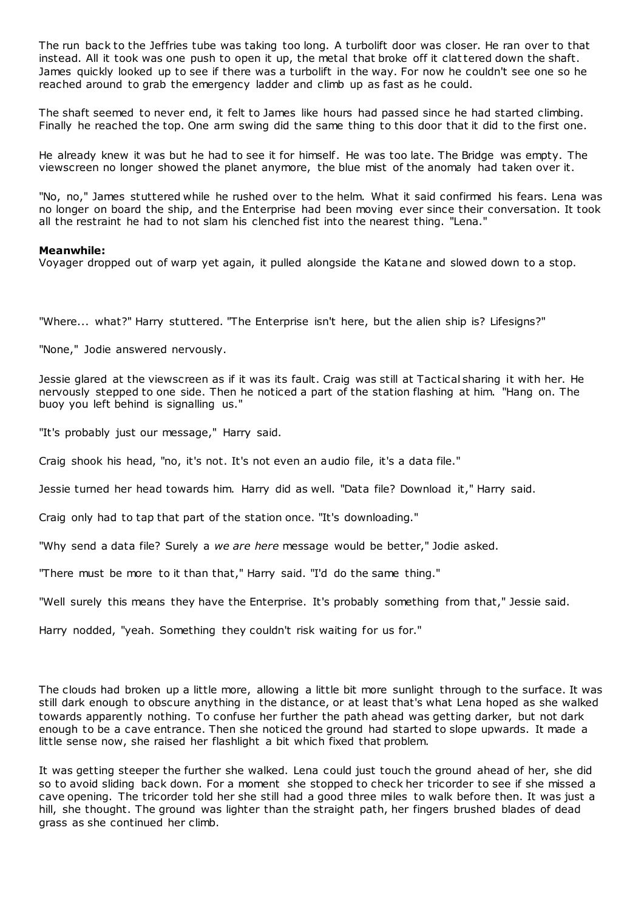The run back to the Jeffries tube was taking too long. A turbolift door was closer. He ran over to that instead. All it took was one push to open it up, the metal that broke off it clattered down the shaft. James quickly looked up to see if there was a turbolift in the way. For now he couldn't see one so he reached around to grab the emergency ladder and climb up as fast as he could.

The shaft seemed to never end, it felt to James like hours had passed since he had started climbing. Finally he reached the top. One arm swing did the same thing to this door that it did to the first one.

He already knew it was but he had to see it for himself. He was too late. The Bridge was empty. The viewscreen no longer showed the planet anymore, the blue mist of the anomaly had taken over it.

"No, no," James stuttered while he rushed over to the helm. What it said confirmed his fears. Lena was no longer on board the ship, and the Enterprise had been moving ever since their conversation. It took all the restraint he had to not slam his clenched fist into the nearest thing. "Lena."

## **Meanwhile:**

Voyager dropped out of warp yet again, it pulled alongside the Katane and slowed down to a stop.

"Where... what?" Harry stuttered. "The Enterprise isn't here, but the alien ship is? Lifesigns?"

"None," Jodie answered nervously.

Jessie glared at the viewscreen as if it was its fault. Craig was still at Tactical sharing it with her. He nervously stepped to one side. Then he noticed a part of the station flashing at him. "Hang on. The buoy you left behind is signalling us."

"It's probably just our message," Harry said.

Craig shook his head, "no, it's not. It's not even an audio file, it's a data file."

Jessie turned her head towards him. Harry did as well. "Data file? Download it," Harry said.

Craig only had to tap that part of the station once. "It's downloading."

"Why send a data file? Surely a *we are here* message would be better," Jodie asked.

"There must be more to it than that," Harry said. "I'd do the same thing."

"Well surely this means they have the Enterprise. It's probably something from that," Jessie said.

Harry nodded, "yeah. Something they couldn't risk waiting for us for."

The clouds had broken up a little more, allowing a little bit more sunlight through to the surface. It was still dark enough to obscure anything in the distance, or at least that's what Lena hoped as she walked towards apparently nothing. To confuse her further the path ahead was getting darker, but not dark enough to be a cave entrance. Then she noticed the ground had started to slope upwards. It made a little sense now, she raised her flashlight a bit which fixed that problem.

It was getting steeper the further she walked. Lena could just touch the ground ahead of her, she did so to avoid sliding back down. For a moment she stopped to check her tricorder to see if she missed a cave opening. The tricorder told her she still had a good three miles to walk before then. It was just a hill, she thought. The ground was lighter than the straight path, her fingers brushed blades of dead grass as she continued her climb.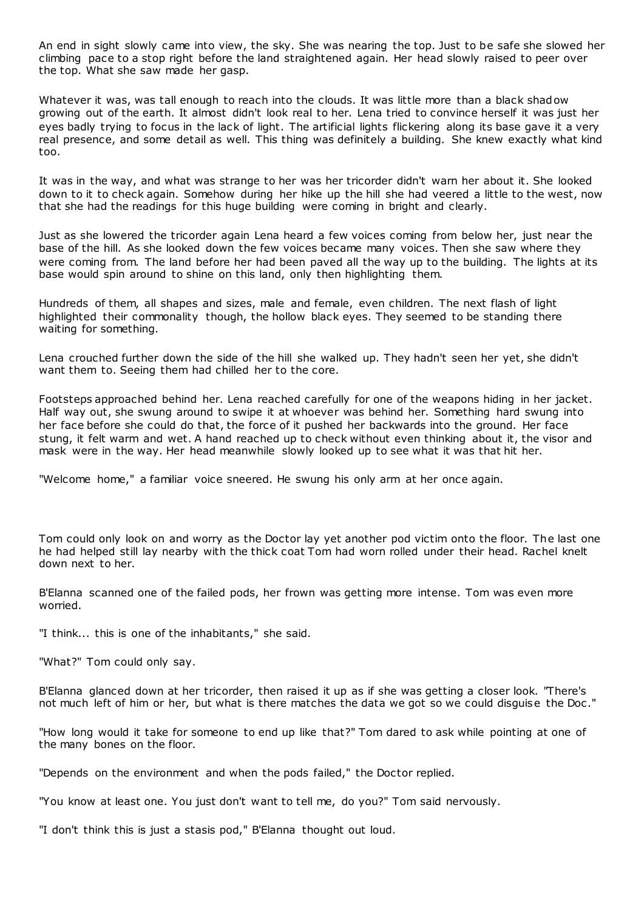An end in sight slowly came into view, the sky. She was nearing the top. Just to be safe she slowed her climbing pace to a stop right before the land straightened again. Her head slowly raised to peer over the top. What she saw made her gasp.

Whatever it was, was tall enough to reach into the clouds. It was little more than a black shadow growing out of the earth. It almost didn't look real to her. Lena tried to convince herself it was just her eyes badly trying to focus in the lack of light. The artificial lights flickering along its base gave it a very real presence, and some detail as well. This thing was definitely a building. She knew exactly what kind too.

It was in the way, and what was strange to her was her tricorder didn't warn her about it. She looked down to it to check again. Somehow during her hike up the hill she had veered a little to the west, now that she had the readings for this huge building were coming in bright and clearly.

Just as she lowered the tricorder again Lena heard a few voices coming from below her, just near the base of the hill. As she looked down the few voices became many voices. Then she saw where they were coming from. The land before her had been paved all the way up to the building. The lights at its base would spin around to shine on this land, only then highlighting them.

Hundreds of them, all shapes and sizes, male and female, even children. The next flash of light highlighted their commonality though, the hollow black eyes. They seemed to be standing there waiting for something.

Lena crouched further down the side of the hill she walked up. They hadn't seen her yet, she didn't want them to. Seeing them had chilled her to the core.

Footsteps approached behind her. Lena reached carefully for one of the weapons hiding in her jacket. Half way out, she swung around to swipe it at whoever was behind her. Something hard swung into her face before she could do that, the force of it pushed her backwards into the ground. Her face stung, it felt warm and wet. A hand reached up to check without even thinking about it, the visor and mask were in the way. Her head meanwhile slowly looked up to see what it was that hit her.

"Welcome home," a familiar voice sneered. He swung his only arm at her once again.

Tom could only look on and worry as the Doctor lay yet another pod victim onto the floor. The last one he had helped still lay nearby with the thick coat Tom had worn rolled under their head. Rachel knelt down next to her.

B'Elanna scanned one of the failed pods, her frown was getting more intense. Tom was even more worried.

"I think... this is one of the inhabitants," she said.

"What?" Tom could only say.

B'Elanna glanced down at her tricorder, then raised it up as if she was getting a closer look. "There's not much left of him or her, but what is there matches the data we got so we could disguise the Doc ."

"How long would it take for someone to end up like that?" Tom dared to ask while pointing at one of the many bones on the floor.

"Depends on the environment and when the pods failed," the Doctor replied.

"You know at least one. You just don't want to tell me, do you?" Tom said nervously.

"I don't think this is just a stasis pod," B'Elanna thought out loud.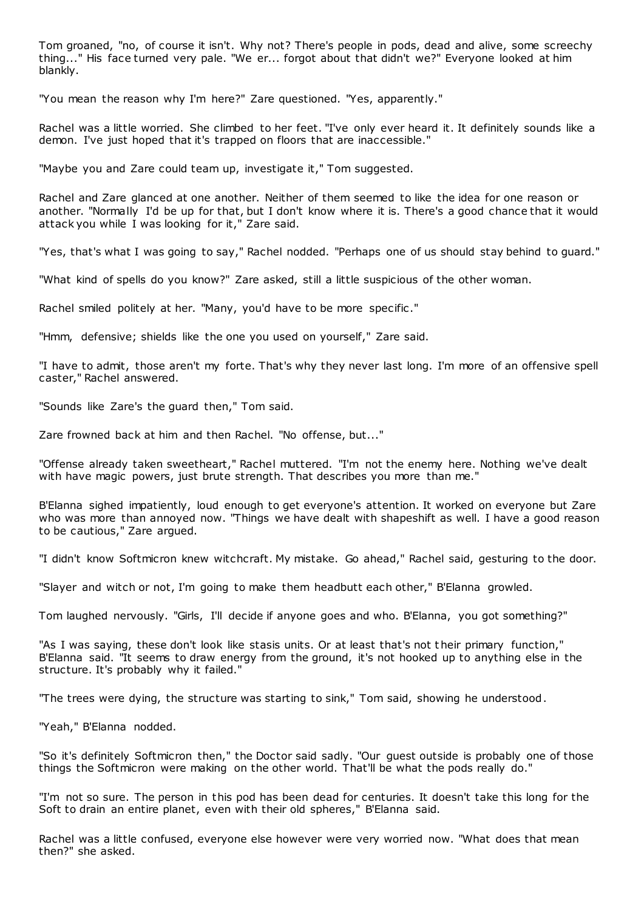Tom groaned, "no, of course it isn't. Why not? There's people in pods, dead and alive, some screechy thing..." His face turned very pale. "We er... forgot about that didn't we?" Everyone looked at him blankly.

"You mean the reason why I'm here?" Zare questioned. "Yes, apparently."

Rachel was a little worried. She climbed to her feet. "I've only ever heard it. It definitely sounds like a demon. I've just hoped that it's trapped on floors that are inaccessible."

"Maybe you and Zare could team up, investigate it," Tom suggested.

Rachel and Zare glanced at one another. Neither of them seemed to like the idea for one reason or another. "Normally I'd be up for that, but I don't know where it is. There's a good chance that it would attack you while I was looking for it," Zare said.

"Yes, that's what I was going to say," Rachel nodded. "Perhaps one of us should stay behind to guard."

"What kind of spells do you know?" Zare asked, still a little suspicious of the other woman.

Rachel smiled politely at her. "Many, you'd have to be more specific ."

"Hmm, defensive; shields like the one you used on yourself," Zare said.

"I have to admit, those aren't my forte. That's why they never last long. I'm more of an offensive spell caster," Rachel answered.

"Sounds like Zare's the guard then," Tom said.

Zare frowned back at him and then Rachel. "No offense, but..."

"Offense already taken sweetheart," Rachel muttered. "I'm not the enemy here. Nothing we've dealt with have magic powers, just brute strength. That describes you more than me."

B'Elanna sighed impatiently, loud enough to get everyone's attention. It worked on everyone but Zare who was more than annoyed now. "Things we have dealt with shapeshift as well. I have a good reason to be cautious," Zare argued.

"I didn't know Softmicron knew witchcraft. My mistake. Go ahead," Rachel said, gesturing to the door.

"Slayer and witch or not, I'm going to make them headbutt each other," B'Elanna growled.

Tom laughed nervously. "Girls, I'll decide if anyone goes and who. B'Elanna, you got something?"

"As I was saying, these don't look like stasis units. Or at least that's not t heir primary function," B'Elanna said. "It seems to draw energy from the ground, it's not hooked up to anything else in the structure. It's probably why it failed."

"The trees were dying, the structure was starting to sink," Tom said, showing he understood.

"Yeah," B'Elanna nodded.

"So it's definitely Softmicron then," the Doctor said sadly. "Our guest outside is probably one of those things the Softmicron were making on the other world. That'll be what the pods really do."

"I'm not so sure. The person in this pod has been dead for centuries. It doesn't take this long for the Soft to drain an entire planet, even with their old spheres," B'Elanna said.

Rachel was a little confused, everyone else however were very worried now. "What does that mean then?" she asked.